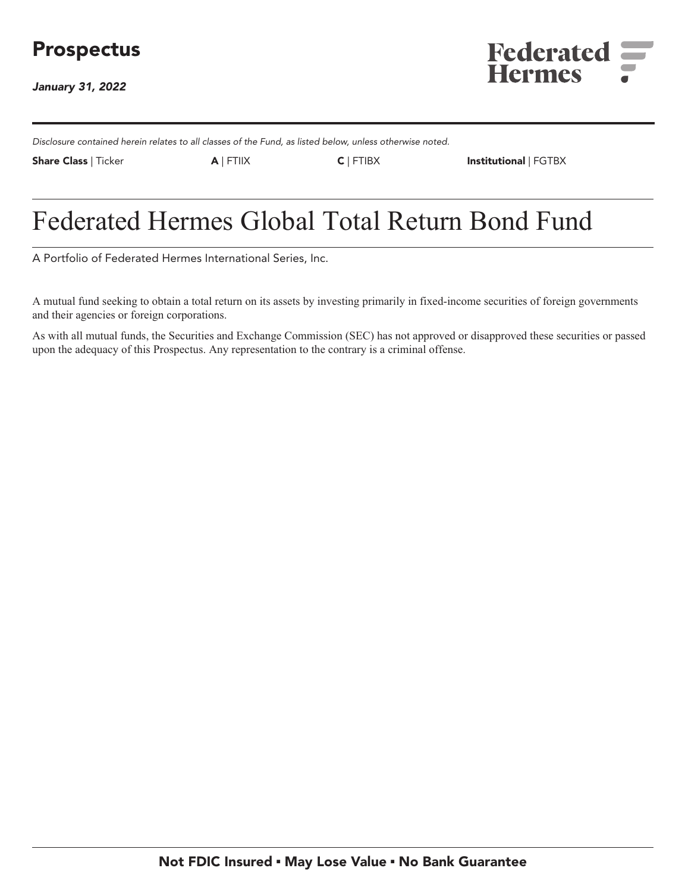# **Prospectus**

**January 31, 2022**



**Disclosure contained herein relates to all classes of the Fund, as listed below, unless otherwise noted.**

**Share Class | Ticker A | FTIIX C | FTIBX Institutional | FGTBX**

# **Federated Hermes Global Total Return Bond Fund**

**A Portfolio of Federated Hermes International Series, Inc.**

**A mutual fund seeking to obtain a total return on its assets by investing primarily in fixed-income securities of foreign governments and their agencies or foreign corporations.**

**As with all mutual funds, the Securities and Exchange Commission (SEC) has not approved or disapproved these securities or passed upon the adequacy of this Prospectus. Any representation to the contrary is a criminal offense.**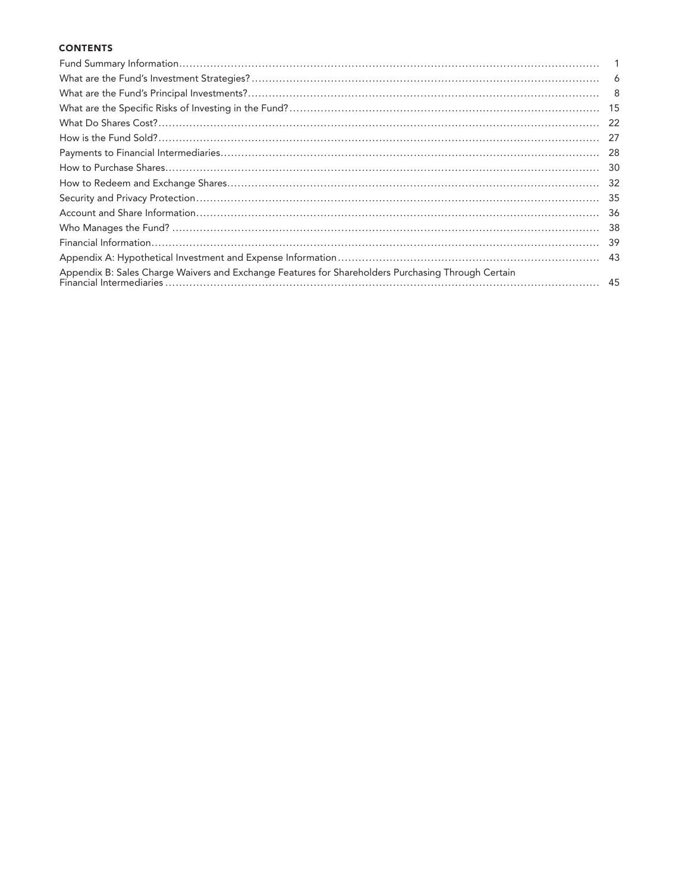# **CONTENTS**

|                                                                                                    | - 6 |
|----------------------------------------------------------------------------------------------------|-----|
|                                                                                                    | - 8 |
|                                                                                                    | -15 |
|                                                                                                    | 22  |
|                                                                                                    | -27 |
|                                                                                                    | -28 |
|                                                                                                    | 30  |
|                                                                                                    | -32 |
|                                                                                                    | 35  |
|                                                                                                    | -36 |
|                                                                                                    | 38  |
|                                                                                                    | 39  |
|                                                                                                    | 43  |
| Appendix B: Sales Charge Waivers and Exchange Features for Shareholders Purchasing Through Certain |     |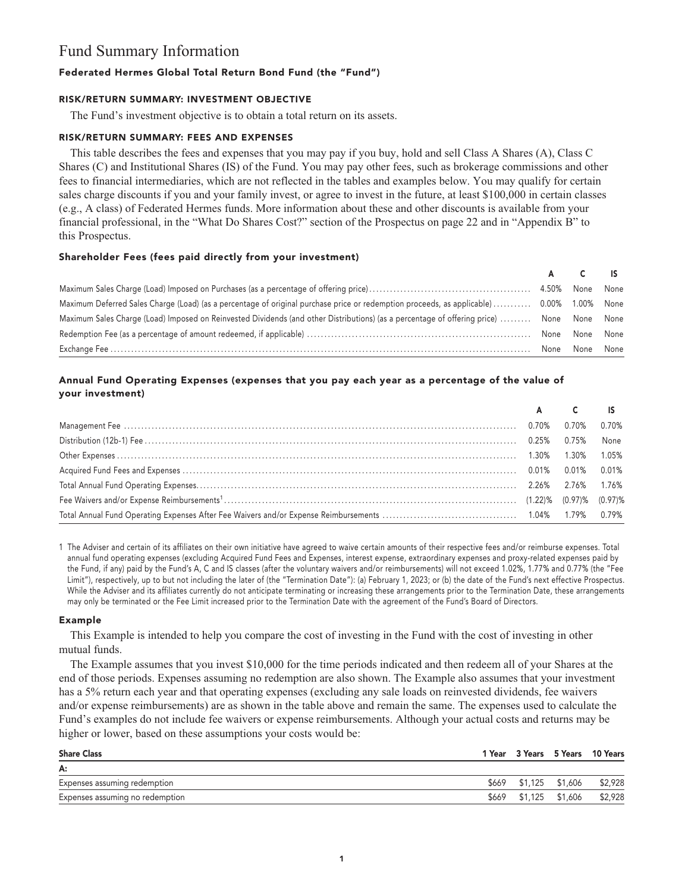# **Fund Summary Information**

# **Federated Hermes Global Total Return Bond Fund (the "Fund")**

# **RISK/RETURN SUMMARY: INVESTMENT OBJECTIVE**

**The Fund's investment objective is to obtain a total return on its assets.**

# **RISK/RETURN SUMMARY: FEES AND EXPENSES**

**This table describes the fees and expenses that you may pay if you buy, hold and sell Class A Shares (A), Class C Shares (C) and Institutional Shares (IS) of the Fund. You may pay other fees, such as brokerage commissions and other fees to financial intermediaries, which are not reflected in the tables and examples below. You may qualify for certain sales charge discounts if you and your family invest, or agree to invest in the future, at least \$100,000 in certain classes (e.g., A class) of Federated Hermes funds. More information about these and other discounts is available from your financial professional, in the "What Do Shares Cost?" section of the Prospectus on page 22 and in "Appendix B" to this Prospectus.**

# **Shareholder Fees (fees paid directly from your investment)**

|                                                                                                                                           | AC IS          |  |
|-------------------------------------------------------------------------------------------------------------------------------------------|----------------|--|
|                                                                                                                                           |                |  |
| Maximum Deferred Sales Charge (Load) (as a percentage of original purchase price or redemption proceeds, as applicable)  0.00% 1.00% None |                |  |
| Maximum Sales Charge (Load) Imposed on Reinvested Dividends (and other Distributions) (as a percentage of offering price)  None None None |                |  |
|                                                                                                                                           | None None None |  |
|                                                                                                                                           | None None None |  |

# **Annual Fund Operating Expenses (expenses that you pay each year as a percentage of the value of your investment)**

|             | A C IS |       |
|-------------|--------|-------|
| 0.70% 0.70% |        | 0.70% |
|             |        | None  |
|             |        | 1.05% |
|             |        |       |
|             |        |       |
|             |        |       |
|             |        |       |

**1 The Adviser and certain of its affiliates on their own initiative have agreed to waive certain amounts of their respective fees and/or reimburse expenses. Total annual fund operating expenses (excluding Acquired Fund Fees and Expenses, interest expense, extraordinary expenses and proxy-related expenses paid by the Fund, if any) paid by the Fund's A, C and IS classes (after the voluntary waivers and/or reimbursements) will not exceed 1.02%, 1.77% and 0.77% (the "Fee Limit"), respectively, up to but not including the later of (the "Termination Date"): (a) February 1, 2023; or (b) the date of the Fund's next effective Prospectus. While the Adviser and its affiliates currently do not anticipate terminating or increasing these arrangements prior to the Termination Date, these arrangements may only be terminated or the Fee Limit increased prior to the Termination Date with the agreement of the Fund's Board of Directors.**

# **Example**

**This Example is intended to help you compare the cost of investing in the Fund with the cost of investing in other mutual funds.**

**The Example assumes that you invest \$10,000 for the time periods indicated and then redeem all of your Shares at the end of those periods. Expenses assuming no redemption are also shown. The Example also assumes that your investment has a 5% return each year and that operating expenses (excluding any sale loads on reinvested dividends, fee waivers and/or expense reimbursements) are as shown in the table above and remain the same. The expenses used to calculate the Fund's examples do not include fee waivers or expense reimbursements. Although your actual costs and returns may be higher or lower, based on these assumptions your costs would be:**

| <b>Share Class</b>              |  |                       | 1 Year 3 Years 5 Years 10 Years |
|---------------------------------|--|-----------------------|---------------------------------|
| A:                              |  |                       |                                 |
| Expenses assuming redemption    |  | \$669 \$1,125 \$1,606 | \$2,928                         |
| Expenses assuming no redemption |  |                       | \$669 \$1,125 \$1,606 \$2,928   |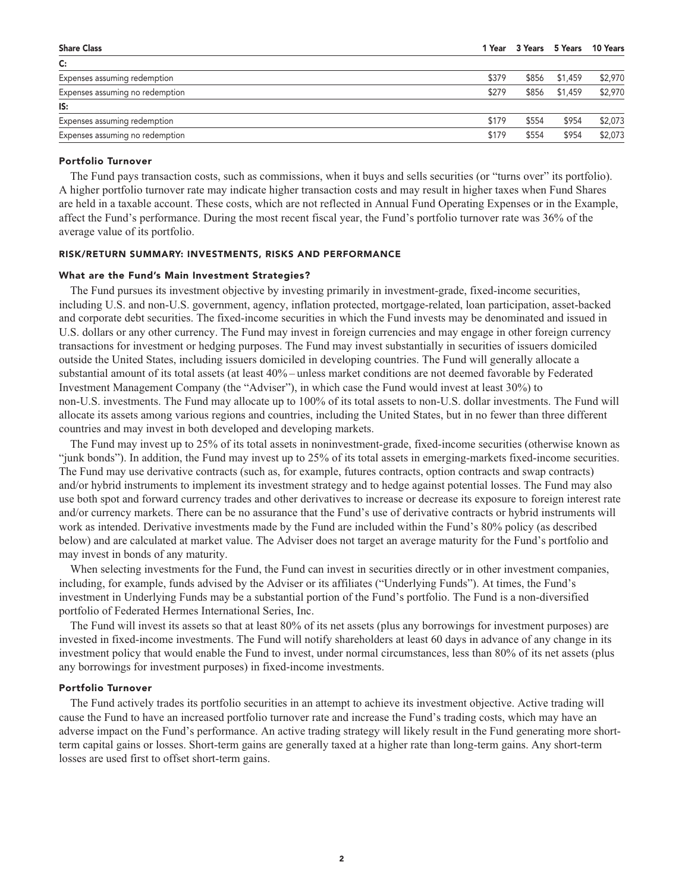| <b>Share Class</b>              |       |       |               | 1 Year 3 Years 5 Years 10 Years |
|---------------------------------|-------|-------|---------------|---------------------------------|
| $\mathsf{C}$ :                  |       |       |               |                                 |
| Expenses assuming redemption    | \$379 |       | \$856 \$1,459 | \$2,970                         |
| Expenses assuming no redemption | \$279 |       | \$856 \$1,459 | \$2,970                         |
| IS:                             |       |       |               |                                 |
| Expenses assuming redemption    | \$179 | \$554 | \$954         | \$2,073                         |
| Expenses assuming no redemption | \$179 | \$554 | \$954         | \$2,073                         |
|                                 |       |       |               |                                 |

# **Portfolio Turnover**

**The Fund pays transaction costs, such as commissions, when it buys and sells securities (or "turns over" its portfolio). A higher portfolio turnover rate may indicate higher transaction costs and may result in higher taxes when Fund Shares are held in a taxable account. These costs, which are not reflected in Annual Fund Operating Expenses or in the Example, affect the Fund's performance. During the most recent fiscal year, the Fund's portfolio turnover rate was 36% of the average value of its portfolio.**

#### **RISK/RETURN SUMMARY: INVESTMENTS, RISKS AND PERFORMANCE**

#### **What are the Fund's Main Investment Strategies?**

**The Fund pursues its investment objective by investing primarily in investment-grade, fixed-income securities, including U.S. and non-U.S. government, agency, inflation protected, mortgage-related, loan participation, asset-backed and corporate debt securities. The fixed-income securities in which the Fund invests may be denominated and issued in U.S. dollars or any other currency. The Fund may invest in foreign currencies and may engage in other foreign currency transactions for investment or hedging purposes. The Fund may invest substantially in securities of issuers domiciled outside the United States, including issuers domiciled in developing countries. The Fund will generally allocate a substantial amount of its total assets (at least 40% – unless market conditions are not deemed favorable by Federated Investment Management Company (the "Adviser"), in which case the Fund would invest at least 30%) to non-U.S. investments. The Fund may allocate up to 100% of its total assets to non-U.S. dollar investments. The Fund will allocate its assets among various regions and countries, including the United States, but in no fewer than three different countries and may invest in both developed and developing markets.**

**The Fund may invest up to 25% of its total assets in noninvestment-grade, fixed-income securities (otherwise known as "junk bonds"). In addition, the Fund may invest up to 25% of its total assets in emerging-markets fixed-income securities. The Fund may use derivative contracts (such as, for example, futures contracts, option contracts and swap contracts) and/or hybrid instruments to implement its investment strategy and to hedge against potential losses. The Fund may also use both spot and forward currency trades and other derivatives to increase or decrease its exposure to foreign interest rate and/or currency markets. There can be no assurance that the Fund's use of derivative contracts or hybrid instruments will work as intended. Derivative investments made by the Fund are included within the Fund's 80% policy (as described below) and are calculated at market value. The Adviser does not target an average maturity for the Fund's portfolio and may invest in bonds of any maturity.**

**When selecting investments for the Fund, the Fund can invest in securities directly or in other investment companies, including, for example, funds advised by the Adviser or its affiliates ("Underlying Funds"). At times, the Fund's investment in Underlying Funds may be a substantial portion of the Fund's portfolio. The Fund is a non-diversified portfolio of Federated Hermes International Series, Inc.**

**The Fund will invest its assets so that at least 80% of its net assets (plus any borrowings for investment purposes) are invested in fixed-income investments. The Fund will notify shareholders at least 60 days in advance of any change in its investment policy that would enable the Fund to invest, under normal circumstances, less than 80% of its net assets (plus any borrowings for investment purposes) in fixed-income investments.**

#### **Portfolio Turnover**

**The Fund actively trades its portfolio securities in an attempt to achieve its investment objective. Active trading will cause the Fund to have an increased portfolio turnover rate and increase the Fund's trading costs, which may have an adverse impact on the Fund's performance. An active trading strategy will likely result in the Fund generating more shortterm capital gains or losses. Short-term gains are generally taxed at a higher rate than long-term gains. Any short-term losses are used first to offset short-term gains.**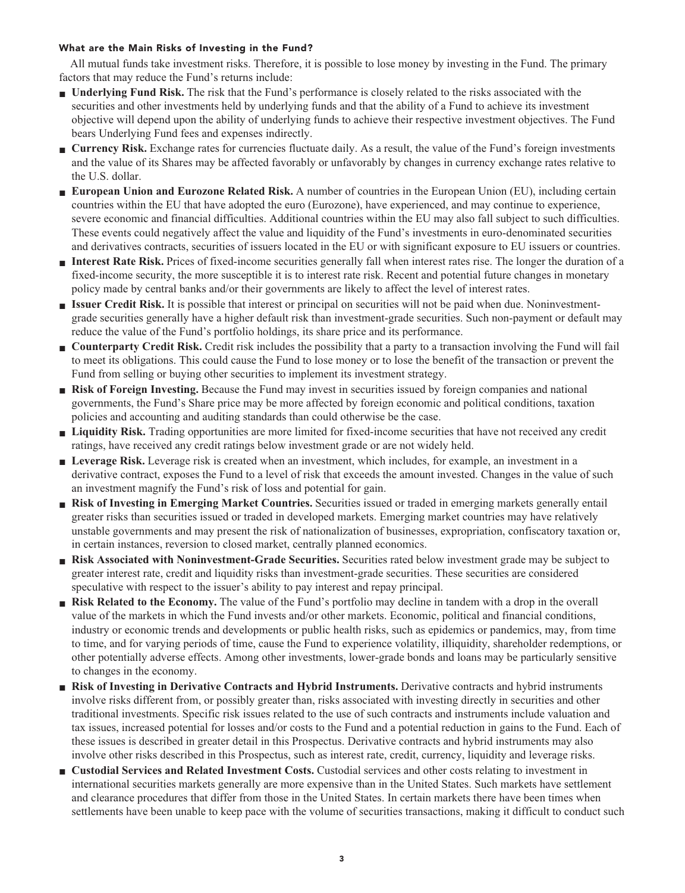# **What are the Main Risks of Investing in the Fund?**

**All mutual funds take investment risks. Therefore, it is possible to lose money by investing in the Fund. The primary factors that may reduce the Fund's returns include:**

- **■ Underlying Fund Risk. The risk that the Fund's performance is closely related to the risks associated with the securities and other investments held by underlying funds and that the ability of a Fund to achieve its investment objective will depend upon the ability of underlying funds to achieve their respective investment objectives. The Fund bears Underlying Fund fees and expenses indirectly.**
- **■ Currency Risk. Exchange rates for currencies fluctuate daily. As a result, the value of the Fund's foreign investments and the value of its Shares may be affected favorably or unfavorably by changes in currency exchange rates relative to the U.S. dollar.**
- **■ European Union and Eurozone Related Risk. A number of countries in the European Union (EU), including certain countries within the EU that have adopted the euro (Eurozone), have experienced, and may continue to experience, severe economic and financial difficulties. Additional countries within the EU may also fall subject to such difficulties. These events could negatively affect the value and liquidity of the Fund's investments in euro-denominated securities and derivatives contracts, securities of issuers located in the EU or with significant exposure to EU issuers or countries.**
- **■ Interest Rate Risk. Prices of fixed-income securities generally fall when interest rates rise. The longer the duration of a fixed-income security, the more susceptible it is to interest rate risk. Recent and potential future changes in monetary policy made by central banks and/or their governments are likely to affect the level of interest rates.**
- **■ Issuer Credit Risk. It is possible that interest or principal on securities will not be paid when due. Noninvestmentgrade securities generally have a higher default risk than investment-grade securities. Such non-payment or default may reduce the value of the Fund's portfolio holdings, its share price and its performance.**
- **Counterparty Credit Risk.** Credit risk includes the possibility that a party to a transaction involving the Fund will fail **to meet its obligations. This could cause the Fund to lose money or to lose the benefit of the transaction or prevent the Fund from selling or buying other securities to implement its investment strategy.**
- **Risk of Foreign Investing.** Because the Fund may invest in securities issued by foreign companies and national **governments, the Fund's Share price may be more affected by foreign economic and political conditions, taxation policies and accounting and auditing standards than could otherwise be the case.**
- **■ Liquidity Risk. Trading opportunities are more limited for fixed-income securities that have not received any credit ratings, have received any credit ratings below investment grade or are not widely held.**
- **■ Leverage Risk. Leverage risk is created when an investment, which includes, for example, an investment in a derivative contract, exposes the Fund to a level of risk that exceeds the amount invested. Changes in the value of such an investment magnify the Fund's risk of loss and potential for gain.**
- **■ Risk of Investing in Emerging Market Countries. Securities issued or traded in emerging markets generally entail greater risks than securities issued or traded in developed markets. Emerging market countries may have relatively unstable governments and may present the risk of nationalization of businesses, expropriation, confiscatory taxation or, in certain instances, reversion to closed market, centrally planned economics.**
- **■ Risk Associated with Noninvestment-Grade Securities. Securities rated below investment grade may be subject to greater interest rate, credit and liquidity risks than investment-grade securities. These securities are considered speculative with respect to the issuer's ability to pay interest and repay principal.**
- **Risk Related to the Economy.** The value of the Fund's portfolio may decline in tandem with a drop in the overall **value of the markets in which the Fund invests and/or other markets. Economic, political and financial conditions, industry or economic trends and developments or public health risks, such as epidemics or pandemics, may, from time to time, and for varying periods of time, cause the Fund to experience volatility, illiquidity, shareholder redemptions, or other potentially adverse effects. Among other investments, lower-grade bonds and loans may be particularly sensitive to changes in the economy.**
- **■ Risk of Investing in Derivative Contracts and Hybrid Instruments. Derivative contracts and hybrid instruments involve risks different from, or possibly greater than, risks associated with investing directly in securities and other traditional investments. Specific risk issues related to the use of such contracts and instruments include valuation and tax issues, increased potential for losses and/or costs to the Fund and a potential reduction in gains to the Fund. Each of these issues is described in greater detail in this Prospectus. Derivative contracts and hybrid instruments may also involve other risks described in this Prospectus, such as interest rate, credit, currency, liquidity and leverage risks.**
- **■ Custodial Services and Related Investment Costs. Custodial services and other costs relating to investment in international securities markets generally are more expensive than in the United States. Such markets have settlement and clearance procedures that differ from those in the United States. In certain markets there have been times when settlements have been unable to keep pace with the volume of securities transactions, making it difficult to conduct such**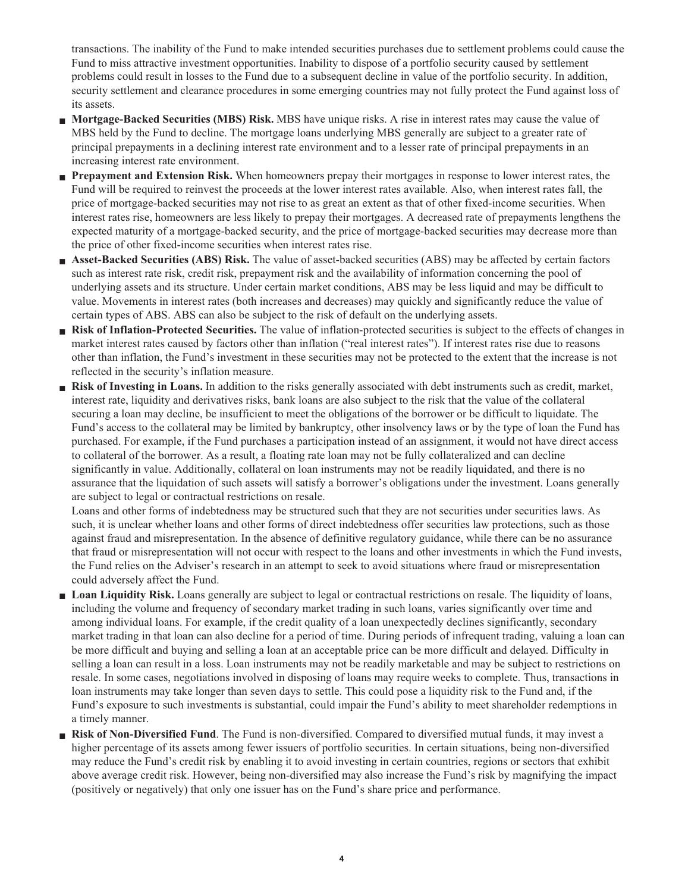**transactions. The inability of the Fund to make intended securities purchases due to settlement problems could cause the Fund to miss attractive investment opportunities. Inability to dispose of a portfolio security caused by settlement problems could result in losses to the Fund due to a subsequent decline in value of the portfolio security. In addition, security settlement and clearance procedures in some emerging countries may not fully protect the Fund against loss of its assets.**

- **■ Mortgage-Backed Securities (MBS) Risk. MBS have unique risks. A rise in interest rates may cause the value of MBS held by the Fund to decline. The mortgage loans underlying MBS generally are subject to a greater rate of principal prepayments in a declining interest rate environment and to a lesser rate of principal prepayments in an increasing interest rate environment.**
- **■ Prepayment and Extension Risk. When homeowners prepay their mortgages in response to lower interest rates, the Fund will be required to reinvest the proceeds at the lower interest rates available. Also, when interest rates fall, the price of mortgage-backed securities may not rise to as great an extent as that of other fixed-income securities. When interest rates rise, homeowners are less likely to prepay their mortgages. A decreased rate of prepayments lengthens the expected maturity of a mortgage-backed security, and the price of mortgage-backed securities may decrease more than the price of other fixed-income securities when interest rates rise.**
- **■ Asset-Backed Securities (ABS) Risk. The value of asset-backed securities (ABS) may be affected by certain factors such as interest rate risk, credit risk, prepayment risk and the availability of information concerning the pool of underlying assets and its structure. Under certain market conditions, ABS may be less liquid and may be difficult to value. Movements in interest rates (both increases and decreases) may quickly and significantly reduce the value of certain types of ABS. ABS can also be subject to the risk of default on the underlying assets.**
- **■ Risk of Inflation-Protected Securities. The value of inflation-protected securities is subject to the effects of changes in market interest rates caused by factors other than inflation ("real interest rates"). If interest rates rise due to reasons other than inflation, the Fund's investment in these securities may not be protected to the extent that the increase is not reflected in the security's inflation measure.**
- **■ Risk of Investing in Loans. In addition to the risks generally associated with debt instruments such as credit, market, interest rate, liquidity and derivatives risks, bank loans are also subject to the risk that the value of the collateral securing a loan may decline, be insufficient to meet the obligations of the borrower or be difficult to liquidate. The Fund's access to the collateral may be limited by bankruptcy, other insolvency laws or by the type of loan the Fund has purchased. For example, if the Fund purchases a participation instead of an assignment, it would not have direct access to collateral of the borrower. As a result, a floating rate loan may not be fully collateralized and can decline significantly in value. Additionally, collateral on loan instruments may not be readily liquidated, and there is no assurance that the liquidation of such assets will satisfy a borrower's obligations under the investment. Loans generally are subject to legal or contractual restrictions on resale.**

**Loans and other forms of indebtedness may be structured such that they are not securities under securities laws. As such, it is unclear whether loans and other forms of direct indebtedness offer securities law protections, such as those against fraud and misrepresentation. In the absence of definitive regulatory guidance, while there can be no assurance that fraud or misrepresentation will not occur with respect to the loans and other investments in which the Fund invests, the Fund relies on the Adviser's research in an attempt to seek to avoid situations where fraud or misrepresentation could adversely affect the Fund.**

- **■ Loan Liquidity Risk. Loans generally are subject to legal or contractual restrictions on resale. The liquidity of loans, including the volume and frequency of secondary market trading in such loans, varies significantly over time and among individual loans. For example, if the credit quality of a loan unexpectedly declines significantly, secondary market trading in that loan can also decline for a period of time. During periods of infrequent trading, valuing a loan can be more difficult and buying and selling a loan at an acceptable price can be more difficult and delayed. Difficulty in selling a loan can result in a loss. Loan instruments may not be readily marketable and may be subject to restrictions on resale. In some cases, negotiations involved in disposing of loans may require weeks to complete. Thus, transactions in loan instruments may take longer than seven days to settle. This could pose a liquidity risk to the Fund and, if the Fund's exposure to such investments is substantial, could impair the Fund's ability to meet shareholder redemptions in a timely manner.**
- **■ Risk of Non-Diversified Fund. The Fund is non-diversified. Compared to diversified mutual funds, it may invest a higher percentage of its assets among fewer issuers of portfolio securities. In certain situations, being non-diversified may reduce the Fund's credit risk by enabling it to avoid investing in certain countries, regions or sectors that exhibit above average credit risk. However, being non-diversified may also increase the Fund's risk by magnifying the impact (positively or negatively) that only one issuer has on the Fund's share price and performance.**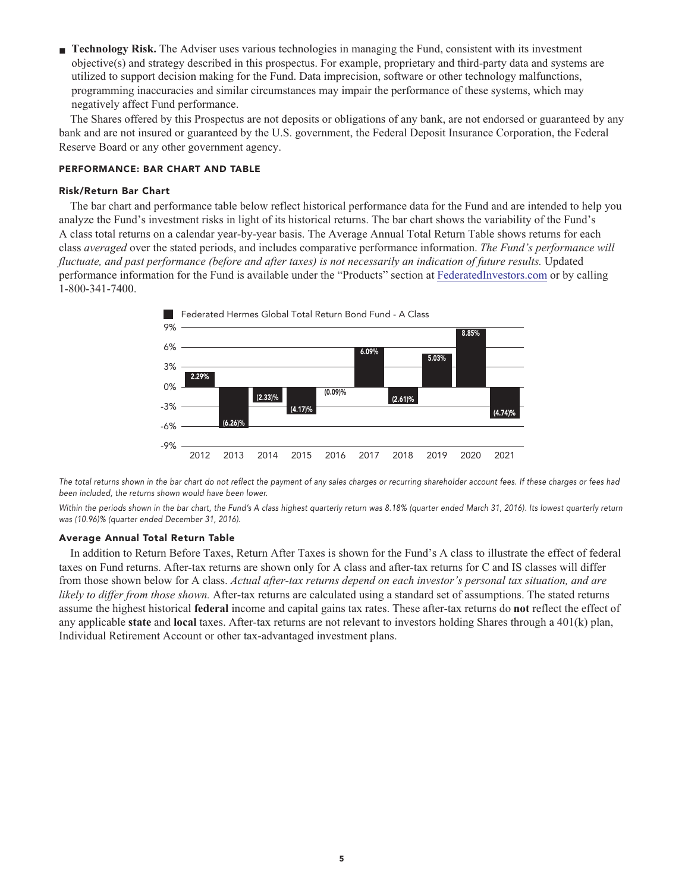**■ Technology Risk. The Adviser uses various technologies in managing the Fund, consistent with its investment objective(s) and strategy described in this prospectus. For example, proprietary and third-party data and systems are utilized to support decision making for the Fund. Data imprecision, software or other technology malfunctions, programming inaccuracies and similar circumstances may impair the performance of these systems, which may negatively affect Fund performance.**

**The Shares offered by this Prospectus are not deposits or obligations of any bank, are not endorsed or guaranteed by any bank and are not insured or guaranteed by the U.S. government, the Federal Deposit Insurance Corporation, the Federal Reserve Board or any other government agency.**

#### **PERFORMANCE: BAR CHART AND TABLE**

#### **Risk/Return Bar Chart**

**The bar chart and performance table below reflect historical performance data for the Fund and are intended to help you analyze the Fund's investment risks in light of its historical returns. The bar chart shows the variability of the Fund's A class total returns on a calendar year-by-year basis. The Average Annual Total Return Table shows returns for each class** *averaged* **over the stated periods, and includes comparative performance information.** *The Fund's performance will fluctuate, and past performance (before and after taxes) is not necessarily an indication of future results.* **Updated performance information for the Fund is available under the "Products" section at [FederatedInvestors.com](https://www.federatedinvestors.com/home.do) or by calling 1-800-341-7400.**



**The total returns shown in the bar chart do not reflect the payment of any sales charges or recurring shareholder account fees. If these charges or fees had been included, the returns shown would have been lower.**

**Within the periods shown in the bar chart, the Fund's A class highest quarterly return was 8.18% (quarter ended March 31, 2016). Its lowest quarterly return was (10.96)% (quarter ended December 31, 2016).**

#### **Average Annual Total Return Table**

**In addition to Return Before Taxes, Return After Taxes is shown for the Fund's A class to illustrate the effect of federal taxes on Fund returns. After-tax returns are shown only for A class and after-tax returns for C and IS classes will differ from those shown below for A class.** *Actual after-tax returns depend on each investor's personal tax situation, and are likely to differ from those shown.* **After-tax returns are calculated using a standard set of assumptions. The stated returns assume the highest historical federal income and capital gains tax rates. These after-tax returns do not reflect the effect of any applicable state and local taxes. After-tax returns are not relevant to investors holding Shares through a 401(k) plan, Individual Retirement Account or other tax-advantaged investment plans.**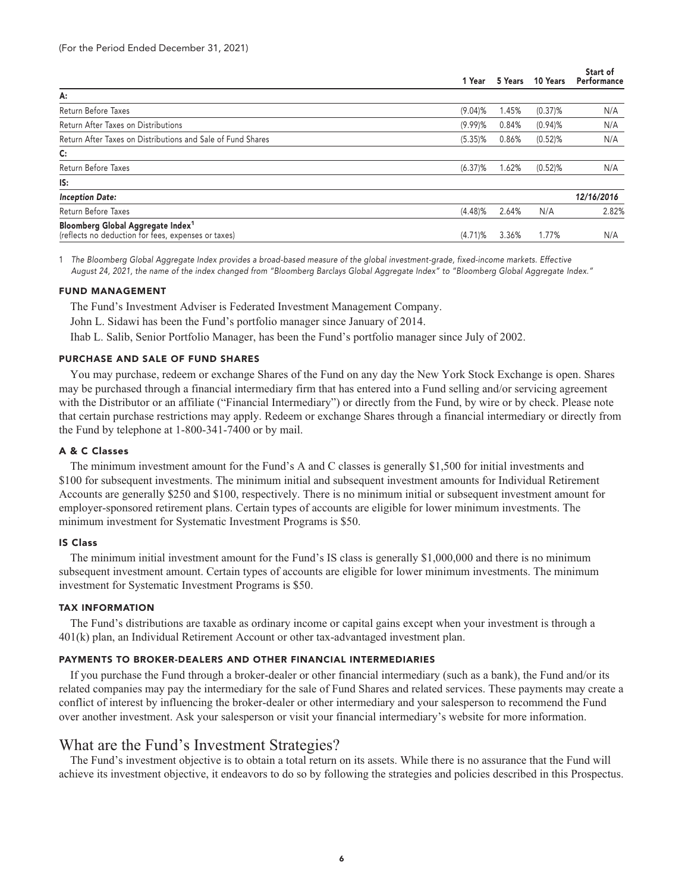| 10 Years<br>5 Years | Start of<br>Performance |
|---------------------|-------------------------|
|                     |                         |
| 1.45%<br>$(0.37)$ % | N/A                     |
| 0.84%<br>$(0.94)$ % | N/A                     |
| $(0.52)$ %<br>0.86% | N/A                     |
|                     |                         |
| 1.62%<br>$(0.52)$ % | N/A                     |
|                     |                         |
|                     | 12/16/2016              |
| N/A<br>2.64%        | 2.82%                   |
| 1.77%<br>3.36%      | N/A                     |
|                     |                         |

**1 The Bloomberg Global Aggregate Index provides a broad-based measure of the global investment-grade, fixed-income markets. Effective August 24, 2021, the name of the index changed from "Bloomberg Barclays Global Aggregate Index" to "Bloomberg Global Aggregate Index."**

#### **FUND MANAGEMENT**

**The Fund's Investment Adviser is Federated Investment Management Company.**

**John L. Sidawi has been the Fund's portfolio manager since January of 2014.**

**Ihab L. Salib, Senior Portfolio Manager, has been the Fund's portfolio manager since July of 2002.**

#### **PURCHASE AND SALE OF FUND SHARES**

**You may purchase, redeem or exchange Shares of the Fund on any day the New York Stock Exchange is open. Shares may be purchased through a financial intermediary firm that has entered into a Fund selling and/or servicing agreement with the Distributor or an affiliate ("Financial Intermediary") or directly from the Fund, by wire or by check. Please note that certain purchase restrictions may apply. Redeem or exchange Shares through a financial intermediary or directly from the Fund by telephone at 1-800-341-7400 or by mail.**

# **A & C Classes**

**The minimum investment amount for the Fund's A and C classes is generally \$1,500 for initial investments and \$100 for subsequent investments. The minimum initial and subsequent investment amounts for Individual Retirement Accounts are generally \$250 and \$100, respectively. There is no minimum initial or subsequent investment amount for employer-sponsored retirement plans. Certain types of accounts are eligible for lower minimum investments. The minimum investment for Systematic Investment Programs is \$50.**

#### **IS Class**

**The minimum initial investment amount for the Fund's IS class is generally \$1,000,000 and there is no minimum subsequent investment amount. Certain types of accounts are eligible for lower minimum investments. The minimum investment for Systematic Investment Programs is \$50.**

# **TAX INFORMATION**

**The Fund's distributions are taxable as ordinary income or capital gains except when your investment is through a 401(k) plan, an Individual Retirement Account or other tax-advantaged investment plan.**

# **PAYMENTS TO BROKER-DEALERS AND OTHER FINANCIAL INTERMEDIARIES**

**If you purchase the Fund through a broker-dealer or other financial intermediary (such as a bank), the Fund and/or its related companies may pay the intermediary for the sale of Fund Shares and related services. These payments may create a conflict of interest by influencing the broker-dealer or other intermediary and your salesperson to recommend the Fund over another investment. Ask your salesperson or visit your financial intermediary's website for more information.**

# **What are the Fund's Investment Strategies?**

**The Fund's investment objective is to obtain a total return on its assets. While there is no assurance that the Fund will achieve its investment objective, it endeavors to do so by following the strategies and policies described in this Prospectus.**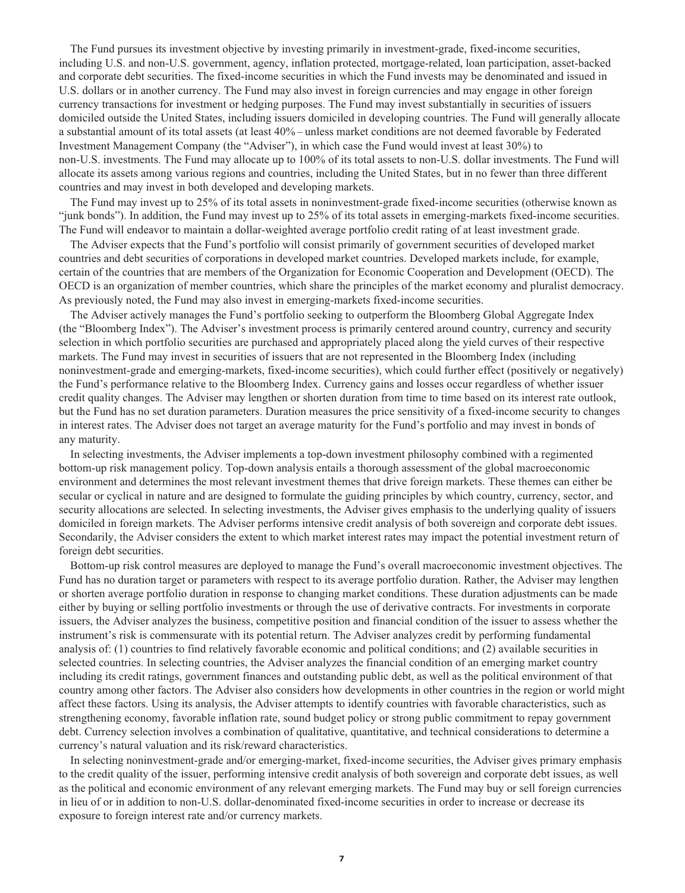**The Fund pursues its investment objective by investing primarily in investment-grade, fixed-income securities, including U.S. and non-U.S. government, agency, inflation protected, mortgage-related, loan participation, asset-backed and corporate debt securities. The fixed-income securities in which the Fund invests may be denominated and issued in U.S. dollars or in another currency. The Fund may also invest in foreign currencies and may engage in other foreign currency transactions for investment or hedging purposes. The Fund may invest substantially in securities of issuers domiciled outside the United States, including issuers domiciled in developing countries. The Fund will generally allocate a substantial amount of its total assets (at least 40% – unless market conditions are not deemed favorable by Federated Investment Management Company (the "Adviser"), in which case the Fund would invest at least 30%) to non-U.S. investments. The Fund may allocate up to 100% of its total assets to non-U.S. dollar investments. The Fund will allocate its assets among various regions and countries, including the United States, but in no fewer than three different countries and may invest in both developed and developing markets.**

**The Fund may invest up to 25% of its total assets in noninvestment-grade fixed-income securities (otherwise known as "junk bonds"). In addition, the Fund may invest up to 25% of its total assets in emerging-markets fixed-income securities. The Fund will endeavor to maintain a dollar-weighted average portfolio credit rating of at least investment grade.**

**The Adviser expects that the Fund's portfolio will consist primarily of government securities of developed market countries and debt securities of corporations in developed market countries. Developed markets include, for example, certain of the countries that are members of the Organization for Economic Cooperation and Development (OECD). The OECD is an organization of member countries, which share the principles of the market economy and pluralist democracy. As previously noted, the Fund may also invest in emerging-markets fixed-income securities.**

**The Adviser actively manages the Fund's portfolio seeking to outperform the Bloomberg Global Aggregate Index (the "Bloomberg Index"). The Adviser's investment process is primarily centered around country, currency and security selection in which portfolio securities are purchased and appropriately placed along the yield curves of their respective markets. The Fund may invest in securities of issuers that are not represented in the Bloomberg Index (including noninvestment-grade and emerging-markets, fixed-income securities), which could further effect (positively or negatively) the Fund's performance relative to the Bloomberg Index. Currency gains and losses occur regardless of whether issuer credit quality changes. The Adviser may lengthen or shorten duration from time to time based on its interest rate outlook, but the Fund has no set duration parameters. Duration measures the price sensitivity of a fixed-income security to changes in interest rates. The Adviser does not target an average maturity for the Fund's portfolio and may invest in bonds of any maturity.**

**In selecting investments, the Adviser implements a top-down investment philosophy combined with a regimented bottom-up risk management policy. Top-down analysis entails a thorough assessment of the global macroeconomic environment and determines the most relevant investment themes that drive foreign markets. These themes can either be secular or cyclical in nature and are designed to formulate the guiding principles by which country, currency, sector, and security allocations are selected. In selecting investments, the Adviser gives emphasis to the underlying quality of issuers domiciled in foreign markets. The Adviser performs intensive credit analysis of both sovereign and corporate debt issues. Secondarily, the Adviser considers the extent to which market interest rates may impact the potential investment return of foreign debt securities.**

**Bottom-up risk control measures are deployed to manage the Fund's overall macroeconomic investment objectives. The Fund has no duration target or parameters with respect to its average portfolio duration. Rather, the Adviser may lengthen or shorten average portfolio duration in response to changing market conditions. These duration adjustments can be made either by buying or selling portfolio investments or through the use of derivative contracts. For investments in corporate issuers, the Adviser analyzes the business, competitive position and financial condition of the issuer to assess whether the instrument's risk is commensurate with its potential return. The Adviser analyzes credit by performing fundamental analysis of: (1) countries to find relatively favorable economic and political conditions; and (2) available securities in selected countries. In selecting countries, the Adviser analyzes the financial condition of an emerging market country including its credit ratings, government finances and outstanding public debt, as well as the political environment of that country among other factors. The Adviser also considers how developments in other countries in the region or world might affect these factors. Using its analysis, the Adviser attempts to identify countries with favorable characteristics, such as strengthening economy, favorable inflation rate, sound budget policy or strong public commitment to repay government debt. Currency selection involves a combination of qualitative, quantitative, and technical considerations to determine a currency's natural valuation and its risk/reward characteristics.**

**In selecting noninvestment-grade and/or emerging-market, fixed-income securities, the Adviser gives primary emphasis to the credit quality of the issuer, performing intensive credit analysis of both sovereign and corporate debt issues, as well as the political and economic environment of any relevant emerging markets. The Fund may buy or sell foreign currencies in lieu of or in addition to non-U.S. dollar-denominated fixed-income securities in order to increase or decrease its exposure to foreign interest rate and/or currency markets.**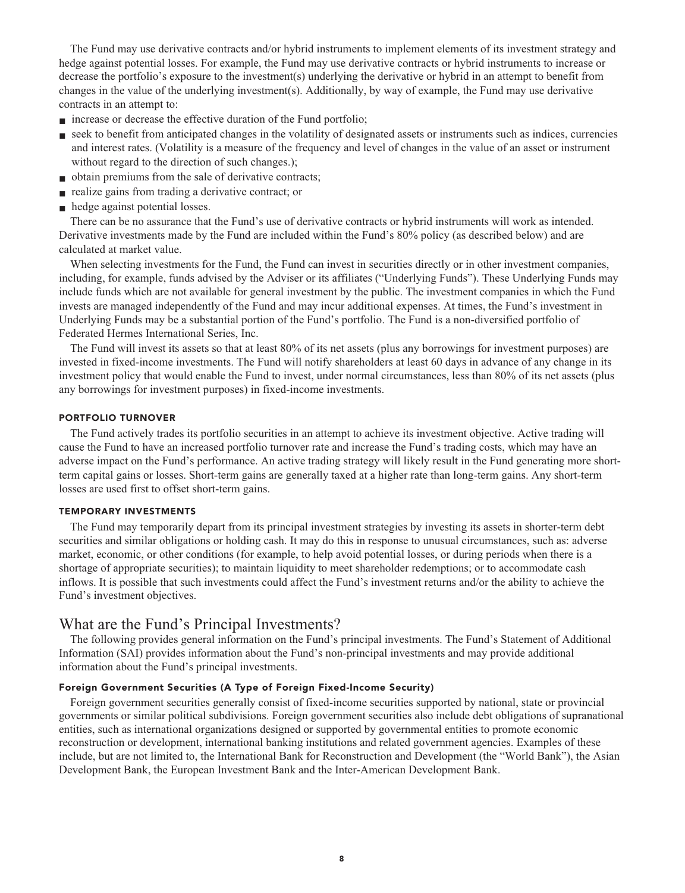**The Fund may use derivative contracts and/or hybrid instruments to implement elements of its investment strategy and hedge against potential losses. For example, the Fund may use derivative contracts or hybrid instruments to increase or decrease the portfolio's exposure to the investment(s) underlying the derivative or hybrid in an attempt to benefit from changes in the value of the underlying investment(s). Additionally, by way of example, the Fund may use derivative contracts in an attempt to:**

- **increase** or decrease the effective duration of the Fund portfolio;
- **seek to benefit from anticipated changes in the volatility of designated assets or instruments such as indices, currencies and interest rates. (Volatility is a measure of the frequency and level of changes in the value of an asset or instrument without regard to the direction of such changes.);**
- **■ obtain premiums from the sale of derivative contracts;**
- **■ realize gains from trading a derivative contract; or**
- **hedge against potential losses.**

**There can be no assurance that the Fund's use of derivative contracts or hybrid instruments will work as intended. Derivative investments made by the Fund are included within the Fund's 80% policy (as described below) and are calculated at market value.**

**When selecting investments for the Fund, the Fund can invest in securities directly or in other investment companies, including, for example, funds advised by the Adviser or its affiliates ("Underlying Funds"). These Underlying Funds may include funds which are not available for general investment by the public. The investment companies in which the Fund invests are managed independently of the Fund and may incur additional expenses. At times, the Fund's investment in Underlying Funds may be a substantial portion of the Fund's portfolio. The Fund is a non-diversified portfolio of Federated Hermes International Series, Inc.**

**The Fund will invest its assets so that at least 80% of its net assets (plus any borrowings for investment purposes) are invested in fixed-income investments. The Fund will notify shareholders at least 60 days in advance of any change in its investment policy that would enable the Fund to invest, under normal circumstances, less than 80% of its net assets (plus any borrowings for investment purposes) in fixed-income investments.**

# **PORTFOLIO TURNOVER**

**The Fund actively trades its portfolio securities in an attempt to achieve its investment objective. Active trading will cause the Fund to have an increased portfolio turnover rate and increase the Fund's trading costs, which may have an adverse impact on the Fund's performance. An active trading strategy will likely result in the Fund generating more shortterm capital gains or losses. Short-term gains are generally taxed at a higher rate than long-term gains. Any short-term losses are used first to offset short-term gains.**

# **TEMPORARY INVESTMENTS**

**The Fund may temporarily depart from its principal investment strategies by investing its assets in shorter-term debt securities and similar obligations or holding cash. It may do this in response to unusual circumstances, such as: adverse market, economic, or other conditions (for example, to help avoid potential losses, or during periods when there is a shortage of appropriate securities); to maintain liquidity to meet shareholder redemptions; or to accommodate cash inflows. It is possible that such investments could affect the Fund's investment returns and/or the ability to achieve the Fund's investment objectives.**

# **What are the Fund's Principal Investments?**

**The following provides general information on the Fund's principal investments. The Fund's Statement of Additional Information (SAI) provides information about the Fund's non-principal investments and may provide additional information about the Fund's principal investments.**

# **Foreign Government Securities (A Type of Foreign Fixed-Income Security)**

**Foreign government securities generally consist of fixed-income securities supported by national, state or provincial governments or similar political subdivisions. Foreign government securities also include debt obligations of supranational entities, such as international organizations designed or supported by governmental entities to promote economic reconstruction or development, international banking institutions and related government agencies. Examples of these include, but are not limited to, the International Bank for Reconstruction and Development (the "World Bank"), the Asian Development Bank, the European Investment Bank and the Inter-American Development Bank.**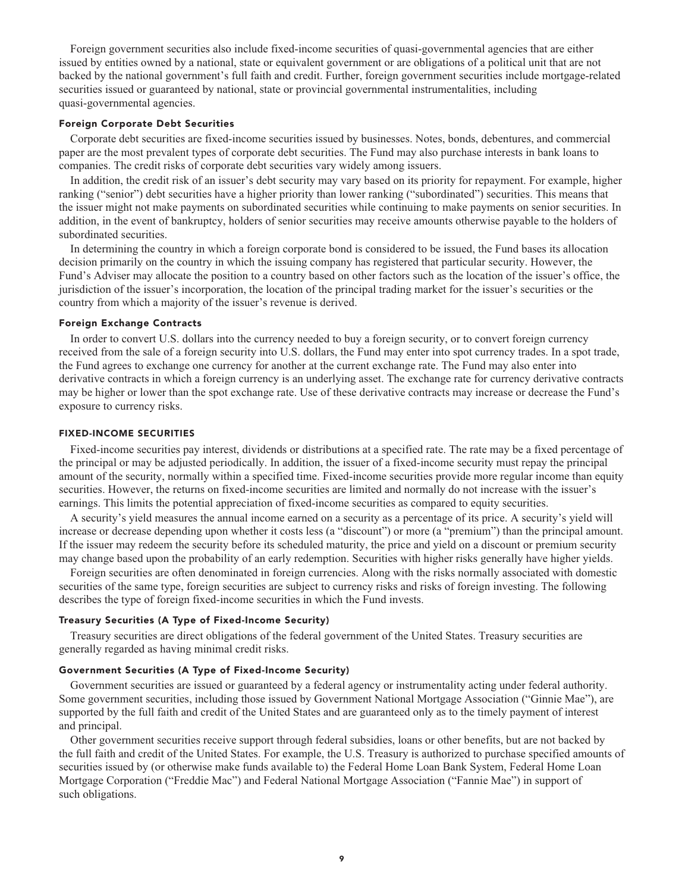**Foreign government securities also include fixed-income securities of quasi-governmental agencies that are either issued by entities owned by a national, state or equivalent government or are obligations of a political unit that are not backed by the national government's full faith and credit. Further, foreign government securities include mortgage-related securities issued or guaranteed by national, state or provincial governmental instrumentalities, including quasi-governmental agencies.**

# **Foreign Corporate Debt Securities**

**Corporate debt securities are fixed-income securities issued by businesses. Notes, bonds, debentures, and commercial paper are the most prevalent types of corporate debt securities. The Fund may also purchase interests in bank loans to companies. The credit risks of corporate debt securities vary widely among issuers.**

**In addition, the credit risk of an issuer's debt security may vary based on its priority for repayment. For example, higher ranking ("senior") debt securities have a higher priority than lower ranking ("subordinated") securities. This means that the issuer might not make payments on subordinated securities while continuing to make payments on senior securities. In addition, in the event of bankruptcy, holders of senior securities may receive amounts otherwise payable to the holders of subordinated securities.**

**In determining the country in which a foreign corporate bond is considered to be issued, the Fund bases its allocation decision primarily on the country in which the issuing company has registered that particular security. However, the Fund's Adviser may allocate the position to a country based on other factors such as the location of the issuer's office, the jurisdiction of the issuer's incorporation, the location of the principal trading market for the issuer's securities or the country from which a majority of the issuer's revenue is derived.**

### **Foreign Exchange Contracts**

**In order to convert U.S. dollars into the currency needed to buy a foreign security, or to convert foreign currency received from the sale of a foreign security into U.S. dollars, the Fund may enter into spot currency trades. In a spot trade, the Fund agrees to exchange one currency for another at the current exchange rate. The Fund may also enter into derivative contracts in which a foreign currency is an underlying asset. The exchange rate for currency derivative contracts may be higher or lower than the spot exchange rate. Use of these derivative contracts may increase or decrease the Fund's exposure to currency risks.**

### **FIXED-INCOME SECURITIES**

**Fixed-income securities pay interest, dividends or distributions at a specified rate. The rate may be a fixed percentage of the principal or may be adjusted periodically. In addition, the issuer of a fixed-income security must repay the principal amount of the security, normally within a specified time. Fixed-income securities provide more regular income than equity securities. However, the returns on fixed-income securities are limited and normally do not increase with the issuer's earnings. This limits the potential appreciation of fixed-income securities as compared to equity securities.**

**A security's yield measures the annual income earned on a security as a percentage of its price. A security's yield will increase or decrease depending upon whether it costs less (a "discount") or more (a "premium") than the principal amount. If the issuer may redeem the security before its scheduled maturity, the price and yield on a discount or premium security may change based upon the probability of an early redemption. Securities with higher risks generally have higher yields.**

**Foreign securities are often denominated in foreign currencies. Along with the risks normally associated with domestic securities of the same type, foreign securities are subject to currency risks and risks of foreign investing. The following describes the type of foreign fixed-income securities in which the Fund invests.**

#### **Treasury Securities (A Type of Fixed-Income Security)**

**Treasury securities are direct obligations of the federal government of the United States. Treasury securities are generally regarded as having minimal credit risks.**

# **Government Securities (A Type of Fixed-Income Security)**

**Government securities are issued or guaranteed by a federal agency or instrumentality acting under federal authority. Some government securities, including those issued by Government National Mortgage Association ("Ginnie Mae"), are supported by the full faith and credit of the United States and are guaranteed only as to the timely payment of interest and principal.**

**Other government securities receive support through federal subsidies, loans or other benefits, but are not backed by the full faith and credit of the United States. For example, the U.S. Treasury is authorized to purchase specified amounts of securities issued by (or otherwise make funds available to) the Federal Home Loan Bank System, Federal Home Loan Mortgage Corporation ("Freddie Mac") and Federal National Mortgage Association ("Fannie Mae") in support of such obligations.**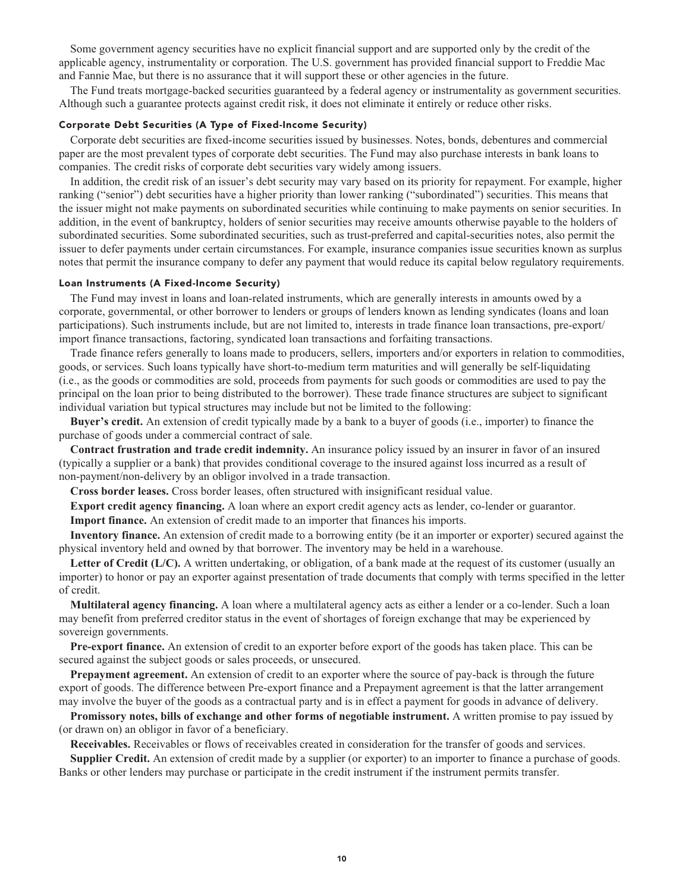**Some government agency securities have no explicit financial support and are supported only by the credit of the applicable agency, instrumentality or corporation. The U.S. government has provided financial support to Freddie Mac and Fannie Mae, but there is no assurance that it will support these or other agencies in the future.**

**The Fund treats mortgage-backed securities guaranteed by a federal agency or instrumentality as government securities. Although such a guarantee protects against credit risk, it does not eliminate it entirely or reduce other risks.**

#### **Corporate Debt Securities (A Type of Fixed-Income Security)**

**Corporate debt securities are fixed-income securities issued by businesses. Notes, bonds, debentures and commercial paper are the most prevalent types of corporate debt securities. The Fund may also purchase interests in bank loans to companies. The credit risks of corporate debt securities vary widely among issuers.**

**In addition, the credit risk of an issuer's debt security may vary based on its priority for repayment. For example, higher ranking ("senior") debt securities have a higher priority than lower ranking ("subordinated") securities. This means that the issuer might not make payments on subordinated securities while continuing to make payments on senior securities. In addition, in the event of bankruptcy, holders of senior securities may receive amounts otherwise payable to the holders of subordinated securities. Some subordinated securities, such as trust-preferred and capital-securities notes, also permit the issuer to defer payments under certain circumstances. For example, insurance companies issue securities known as surplus notes that permit the insurance company to defer any payment that would reduce its capital below regulatory requirements.**

# **Loan Instruments (A Fixed-Income Security)**

**The Fund may invest in loans and loan-related instruments, which are generally interests in amounts owed by a corporate, governmental, or other borrower to lenders or groups of lenders known as lending syndicates (loans and loan participations). Such instruments include, but are not limited to, interests in trade finance loan transactions, pre-export/ import finance transactions, factoring, syndicated loan transactions and forfaiting transactions.**

**Trade finance refers generally to loans made to producers, sellers, importers and/or exporters in relation to commodities, goods, or services. Such loans typically have short-to-medium term maturities and will generally be self-liquidating (i.e., as the goods or commodities are sold, proceeds from payments for such goods or commodities are used to pay the principal on the loan prior to being distributed to the borrower). These trade finance structures are subject to significant individual variation but typical structures may include but not be limited to the following:**

**Buyer's credit. An extension of credit typically made by a bank to a buyer of goods (i.e., importer) to finance the purchase of goods under a commercial contract of sale.**

**Contract frustration and trade credit indemnity. An insurance policy issued by an insurer in favor of an insured (typically a supplier or a bank) that provides conditional coverage to the insured against loss incurred as a result of non-payment/non-delivery by an obligor involved in a trade transaction.**

**Cross border leases. Cross border leases, often structured with insignificant residual value.**

**Export credit agency financing. A loan where an export credit agency acts as lender, co-lender or guarantor.**

**Import finance. An extension of credit made to an importer that finances his imports.**

**Inventory finance. An extension of credit made to a borrowing entity (be it an importer or exporter) secured against the physical inventory held and owned by that borrower. The inventory may be held in a warehouse.**

**Letter of Credit (L/C). A written undertaking, or obligation, of a bank made at the request of its customer (usually an importer) to honor or pay an exporter against presentation of trade documents that comply with terms specified in the letter of credit.**

**Multilateral agency financing. A loan where a multilateral agency acts as either a lender or a co-lender. Such a loan may benefit from preferred creditor status in the event of shortages of foreign exchange that may be experienced by sovereign governments.**

**Pre-export finance. An extension of credit to an exporter before export of the goods has taken place. This can be secured against the subject goods or sales proceeds, or unsecured.**

**Prepayment agreement. An extension of credit to an exporter where the source of pay-back is through the future export of goods. The difference between Pre-export finance and a Prepayment agreement is that the latter arrangement may involve the buyer of the goods as a contractual party and is in effect a payment for goods in advance of delivery.**

**Promissory notes, bills of exchange and other forms of negotiable instrument. A written promise to pay issued by (or drawn on) an obligor in favor of a beneficiary.**

**Receivables. Receivables or flows of receivables created in consideration for the transfer of goods and services.**

**Supplier Credit. An extension of credit made by a supplier (or exporter) to an importer to finance a purchase of goods. Banks or other lenders may purchase or participate in the credit instrument if the instrument permits transfer.**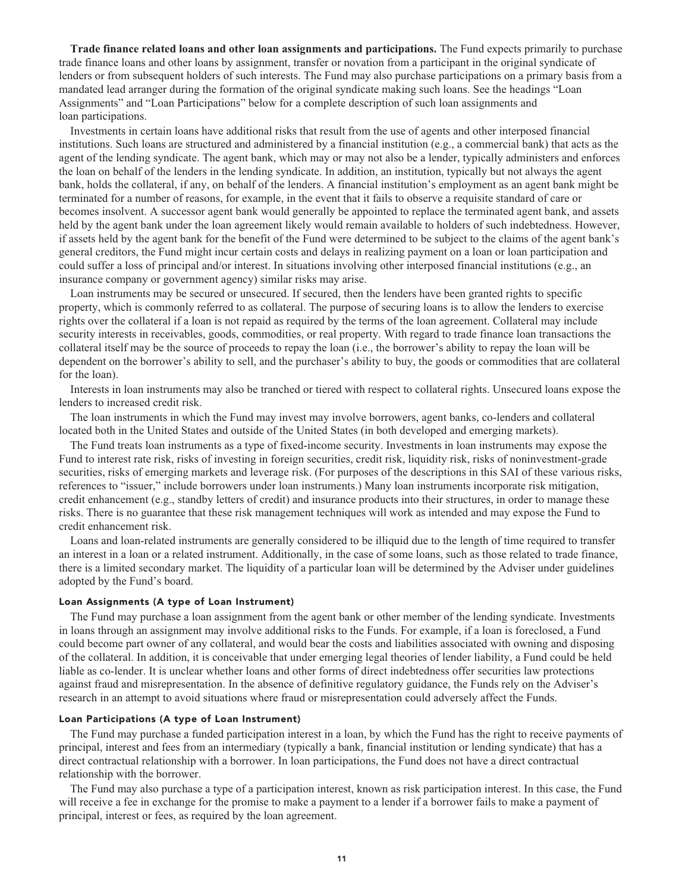**Trade finance related loans and other loan assignments and participations. The Fund expects primarily to purchase trade finance loans and other loans by assignment, transfer or novation from a participant in the original syndicate of lenders or from subsequent holders of such interests. The Fund may also purchase participations on a primary basis from a mandated lead arranger during the formation of the original syndicate making such loans. See the headings "Loan Assignments" and "Loan Participations" below for a complete description of such loan assignments and loan participations.**

**Investments in certain loans have additional risks that result from the use of agents and other interposed financial institutions. Such loans are structured and administered by a financial institution (e.g., a commercial bank) that acts as the agent of the lending syndicate. The agent bank, which may or may not also be a lender, typically administers and enforces the loan on behalf of the lenders in the lending syndicate. In addition, an institution, typically but not always the agent bank, holds the collateral, if any, on behalf of the lenders. A financial institution's employment as an agent bank might be terminated for a number of reasons, for example, in the event that it fails to observe a requisite standard of care or becomes insolvent. A successor agent bank would generally be appointed to replace the terminated agent bank, and assets held by the agent bank under the loan agreement likely would remain available to holders of such indebtedness. However, if assets held by the agent bank for the benefit of the Fund were determined to be subject to the claims of the agent bank's general creditors, the Fund might incur certain costs and delays in realizing payment on a loan or loan participation and could suffer a loss of principal and/or interest. In situations involving other interposed financial institutions (e.g., an insurance company or government agency) similar risks may arise.**

Loan instruments may be secured or unsecured. If secured, then the lenders have been granted rights to specific **property, which is commonly referred to as collateral. The purpose of securing loans is to allow the lenders to exercise rights over the collateral if a loan is not repaid as required by the terms of the loan agreement. Collateral may include security interests in receivables, goods, commodities, or real property. With regard to trade finance loan transactions the collateral itself may be the source of proceeds to repay the loan (i.e., the borrower's ability to repay the loan will be dependent on the borrower's ability to sell, and the purchaser's ability to buy, the goods or commodities that are collateral for the loan).**

**Interests in loan instruments may also be tranched or tiered with respect to collateral rights. Unsecured loans expose the lenders to increased credit risk.**

**The loan instruments in which the Fund may invest may involve borrowers, agent banks, co-lenders and collateral located both in the United States and outside of the United States (in both developed and emerging markets).**

**The Fund treats loan instruments as a type of fixed-income security. Investments in loan instruments may expose the Fund to interest rate risk, risks of investing in foreign securities, credit risk, liquidity risk, risks of noninvestment-grade securities, risks of emerging markets and leverage risk. (For purposes of the descriptions in this SAI of these various risks, references to "issuer," include borrowers under loan instruments.) Many loan instruments incorporate risk mitigation, credit enhancement (e.g., standby letters of credit) and insurance products into their structures, in order to manage these risks. There is no guarantee that these risk management techniques will work as intended and may expose the Fund to credit enhancement risk.**

**Loans and loan-related instruments are generally considered to be illiquid due to the length of time required to transfer an interest in a loan or a related instrument. Additionally, in the case of some loans, such as those related to trade finance, there is a limited secondary market. The liquidity of a particular loan will be determined by the Adviser under guidelines adopted by the Fund's board.**

#### **Loan Assignments (A type of Loan Instrument)**

**The Fund may purchase a loan assignment from the agent bank or other member of the lending syndicate. Investments in loans through an assignment may involve additional risks to the Funds. For example, if a loan is foreclosed, a Fund could become part owner of any collateral, and would bear the costs and liabilities associated with owning and disposing of the collateral. In addition, it is conceivable that under emerging legal theories of lender liability, a Fund could be held liable as co-lender. It is unclear whether loans and other forms of direct indebtedness offer securities law protections against fraud and misrepresentation. In the absence of definitive regulatory guidance, the Funds rely on the Adviser's research in an attempt to avoid situations where fraud or misrepresentation could adversely affect the Funds.**

# **Loan Participations (A type of Loan Instrument)**

**The Fund may purchase a funded participation interest in a loan, by which the Fund has the right to receive payments of principal, interest and fees from an intermediary (typically a bank, financial institution or lending syndicate) that has a direct contractual relationship with a borrower. In loan participations, the Fund does not have a direct contractual relationship with the borrower.**

**The Fund may also purchase a type of a participation interest, known as risk participation interest. In this case, the Fund will receive a fee in exchange for the promise to make a payment to a lender if a borrower fails to make a payment of principal, interest or fees, as required by the loan agreement.**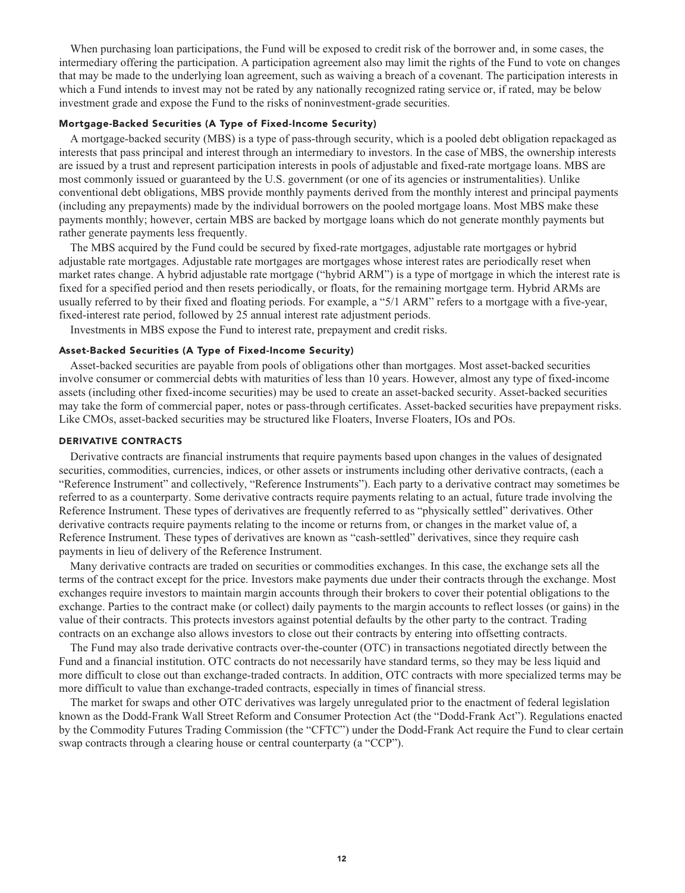**When purchasing loan participations, the Fund will be exposed to credit risk of the borrower and, in some cases, the intermediary offering the participation. A participation agreement also may limit the rights of the Fund to vote on changes that may be made to the underlying loan agreement, such as waiving a breach of a covenant. The participation interests in which a Fund intends to invest may not be rated by any nationally recognized rating service or, if rated, may be below investment grade and expose the Fund to the risks of noninvestment-grade securities.**

# **Mortgage-Backed Securities (A Type of Fixed-Income Security)**

**A mortgage-backed security (MBS) is a type of pass-through security, which is a pooled debt obligation repackaged as interests that pass principal and interest through an intermediary to investors. In the case of MBS, the ownership interests are issued by a trust and represent participation interests in pools of adjustable and fixed-rate mortgage loans. MBS are most commonly issued or guaranteed by the U.S. government (or one of its agencies or instrumentalities). Unlike conventional debt obligations, MBS provide monthly payments derived from the monthly interest and principal payments (including any prepayments) made by the individual borrowers on the pooled mortgage loans. Most MBS make these payments monthly; however, certain MBS are backed by mortgage loans which do not generate monthly payments but rather generate payments less frequently.**

**The MBS acquired by the Fund could be secured by fixed-rate mortgages, adjustable rate mortgages or hybrid adjustable rate mortgages. Adjustable rate mortgages are mortgages whose interest rates are periodically reset when market rates change. A hybrid adjustable rate mortgage ("hybrid ARM") is a type of mortgage in which the interest rate is fixed for a specified period and then resets periodically, or floats, for the remaining mortgage term. Hybrid ARMs are usually referred to by their fixed and floating periods. For example, a "5/1 ARM" refers to a mortgage with a five-year, fixed-interest rate period, followed by 25 annual interest rate adjustment periods.**

**Investments in MBS expose the Fund to interest rate, prepayment and credit risks.**

# **Asset-Backed Securities (A Type of Fixed-Income Security)**

**Asset-backed securities are payable from pools of obligations other than mortgages. Most asset-backed securities involve consumer or commercial debts with maturities of less than 10 years. However, almost any type of fixed-income assets (including other fixed-income securities) may be used to create an asset-backed security. Asset-backed securities may take the form of commercial paper, notes or pass-through certificates. Asset-backed securities have prepayment risks. Like CMOs, asset-backed securities may be structured like Floaters, Inverse Floaters, IOs and POs.**

# **DERIVATIVE CONTRACTS**

**Derivative contracts are financial instruments that require payments based upon changes in the values of designated securities, commodities, currencies, indices, or other assets or instruments including other derivative contracts, (each a "Reference Instrument" and collectively, "Reference Instruments"). Each party to a derivative contract may sometimes be referred to as a counterparty. Some derivative contracts require payments relating to an actual, future trade involving the Reference Instrument. These types of derivatives are frequently referred to as "physically settled" derivatives. Other derivative contracts require payments relating to the income or returns from, or changes in the market value of, a Reference Instrument. These types of derivatives are known as "cash-settled" derivatives, since they require cash payments in lieu of delivery of the Reference Instrument.**

**Many derivative contracts are traded on securities or commodities exchanges. In this case, the exchange sets all the terms of the contract except for the price. Investors make payments due under their contracts through the exchange. Most exchanges require investors to maintain margin accounts through their brokers to cover their potential obligations to the exchange. Parties to the contract make (or collect) daily payments to the margin accounts to reflect losses (or gains) in the value of their contracts. This protects investors against potential defaults by the other party to the contract. Trading contracts on an exchange also allows investors to close out their contracts by entering into offsetting contracts.**

**The Fund may also trade derivative contracts over-the-counter (OTC) in transactions negotiated directly between the Fund and a financial institution. OTC contracts do not necessarily have standard terms, so they may be less liquid and more difficult to close out than exchange-traded contracts. In addition, OTC contracts with more specialized terms may be more difficult to value than exchange-traded contracts, especially in times of financial stress.**

**The market for swaps and other OTC derivatives was largely unregulated prior to the enactment of federal legislation known as the Dodd-Frank Wall Street Reform and Consumer Protection Act (the "Dodd-Frank Act"). Regulations enacted by the Commodity Futures Trading Commission (the "CFTC") under the Dodd-Frank Act require the Fund to clear certain swap contracts through a clearing house or central counterparty (a "CCP").**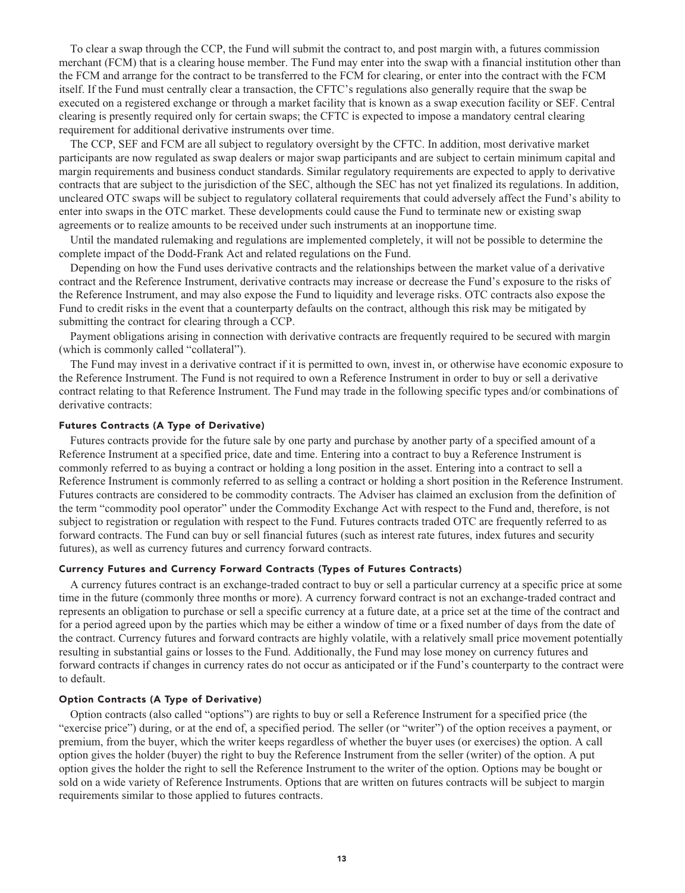**To clear a swap through the CCP, the Fund will submit the contract to, and post margin with, a futures commission merchant (FCM) that is a clearing house member. The Fund may enter into the swap with a financial institution other than the FCM and arrange for the contract to be transferred to the FCM for clearing, or enter into the contract with the FCM itself. If the Fund must centrally clear a transaction, the CFTC's regulations also generally require that the swap be executed on a registered exchange or through a market facility that is known as a swap execution facility or SEF. Central clearing is presently required only for certain swaps; the CFTC is expected to impose a mandatory central clearing requirement for additional derivative instruments over time.**

**The CCP, SEF and FCM are all subject to regulatory oversight by the CFTC. In addition, most derivative market participants are now regulated as swap dealers or major swap participants and are subject to certain minimum capital and margin requirements and business conduct standards. Similar regulatory requirements are expected to apply to derivative contracts that are subject to the jurisdiction of the SEC, although the SEC has not yet finalized its regulations. In addition, uncleared OTC swaps will be subject to regulatory collateral requirements that could adversely affect the Fund's ability to enter into swaps in the OTC market. These developments could cause the Fund to terminate new or existing swap agreements or to realize amounts to be received under such instruments at an inopportune time.**

**Until the mandated rulemaking and regulations are implemented completely, it will not be possible to determine the complete impact of the Dodd-Frank Act and related regulations on the Fund.**

**Depending on how the Fund uses derivative contracts and the relationships between the market value of a derivative contract and the Reference Instrument, derivative contracts may increase or decrease the Fund's exposure to the risks of the Reference Instrument, and may also expose the Fund to liquidity and leverage risks. OTC contracts also expose the Fund to credit risks in the event that a counterparty defaults on the contract, although this risk may be mitigated by submitting the contract for clearing through a CCP.**

**Payment obligations arising in connection with derivative contracts are frequently required to be secured with margin (which is commonly called "collateral").**

**The Fund may invest in a derivative contract if it is permitted to own, invest in, or otherwise have economic exposure to the Reference Instrument. The Fund is not required to own a Reference Instrument in order to buy or sell a derivative contract relating to that Reference Instrument. The Fund may trade in the following specific types and/or combinations of derivative contracts:**

# **Futures Contracts (A Type of Derivative)**

**Futures contracts provide for the future sale by one party and purchase by another party of a specified amount of a Reference Instrument at a specified price, date and time. Entering into a contract to buy a Reference Instrument is commonly referred to as buying a contract or holding a long position in the asset. Entering into a contract to sell a Reference Instrument is commonly referred to as selling a contract or holding a short position in the Reference Instrument. Futures contracts are considered to be commodity contracts. The Adviser has claimed an exclusion from the definition of the term "commodity pool operator" under the Commodity Exchange Act with respect to the Fund and, therefore, is not subject to registration or regulation with respect to the Fund. Futures contracts traded OTC are frequently referred to as forward contracts. The Fund can buy or sell financial futures (such as interest rate futures, index futures and security futures), as well as currency futures and currency forward contracts.**

# **Currency Futures and Currency Forward Contracts (Types of Futures Contracts)**

**A currency futures contract is an exchange-traded contract to buy or sell a particular currency at a specific price at some time in the future (commonly three months or more). A currency forward contract is not an exchange-traded contract and represents an obligation to purchase or sell a specific currency at a future date, at a price set at the time of the contract and for a period agreed upon by the parties which may be either a window of time or a fixed number of days from the date of the contract. Currency futures and forward contracts are highly volatile, with a relatively small price movement potentially resulting in substantial gains or losses to the Fund. Additionally, the Fund may lose money on currency futures and forward contracts if changes in currency rates do not occur as anticipated or if the Fund's counterparty to the contract were to default.**

#### **Option Contracts (A Type of Derivative)**

**Option contracts (also called "options") are rights to buy or sell a Reference Instrument for a specified price (the "exercise price") during, or at the end of, a specified period. The seller (or "writer") of the option receives a payment, or premium, from the buyer, which the writer keeps regardless of whether the buyer uses (or exercises) the option. A call option gives the holder (buyer) the right to buy the Reference Instrument from the seller (writer) of the option. A put option gives the holder the right to sell the Reference Instrument to the writer of the option. Options may be bought or sold on a wide variety of Reference Instruments. Options that are written on futures contracts will be subject to margin requirements similar to those applied to futures contracts.**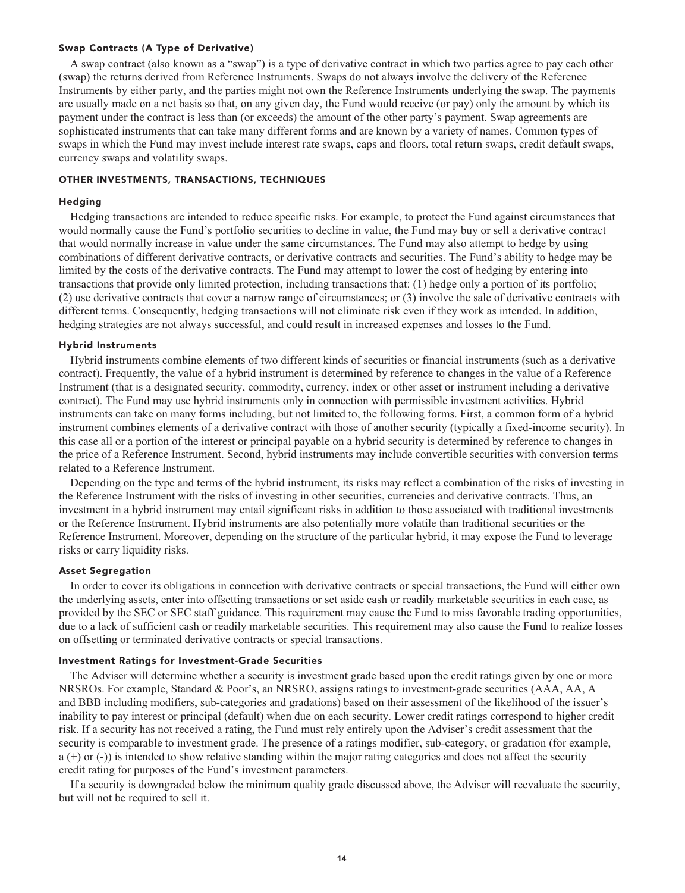# **Swap Contracts (A Type of Derivative)**

**A swap contract (also known as a "swap") is a type of derivative contract in which two parties agree to pay each other (swap) the returns derived from Reference Instruments. Swaps do not always involve the delivery of the Reference Instruments by either party, and the parties might not own the Reference Instruments underlying the swap. The payments are usually made on a net basis so that, on any given day, the Fund would receive (or pay) only the amount by which its payment under the contract is less than (or exceeds) the amount of the other party's payment. Swap agreements are sophisticated instruments that can take many different forms and are known by a variety of names. Common types of swaps in which the Fund may invest include interest rate swaps, caps and floors, total return swaps, credit default swaps, currency swaps and volatility swaps.**

# **OTHER INVESTMENTS, TRANSACTIONS, TECHNIQUES**

#### **Hedging**

**Hedging transactions are intended to reduce specific risks. For example, to protect the Fund against circumstances that would normally cause the Fund's portfolio securities to decline in value, the Fund may buy or sell a derivative contract that would normally increase in value under the same circumstances. The Fund may also attempt to hedge by using combinations of different derivative contracts, or derivative contracts and securities. The Fund's ability to hedge may be limited by the costs of the derivative contracts. The Fund may attempt to lower the cost of hedging by entering into transactions that provide only limited protection, including transactions that: (1) hedge only a portion of its portfolio; (2) use derivative contracts that cover a narrow range of circumstances; or (3) involve the sale of derivative contracts with different terms. Consequently, hedging transactions will not eliminate risk even if they work as intended. In addition, hedging strategies are not always successful, and could result in increased expenses and losses to the Fund.**

# **Hybrid Instruments**

**Hybrid instruments combine elements of two different kinds of securities or financial instruments (such as a derivative contract). Frequently, the value of a hybrid instrument is determined by reference to changes in the value of a Reference Instrument (that is a designated security, commodity, currency, index or other asset or instrument including a derivative contract). The Fund may use hybrid instruments only in connection with permissible investment activities. Hybrid instruments can take on many forms including, but not limited to, the following forms. First, a common form of a hybrid instrument combines elements of a derivative contract with those of another security (typically a fixed-income security). In this case all or a portion of the interest or principal payable on a hybrid security is determined by reference to changes in the price of a Reference Instrument. Second, hybrid instruments may include convertible securities with conversion terms related to a Reference Instrument.**

**Depending on the type and terms of the hybrid instrument, its risks may reflect a combination of the risks of investing in the Reference Instrument with the risks of investing in other securities, currencies and derivative contracts. Thus, an investment in a hybrid instrument may entail significant risks in addition to those associated with traditional investments or the Reference Instrument. Hybrid instruments are also potentially more volatile than traditional securities or the Reference Instrument. Moreover, depending on the structure of the particular hybrid, it may expose the Fund to leverage risks or carry liquidity risks.**

#### **Asset Segregation**

**In order to cover its obligations in connection with derivative contracts or special transactions, the Fund will either own the underlying assets, enter into offsetting transactions or set aside cash or readily marketable securities in each case, as provided by the SEC or SEC staff guidance. This requirement may cause the Fund to miss favorable trading opportunities, due to a lack of sufficient cash or readily marketable securities. This requirement may also cause the Fund to realize losses on offsetting or terminated derivative contracts or special transactions.**

#### **Investment Ratings for Investment-Grade Securities**

**The Adviser will determine whether a security is investment grade based upon the credit ratings given by one or more NRSROs. For example, Standard & Poor's, an NRSRO, assigns ratings to investment-grade securities (AAA, AA, A and BBB including modifiers, sub-categories and gradations) based on their assessment of the likelihood of the issuer's inability to pay interest or principal (default) when due on each security. Lower credit ratings correspond to higher credit risk. If a security has not received a rating, the Fund must rely entirely upon the Adviser's credit assessment that the security is comparable to investment grade. The presence of a ratings modifier, sub-category, or gradation (for example, a (+) or (-)) is intended to show relative standing within the major rating categories and does not affect the security credit rating for purposes of the Fund's investment parameters.**

**If a security is downgraded below the minimum quality grade discussed above, the Adviser will reevaluate the security, but will not be required to sell it.**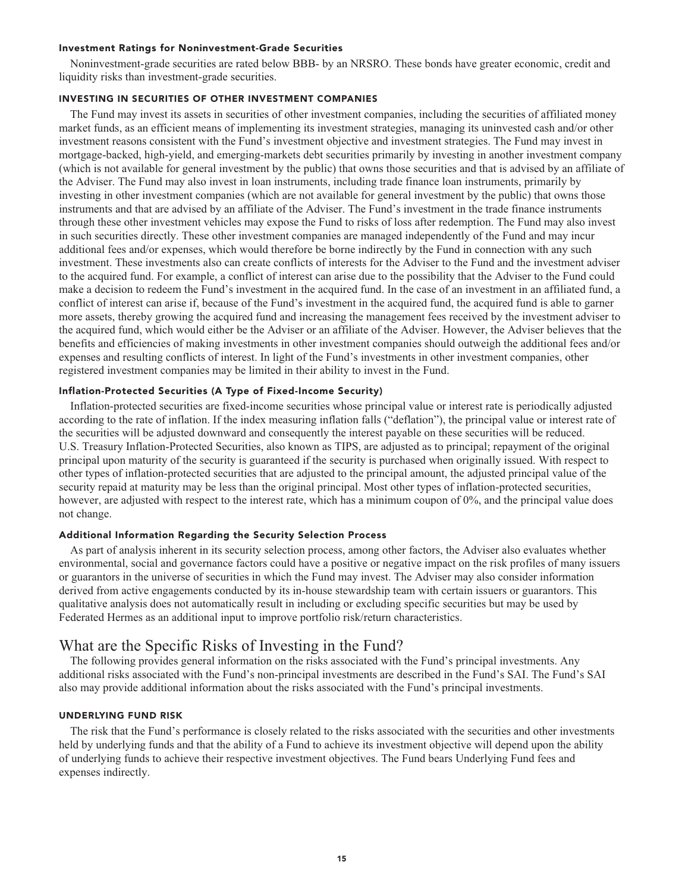### **Investment Ratings for Noninvestment-Grade Securities**

**Noninvestment-grade securities are rated below BBB- by an NRSRO. These bonds have greater economic, credit and liquidity risks than investment-grade securities.**

#### **INVESTING IN SECURITIES OF OTHER INVESTMENT COMPANIES**

**The Fund may invest its assets in securities of other investment companies, including the securities of affiliated money market funds, as an efficient means of implementing its investment strategies, managing its uninvested cash and/or other investment reasons consistent with the Fund's investment objective and investment strategies. The Fund may invest in mortgage-backed, high-yield, and emerging-markets debt securities primarily by investing in another investment company (which is not available for general investment by the public) that owns those securities and that is advised by an affiliate of the Adviser. The Fund may also invest in loan instruments, including trade finance loan instruments, primarily by investing in other investment companies (which are not available for general investment by the public) that owns those instruments and that are advised by an affiliate of the Adviser. The Fund's investment in the trade finance instruments through these other investment vehicles may expose the Fund to risks of loss after redemption. The Fund may also invest in such securities directly. These other investment companies are managed independently of the Fund and may incur additional fees and/or expenses, which would therefore be borne indirectly by the Fund in connection with any such investment. These investments also can create conflicts of interests for the Adviser to the Fund and the investment adviser to the acquired fund. For example, a conflict of interest can arise due to the possibility that the Adviser to the Fund could make a decision to redeem the Fund's investment in the acquired fund. In the case of an investment in an affiliated fund, a conflict of interest can arise if, because of the Fund's investment in the acquired fund, the acquired fund is able to garner more assets, thereby growing the acquired fund and increasing the management fees received by the investment adviser to the acquired fund, which would either be the Adviser or an affiliate of the Adviser. However, the Adviser believes that the benefits and efficiencies of making investments in other investment companies should outweigh the additional fees and/or expenses and resulting conflicts of interest. In light of the Fund's investments in other investment companies, other registered investment companies may be limited in their ability to invest in the Fund.**

# **Inflation-Protected Securities (A Type of Fixed-Income Security)**

**Inflation-protected securities are fixed-income securities whose principal value or interest rate is periodically adjusted according to the rate of inflation. If the index measuring inflation falls ("deflation"), the principal value or interest rate of the securities will be adjusted downward and consequently the interest payable on these securities will be reduced. U.S. Treasury Inflation-Protected Securities, also known as TIPS, are adjusted as to principal; repayment of the original principal upon maturity of the security is guaranteed if the security is purchased when originally issued. With respect to other types of inflation-protected securities that are adjusted to the principal amount, the adjusted principal value of the security repaid at maturity may be less than the original principal. Most other types of inflation-protected securities, however, are adjusted with respect to the interest rate, which has a minimum coupon of 0%, and the principal value does not change.**

#### **Additional Information Regarding the Security Selection Process**

**As part of analysis inherent in its security selection process, among other factors, the Adviser also evaluates whether environmental, social and governance factors could have a positive or negative impact on the risk profiles of many issuers or guarantors in the universe of securities in which the Fund may invest. The Adviser may also consider information derived from active engagements conducted by its in-house stewardship team with certain issuers or guarantors. This qualitative analysis does not automatically result in including or excluding specific securities but may be used by Federated Hermes as an additional input to improve portfolio risk/return characteristics.**

# **What are the Specific Risks of Investing in the Fund?**

**The following provides general information on the risks associated with the Fund's principal investments. Any additional risks associated with the Fund's non-principal investments are described in the Fund's SAI. The Fund's SAI also may provide additional information about the risks associated with the Fund's principal investments.**

#### **UNDERLYING FUND RISK**

**The risk that the Fund's performance is closely related to the risks associated with the securities and other investments held by underlying funds and that the ability of a Fund to achieve its investment objective will depend upon the ability of underlying funds to achieve their respective investment objectives. The Fund bears Underlying Fund fees and expenses indirectly.**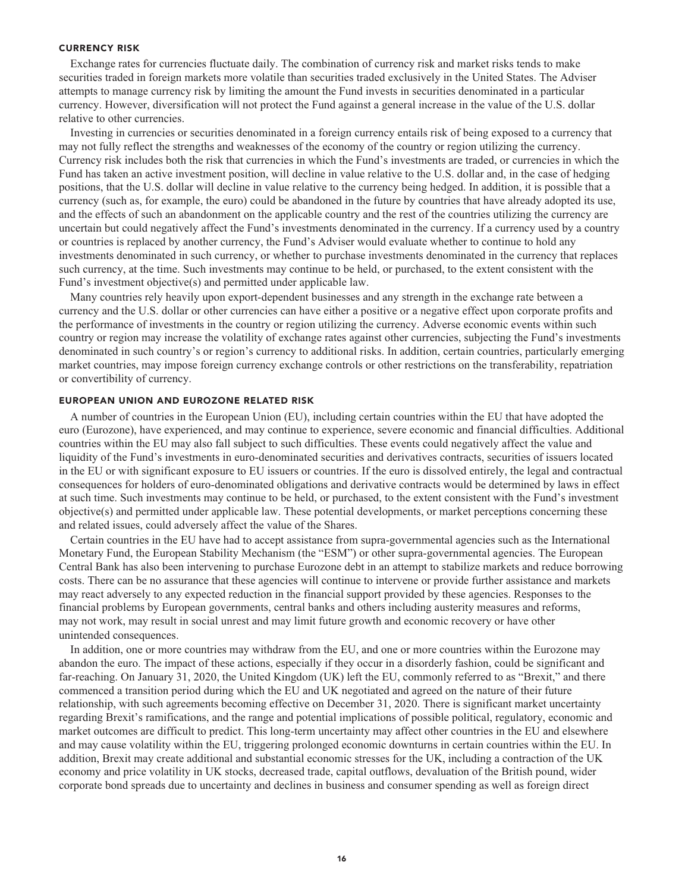#### **CURRENCY RISK**

**Exchange rates for currencies fluctuate daily. The combination of currency risk and market risks tends to make securities traded in foreign markets more volatile than securities traded exclusively in the United States. The Adviser attempts to manage currency risk by limiting the amount the Fund invests in securities denominated in a particular currency. However, diversification will not protect the Fund against a general increase in the value of the U.S. dollar relative to other currencies.**

**Investing in currencies or securities denominated in a foreign currency entails risk of being exposed to a currency that may not fully reflect the strengths and weaknesses of the economy of the country or region utilizing the currency. Currency risk includes both the risk that currencies in which the Fund's investments are traded, or currencies in which the Fund has taken an active investment position, will decline in value relative to the U.S. dollar and, in the case of hedging positions, that the U.S. dollar will decline in value relative to the currency being hedged. In addition, it is possible that a currency (such as, for example, the euro) could be abandoned in the future by countries that have already adopted its use, and the effects of such an abandonment on the applicable country and the rest of the countries utilizing the currency are uncertain but could negatively affect the Fund's investments denominated in the currency. If a currency used by a country or countries is replaced by another currency, the Fund's Adviser would evaluate whether to continue to hold any investments denominated in such currency, or whether to purchase investments denominated in the currency that replaces such currency, at the time. Such investments may continue to be held, or purchased, to the extent consistent with the Fund's investment objective(s) and permitted under applicable law.**

**Many countries rely heavily upon export-dependent businesses and any strength in the exchange rate between a currency and the U.S. dollar or other currencies can have either a positive or a negative effect upon corporate profits and the performance of investments in the country or region utilizing the currency. Adverse economic events within such country or region may increase the volatility of exchange rates against other currencies, subjecting the Fund's investments denominated in such country's or region's currency to additional risks. In addition, certain countries, particularly emerging market countries, may impose foreign currency exchange controls or other restrictions on the transferability, repatriation or convertibility of currency.**

# **EUROPEAN UNION AND EUROZONE RELATED RISK**

**A number of countries in the European Union (EU), including certain countries within the EU that have adopted the euro (Eurozone), have experienced, and may continue to experience, severe economic and financial difficulties. Additional countries within the EU may also fall subject to such difficulties. These events could negatively affect the value and liquidity of the Fund's investments in euro-denominated securities and derivatives contracts, securities of issuers located in the EU or with significant exposure to EU issuers or countries. If the euro is dissolved entirely, the legal and contractual consequences for holders of euro-denominated obligations and derivative contracts would be determined by laws in effect at such time. Such investments may continue to be held, or purchased, to the extent consistent with the Fund's investment objective(s) and permitted under applicable law. These potential developments, or market perceptions concerning these and related issues, could adversely affect the value of the Shares.**

**Certain countries in the EU have had to accept assistance from supra-governmental agencies such as the International Monetary Fund, the European Stability Mechanism (the "ESM") or other supra-governmental agencies. The European Central Bank has also been intervening to purchase Eurozone debt in an attempt to stabilize markets and reduce borrowing costs. There can be no assurance that these agencies will continue to intervene or provide further assistance and markets may react adversely to any expected reduction in the financial support provided by these agencies. Responses to the financial problems by European governments, central banks and others including austerity measures and reforms, may not work, may result in social unrest and may limit future growth and economic recovery or have other unintended consequences.**

**In addition, one or more countries may withdraw from the EU, and one or more countries within the Eurozone may abandon the euro. The impact of these actions, especially if they occur in a disorderly fashion, could be significant and far-reaching. On January 31, 2020, the United Kingdom (UK) left the EU, commonly referred to as "Brexit," and there commenced a transition period during which the EU and UK negotiated and agreed on the nature of their future relationship, with such agreements becoming effective on December 31, 2020. There is significant market uncertainty regarding Brexit's ramifications, and the range and potential implications of possible political, regulatory, economic and market outcomes are difficult to predict. This long-term uncertainty may affect other countries in the EU and elsewhere and may cause volatility within the EU, triggering prolonged economic downturns in certain countries within the EU. In addition, Brexit may create additional and substantial economic stresses for the UK, including a contraction of the UK economy and price volatility in UK stocks, decreased trade, capital outflows, devaluation of the British pound, wider corporate bond spreads due to uncertainty and declines in business and consumer spending as well as foreign direct**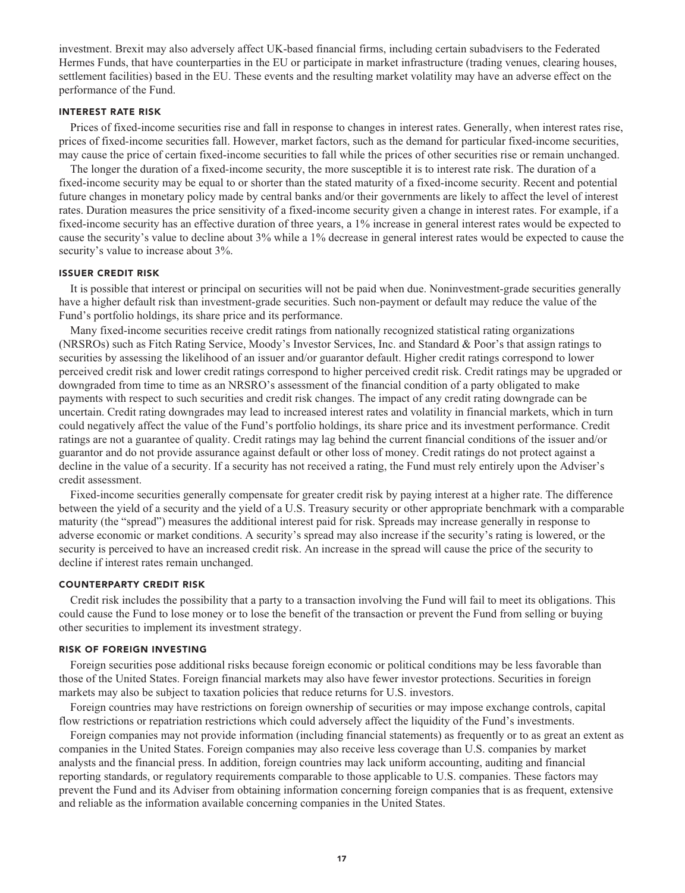**investment. Brexit may also adversely affect UK-based financial firms, including certain subadvisers to the Federated Hermes Funds, that have counterparties in the EU or participate in market infrastructure (trading venues, clearing houses, settlement facilities) based in the EU. These events and the resulting market volatility may have an adverse effect on the performance of the Fund.**

# **INTEREST RATE RISK**

**Prices of fixed-income securities rise and fall in response to changes in interest rates. Generally, when interest rates rise, prices of fixed-income securities fall. However, market factors, such as the demand for particular fixed-income securities, may cause the price of certain fixed-income securities to fall while the prices of other securities rise or remain unchanged.**

**The longer the duration of a fixed-income security, the more susceptible it is to interest rate risk. The duration of a fixed-income security may be equal to or shorter than the stated maturity of a fixed-income security. Recent and potential future changes in monetary policy made by central banks and/or their governments are likely to affect the level of interest rates. Duration measures the price sensitivity of a fixed-income security given a change in interest rates. For example, if a fixed-income security has an effective duration of three years, a 1% increase in general interest rates would be expected to cause the security's value to decline about 3% while a 1% decrease in general interest rates would be expected to cause the security's value to increase about 3%.**

# **ISSUER CREDIT RISK**

**It is possible that interest or principal on securities will not be paid when due. Noninvestment-grade securities generally have a higher default risk than investment-grade securities. Such non-payment or default may reduce the value of the Fund's portfolio holdings, its share price and its performance.**

**Many fixed-income securities receive credit ratings from nationally recognized statistical rating organizations (NRSROs) such as Fitch Rating Service, Moody's Investor Services, Inc. and Standard & Poor's that assign ratings to securities by assessing the likelihood of an issuer and/or guarantor default. Higher credit ratings correspond to lower perceived credit risk and lower credit ratings correspond to higher perceived credit risk. Credit ratings may be upgraded or downgraded from time to time as an NRSRO's assessment of the financial condition of a party obligated to make payments with respect to such securities and credit risk changes. The impact of any credit rating downgrade can be uncertain. Credit rating downgrades may lead to increased interest rates and volatility in financial markets, which in turn could negatively affect the value of the Fund's portfolio holdings, its share price and its investment performance. Credit ratings are not a guarantee of quality. Credit ratings may lag behind the current financial conditions of the issuer and/or guarantor and do not provide assurance against default or other loss of money. Credit ratings do not protect against a decline in the value of a security. If a security has not received a rating, the Fund must rely entirely upon the Adviser's credit assessment.**

**Fixed-income securities generally compensate for greater credit risk by paying interest at a higher rate. The difference between the yield of a security and the yield of a U.S. Treasury security or other appropriate benchmark with a comparable maturity (the "spread") measures the additional interest paid for risk. Spreads may increase generally in response to adverse economic or market conditions. A security's spread may also increase if the security's rating is lowered, or the security is perceived to have an increased credit risk. An increase in the spread will cause the price of the security to decline if interest rates remain unchanged.**

#### **COUNTERPARTY CREDIT RISK**

**Credit risk includes the possibility that a party to a transaction involving the Fund will fail to meet its obligations. This could cause the Fund to lose money or to lose the benefit of the transaction or prevent the Fund from selling or buying other securities to implement its investment strategy.**

#### **RISK OF FOREIGN INVESTING**

**Foreign securities pose additional risks because foreign economic or political conditions may be less favorable than those of the United States. Foreign financial markets may also have fewer investor protections. Securities in foreign markets may also be subject to taxation policies that reduce returns for U.S. investors.**

**Foreign countries may have restrictions on foreign ownership of securities or may impose exchange controls, capital flow restrictions or repatriation restrictions which could adversely affect the liquidity of the Fund's investments.**

**Foreign companies may not provide information (including financial statements) as frequently or to as great an extent as companies in the United States. Foreign companies may also receive less coverage than U.S. companies by market analysts and the financial press. In addition, foreign countries may lack uniform accounting, auditing and financial reporting standards, or regulatory requirements comparable to those applicable to U.S. companies. These factors may prevent the Fund and its Adviser from obtaining information concerning foreign companies that is as frequent, extensive and reliable as the information available concerning companies in the United States.**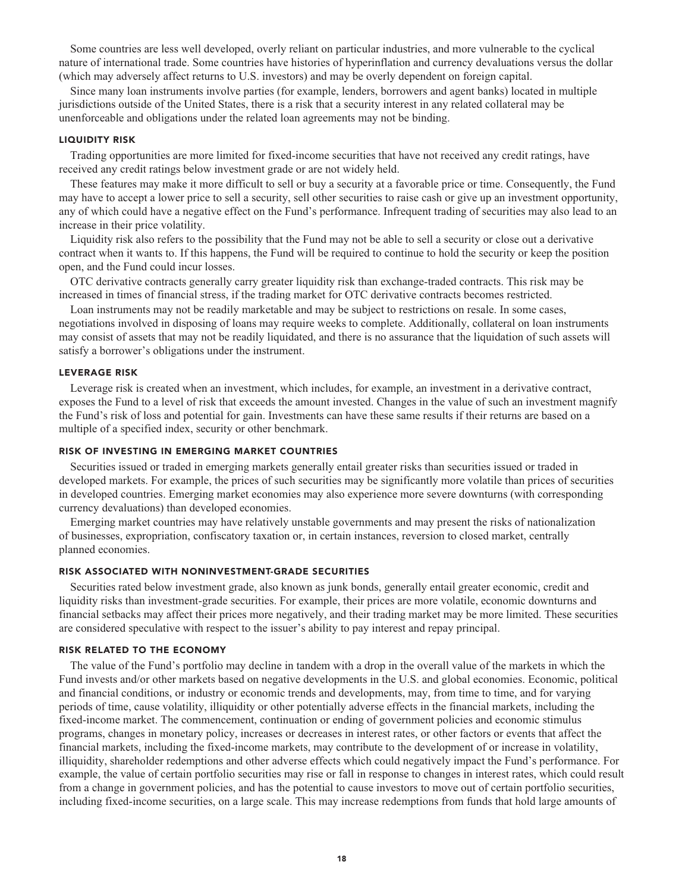**Some countries are less well developed, overly reliant on particular industries, and more vulnerable to the cyclical nature of international trade. Some countries have histories of hyperinflation and currency devaluations versus the dollar (which may adversely affect returns to U.S. investors) and may be overly dependent on foreign capital.**

**Since many loan instruments involve parties (for example, lenders, borrowers and agent banks) located in multiple jurisdictions outside of the United States, there is a risk that a security interest in any related collateral may be unenforceable and obligations under the related loan agreements may not be binding.**

#### **LIQUIDITY RISK**

**Trading opportunities are more limited for fixed-income securities that have not received any credit ratings, have received any credit ratings below investment grade or are not widely held.**

**These features may make it more difficult to sell or buy a security at a favorable price or time. Consequently, the Fund may have to accept a lower price to sell a security, sell other securities to raise cash or give up an investment opportunity, any of which could have a negative effect on the Fund's performance. Infrequent trading of securities may also lead to an increase in their price volatility.**

**Liquidity risk also refers to the possibility that the Fund may not be able to sell a security or close out a derivative contract when it wants to. If this happens, the Fund will be required to continue to hold the security or keep the position open, and the Fund could incur losses.**

**OTC derivative contracts generally carry greater liquidity risk than exchange-traded contracts. This risk may be increased in times of financial stress, if the trading market for OTC derivative contracts becomes restricted.**

**Loan instruments may not be readily marketable and may be subject to restrictions on resale. In some cases, negotiations involved in disposing of loans may require weeks to complete. Additionally, collateral on loan instruments may consist of assets that may not be readily liquidated, and there is no assurance that the liquidation of such assets will satisfy a borrower's obligations under the instrument.**

# **LEVERAGE RISK**

**Leverage risk is created when an investment, which includes, for example, an investment in a derivative contract, exposes the Fund to a level of risk that exceeds the amount invested. Changes in the value of such an investment magnify the Fund's risk of loss and potential for gain. Investments can have these same results if their returns are based on a multiple of a specified index, security or other benchmark.**

#### **RISK OF INVESTING IN EMERGING MARKET COUNTRIES**

**Securities issued or traded in emerging markets generally entail greater risks than securities issued or traded in developed markets. For example, the prices of such securities may be significantly more volatile than prices of securities in developed countries. Emerging market economies may also experience more severe downturns (with corresponding currency devaluations) than developed economies.**

**Emerging market countries may have relatively unstable governments and may present the risks of nationalization of businesses, expropriation, confiscatory taxation or, in certain instances, reversion to closed market, centrally planned economies.**

# **RISK ASSOCIATED WITH NONINVESTMENT-GRADE SECURITIES**

**Securities rated below investment grade, also known as junk bonds, generally entail greater economic, credit and liquidity risks than investment-grade securities. For example, their prices are more volatile, economic downturns and financial setbacks may affect their prices more negatively, and their trading market may be more limited. These securities are considered speculative with respect to the issuer's ability to pay interest and repay principal.**

#### **RISK RELATED TO THE ECONOMY**

**The value of the Fund's portfolio may decline in tandem with a drop in the overall value of the markets in which the Fund invests and/or other markets based on negative developments in the U.S. and global economies. Economic, political and financial conditions, or industry or economic trends and developments, may, from time to time, and for varying periods of time, cause volatility, illiquidity or other potentially adverse effects in the financial markets, including the fixed-income market. The commencement, continuation or ending of government policies and economic stimulus programs, changes in monetary policy, increases or decreases in interest rates, or other factors or events that affect the financial markets, including the fixed-income markets, may contribute to the development of or increase in volatility, illiquidity, shareholder redemptions and other adverse effects which could negatively impact the Fund's performance. For example, the value of certain portfolio securities may rise or fall in response to changes in interest rates, which could result from a change in government policies, and has the potential to cause investors to move out of certain portfolio securities, including fixed-income securities, on a large scale. This may increase redemptions from funds that hold large amounts of**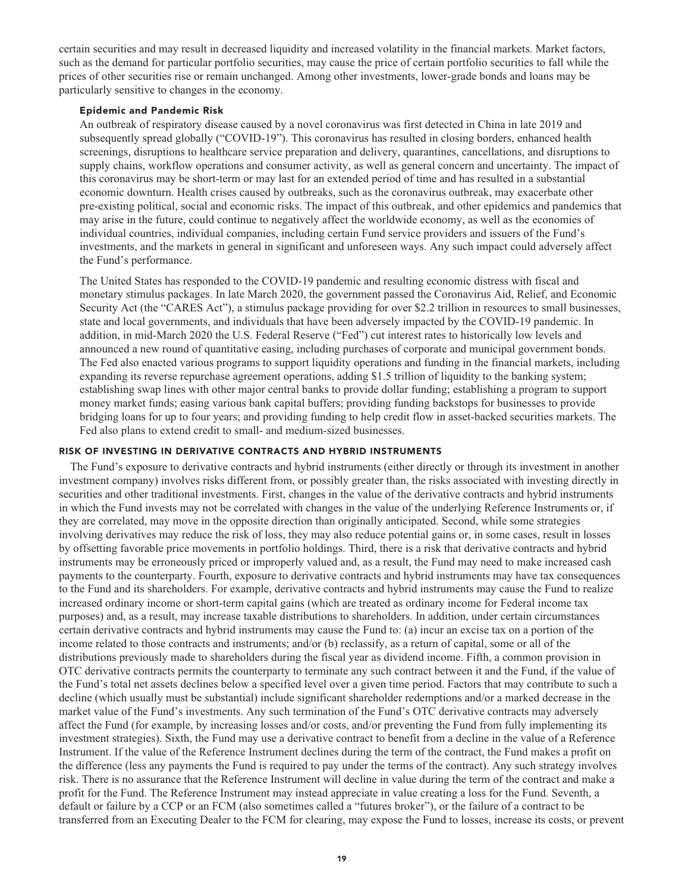**certain securities and may result in decreased liquidity and increased volatility in the financial markets. Market factors, such as the demand for particular portfolio securities, may cause the price of certain portfolio securities to fall while the prices of other securities rise or remain unchanged. Among other investments, lower-grade bonds and loans may be particularly sensitive to changes in the economy.**

# **Epidemic and Pandemic Risk**

**An outbreak of respiratory disease caused by a novel coronavirus was first detected in China in late 2019 and subsequently spread globally ("COVID-19"). This coronavirus has resulted in closing borders, enhanced health screenings, disruptions to healthcare service preparation and delivery, quarantines, cancellations, and disruptions to supply chains, workflow operations and consumer activity, as well as general concern and uncertainty. The impact of this coronavirus may be short-term or may last for an extended period of time and has resulted in a substantial economic downturn. Health crises caused by outbreaks, such as the coronavirus outbreak, may exacerbate other pre-existing political, social and economic risks. The impact of this outbreak, and other epidemics and pandemics that may arise in the future, could continue to negatively affect the worldwide economy, as well as the economies of individual countries, individual companies, including certain Fund service providers and issuers of the Fund's investments, and the markets in general in significant and unforeseen ways. Any such impact could adversely affect the Fund's performance.**

**The United States has responded to the COVID-19 pandemic and resulting economic distress with fiscal and monetary stimulus packages. In late March 2020, the government passed the Coronavirus Aid, Relief, and Economic Security Act (the "CARES Act"), a stimulus package providing for over \$2.2 trillion in resources to small businesses, state and local governments, and individuals that have been adversely impacted by the COVID-19 pandemic. In addition, in mid-March 2020 the U.S. Federal Reserve ("Fed") cut interest rates to historically low levels and announced a new round of quantitative easing, including purchases of corporate and municipal government bonds. The Fed also enacted various programs to support liquidity operations and funding in the financial markets, including expanding its reverse repurchase agreement operations, adding \$1.5 trillion of liquidity to the banking system; establishing swap lines with other major central banks to provide dollar funding; establishing a program to support money market funds; easing various bank capital buffers; providing funding backstops for businesses to provide bridging loans for up to four years; and providing funding to help credit flow in asset-backed securities markets. The Fed also plans to extend credit to small- and medium-sized businesses.**

# **RISK OF INVESTING IN DERIVATIVE CONTRACTS AND HYBRID INSTRUMENTS**

**The Fund's exposure to derivative contracts and hybrid instruments (either directly or through its investment in another investment company) involves risks different from, or possibly greater than, the risks associated with investing directly in securities and other traditional investments. First, changes in the value of the derivative contracts and hybrid instruments in which the Fund invests may not be correlated with changes in the value of the underlying Reference Instruments or, if they are correlated, may move in the opposite direction than originally anticipated. Second, while some strategies involving derivatives may reduce the risk of loss, they may also reduce potential gains or, in some cases, result in losses by offsetting favorable price movements in portfolio holdings. Third, there is a risk that derivative contracts and hybrid instruments may be erroneously priced or improperly valued and, as a result, the Fund may need to make increased cash payments to the counterparty. Fourth, exposure to derivative contracts and hybrid instruments may have tax consequences to the Fund and its shareholders. For example, derivative contracts and hybrid instruments may cause the Fund to realize increased ordinary income or short-term capital gains (which are treated as ordinary income for Federal income tax purposes) and, as a result, may increase taxable distributions to shareholders. In addition, under certain circumstances certain derivative contracts and hybrid instruments may cause the Fund to: (a) incur an excise tax on a portion of the income related to those contracts and instruments; and/or (b) reclassify, as a return of capital, some or all of the distributions previously made to shareholders during the fiscal year as dividend income. Fifth, a common provision in OTC derivative contracts permits the counterparty to terminate any such contract between it and the Fund, if the value of the Fund's total net assets declines below a specified level over a given time period. Factors that may contribute to such a decline (which usually must be substantial) include significant shareholder redemptions and/or a marked decrease in the market value of the Fund's investments. Any such termination of the Fund's OTC derivative contracts may adversely affect the Fund (for example, by increasing losses and/or costs, and/or preventing the Fund from fully implementing its investment strategies). Sixth, the Fund may use a derivative contract to benefit from a decline in the value of a Reference Instrument. If the value of the Reference Instrument declines during the term of the contract, the Fund makes a profit on the difference (less any payments the Fund is required to pay under the terms of the contract). Any such strategy involves risk. There is no assurance that the Reference Instrument will decline in value during the term of the contract and make a profit for the Fund. The Reference Instrument may instead appreciate in value creating a loss for the Fund. Seventh, a default or failure by a CCP or an FCM (also sometimes called a "futures broker"), or the failure of a contract to be transferred from an Executing Dealer to the FCM for clearing, may expose the Fund to losses, increase its costs, or prevent**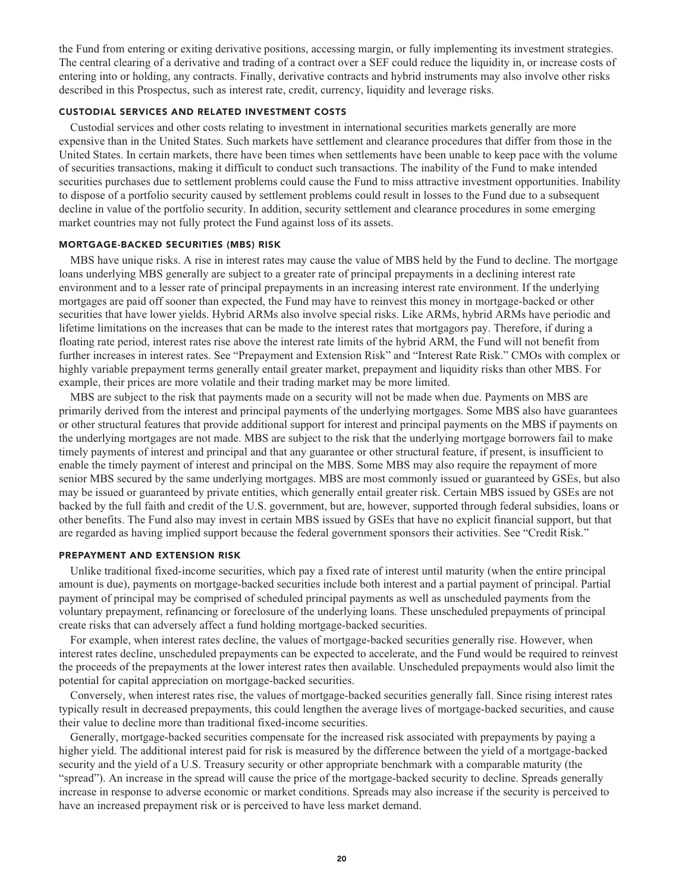**the Fund from entering or exiting derivative positions, accessing margin, or fully implementing its investment strategies. The central clearing of a derivative and trading of a contract over a SEF could reduce the liquidity in, or increase costs of entering into or holding, any contracts. Finally, derivative contracts and hybrid instruments may also involve other risks described in this Prospectus, such as interest rate, credit, currency, liquidity and leverage risks.**

# **CUSTODIAL SERVICES AND RELATED INVESTMENT COSTS**

**Custodial services and other costs relating to investment in international securities markets generally are more expensive than in the United States. Such markets have settlement and clearance procedures that differ from those in the United States. In certain markets, there have been times when settlements have been unable to keep pace with the volume of securities transactions, making it difficult to conduct such transactions. The inability of the Fund to make intended securities purchases due to settlement problems could cause the Fund to miss attractive investment opportunities. Inability to dispose of a portfolio security caused by settlement problems could result in losses to the Fund due to a subsequent decline in value of the portfolio security. In addition, security settlement and clearance procedures in some emerging market countries may not fully protect the Fund against loss of its assets.**

# **MORTGAGE-BACKED SECURITIES (MBS) RISK**

**MBS have unique risks. A rise in interest rates may cause the value of MBS held by the Fund to decline. The mortgage loans underlying MBS generally are subject to a greater rate of principal prepayments in a declining interest rate environment and to a lesser rate of principal prepayments in an increasing interest rate environment. If the underlying mortgages are paid off sooner than expected, the Fund may have to reinvest this money in mortgage-backed or other securities that have lower yields. Hybrid ARMs also involve special risks. Like ARMs, hybrid ARMs have periodic and lifetime limitations on the increases that can be made to the interest rates that mortgagors pay. Therefore, if during a floating rate period, interest rates rise above the interest rate limits of the hybrid ARM, the Fund will not benefit from further increases in interest rates. See "Prepayment and Extension Risk" and "Interest Rate Risk." CMOs with complex or highly variable prepayment terms generally entail greater market, prepayment and liquidity risks than other MBS. For example, their prices are more volatile and their trading market may be more limited.**

**MBS are subject to the risk that payments made on a security will not be made when due. Payments on MBS are primarily derived from the interest and principal payments of the underlying mortgages. Some MBS also have guarantees or other structural features that provide additional support for interest and principal payments on the MBS if payments on the underlying mortgages are not made. MBS are subject to the risk that the underlying mortgage borrowers fail to make timely payments of interest and principal and that any guarantee or other structural feature, if present, is insufficient to enable the timely payment of interest and principal on the MBS. Some MBS may also require the repayment of more senior MBS secured by the same underlying mortgages. MBS are most commonly issued or guaranteed by GSEs, but also may be issued or guaranteed by private entities, which generally entail greater risk. Certain MBS issued by GSEs are not backed by the full faith and credit of the U.S. government, but are, however, supported through federal subsidies, loans or other benefits. The Fund also may invest in certain MBS issued by GSEs that have no explicit financial support, but that are regarded as having implied support because the federal government sponsors their activities. See "Credit Risk."**

#### **PREPAYMENT AND EXTENSION RISK**

**Unlike traditional fixed-income securities, which pay a fixed rate of interest until maturity (when the entire principal amount is due), payments on mortgage-backed securities include both interest and a partial payment of principal. Partial payment of principal may be comprised of scheduled principal payments as well as unscheduled payments from the voluntary prepayment, refinancing or foreclosure of the underlying loans. These unscheduled prepayments of principal create risks that can adversely affect a fund holding mortgage-backed securities.**

**For example, when interest rates decline, the values of mortgage-backed securities generally rise. However, when interest rates decline, unscheduled prepayments can be expected to accelerate, and the Fund would be required to reinvest the proceeds of the prepayments at the lower interest rates then available. Unscheduled prepayments would also limit the potential for capital appreciation on mortgage-backed securities.**

**Conversely, when interest rates rise, the values of mortgage-backed securities generally fall. Since rising interest rates typically result in decreased prepayments, this could lengthen the average lives of mortgage-backed securities, and cause their value to decline more than traditional fixed-income securities.**

**Generally, mortgage-backed securities compensate for the increased risk associated with prepayments by paying a higher yield. The additional interest paid for risk is measured by the difference between the yield of a mortgage-backed security and the yield of a U.S. Treasury security or other appropriate benchmark with a comparable maturity (the "spread"). An increase in the spread will cause the price of the mortgage-backed security to decline. Spreads generally increase in response to adverse economic or market conditions. Spreads may also increase if the security is perceived to have an increased prepayment risk or is perceived to have less market demand.**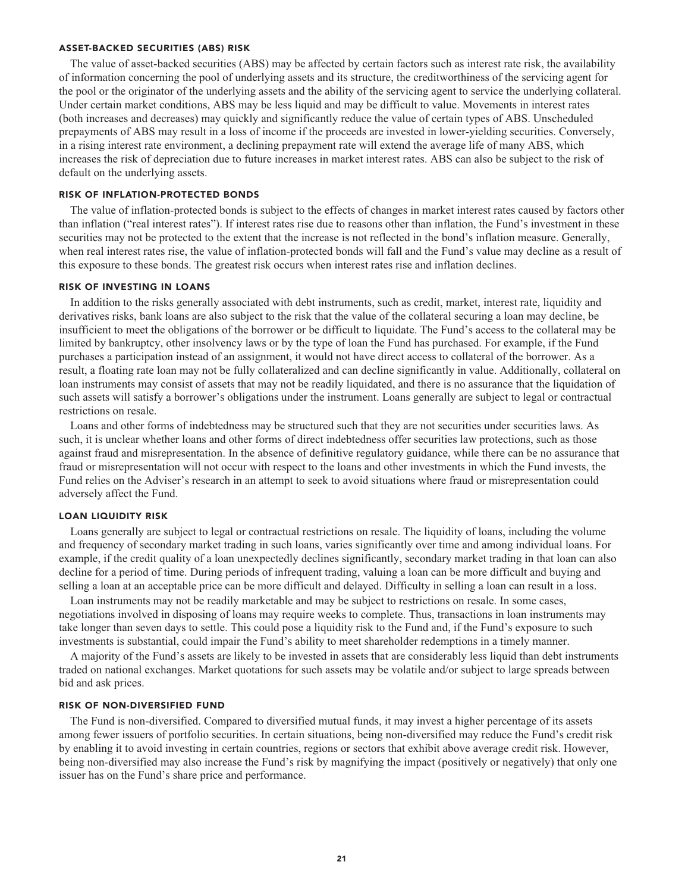# **ASSET-BACKED SECURITIES (ABS) RISK**

**The value of asset-backed securities (ABS) may be affected by certain factors such as interest rate risk, the availability of information concerning the pool of underlying assets and its structure, the creditworthiness of the servicing agent for the pool or the originator of the underlying assets and the ability of the servicing agent to service the underlying collateral. Under certain market conditions, ABS may be less liquid and may be difficult to value. Movements in interest rates (both increases and decreases) may quickly and significantly reduce the value of certain types of ABS. Unscheduled prepayments of ABS may result in a loss of income if the proceeds are invested in lower-yielding securities. Conversely, in a rising interest rate environment, a declining prepayment rate will extend the average life of many ABS, which increases the risk of depreciation due to future increases in market interest rates. ABS can also be subject to the risk of default on the underlying assets.**

#### **RISK OF INFLATION-PROTECTED BONDS**

**The value of inflation-protected bonds is subject to the effects of changes in market interest rates caused by factors other than inflation ("real interest rates"). If interest rates rise due to reasons other than inflation, the Fund's investment in these securities may not be protected to the extent that the increase is not reflected in the bond's inflation measure. Generally, when real interest rates rise, the value of inflation-protected bonds will fall and the Fund's value may decline as a result of this exposure to these bonds. The greatest risk occurs when interest rates rise and inflation declines.**

#### **RISK OF INVESTING IN LOANS**

**In addition to the risks generally associated with debt instruments, such as credit, market, interest rate, liquidity and derivatives risks, bank loans are also subject to the risk that the value of the collateral securing a loan may decline, be insufficient to meet the obligations of the borrower or be difficult to liquidate. The Fund's access to the collateral may be limited by bankruptcy, other insolvency laws or by the type of loan the Fund has purchased. For example, if the Fund purchases a participation instead of an assignment, it would not have direct access to collateral of the borrower. As a result, a floating rate loan may not be fully collateralized and can decline significantly in value. Additionally, collateral on loan instruments may consist of assets that may not be readily liquidated, and there is no assurance that the liquidation of such assets will satisfy a borrower's obligations under the instrument. Loans generally are subject to legal or contractual restrictions on resale.**

**Loans and other forms of indebtedness may be structured such that they are not securities under securities laws. As such, it is unclear whether loans and other forms of direct indebtedness offer securities law protections, such as those against fraud and misrepresentation. In the absence of definitive regulatory guidance, while there can be no assurance that fraud or misrepresentation will not occur with respect to the loans and other investments in which the Fund invests, the Fund relies on the Adviser's research in an attempt to seek to avoid situations where fraud or misrepresentation could adversely affect the Fund.**

# **LOAN LIQUIDITY RISK**

**Loans generally are subject to legal or contractual restrictions on resale. The liquidity of loans, including the volume and frequency of secondary market trading in such loans, varies significantly over time and among individual loans. For example, if the credit quality of a loan unexpectedly declines significantly, secondary market trading in that loan can also decline for a period of time. During periods of infrequent trading, valuing a loan can be more difficult and buying and selling a loan at an acceptable price can be more difficult and delayed. Difficulty in selling a loan can result in a loss.**

**Loan instruments may not be readily marketable and may be subject to restrictions on resale. In some cases, negotiations involved in disposing of loans may require weeks to complete. Thus, transactions in loan instruments may take longer than seven days to settle. This could pose a liquidity risk to the Fund and, if the Fund's exposure to such investments is substantial, could impair the Fund's ability to meet shareholder redemptions in a timely manner.**

**A majority of the Fund's assets are likely to be invested in assets that are considerably less liquid than debt instruments traded on national exchanges. Market quotations for such assets may be volatile and/or subject to large spreads between bid and ask prices.**

#### **RISK OF NON-DIVERSIFIED FUND**

**The Fund is non-diversified. Compared to diversified mutual funds, it may invest a higher percentage of its assets among fewer issuers of portfolio securities. In certain situations, being non-diversified may reduce the Fund's credit risk by enabling it to avoid investing in certain countries, regions or sectors that exhibit above average credit risk. However, being non-diversified may also increase the Fund's risk by magnifying the impact (positively or negatively) that only one issuer has on the Fund's share price and performance.**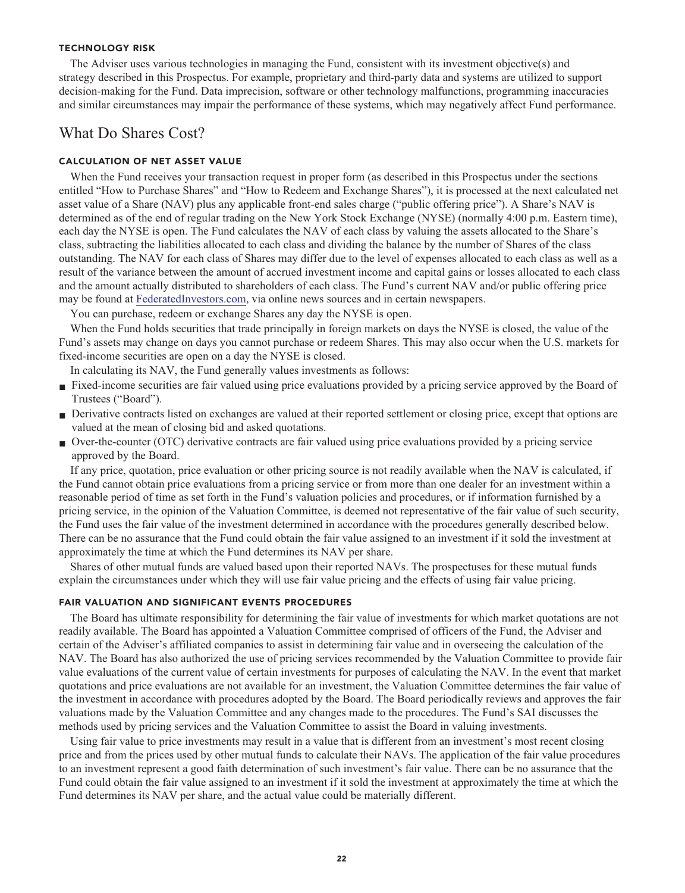#### **TECHNOLOGY RISK**

**The Adviser uses various technologies in managing the Fund, consistent with its investment objective(s) and strategy described in this Prospectus. For example, proprietary and third-party data and systems are utilized to support decision-making for the Fund. Data imprecision, software or other technology malfunctions, programming inaccuracies and similar circumstances may impair the performance of these systems, which may negatively affect Fund performance.**

# **What Do Shares Cost?**

# **CALCULATION OF NET ASSET VALUE**

**When the Fund receives your transaction request in proper form (as described in this Prospectus under the sections entitled "How to Purchase Shares" and "How to Redeem and Exchange Shares"), it is processed at the next calculated net asset value of a Share (NAV) plus any applicable front-end sales charge ("public offering price"). A Share's NAV is determined as of the end of regular trading on the New York Stock Exchange (NYSE) (normally 4:00 p.m. Eastern time), each day the NYSE is open. The Fund calculates the NAV of each class by valuing the assets allocated to the Share's class, subtracting the liabilities allocated to each class and dividing the balance by the number of Shares of the class outstanding. The NAV for each class of Shares may differ due to the level of expenses allocated to each class as well as a result of the variance between the amount of accrued investment income and capital gains or losses allocated to each class and the amount actually distributed to shareholders of each class. The Fund's current NAV and/or public offering price may be found at [FederatedInvestors.com,](https://www.federatedinvestors.com/home.do) via online news sources and in certain newspapers.**

**You can purchase, redeem or exchange Shares any day the NYSE is open.**

When the Fund holds securities that trade principally in foreign markets on days the NYSE is closed, the value of the **Fund's assets may change on days you cannot purchase or redeem Shares. This may also occur when the U.S. markets for fixed-income securities are open on a day the NYSE is closed.**

**In calculating its NAV, the Fund generally values investments as follows:**

- **Fixed-income securities are fair valued using price evaluations provided by a pricing service approved by the Board of Trustees ("Board").**
- **■ Derivative contracts listed on exchanges are valued at their reported settlement or closing price, except that options are valued at the mean of closing bid and asked quotations.**
- **■ Over-the-counter (OTC) derivative contracts are fair valued using price evaluations provided by a pricing service approved by the Board.**

**If any price, quotation, price evaluation or other pricing source is not readily available when the NAV is calculated, if the Fund cannot obtain price evaluations from a pricing service or from more than one dealer for an investment within a reasonable period of time as set forth in the Fund's valuation policies and procedures, or if information furnished by a pricing service, in the opinion of the Valuation Committee, is deemed not representative of the fair value of such security, the Fund uses the fair value of the investment determined in accordance with the procedures generally described below. There can be no assurance that the Fund could obtain the fair value assigned to an investment if it sold the investment at approximately the time at which the Fund determines its NAV per share.**

**Shares of other mutual funds are valued based upon their reported NAVs. The prospectuses for these mutual funds explain the circumstances under which they will use fair value pricing and the effects of using fair value pricing.**

### **FAIR VALUATION AND SIGNIFICANT EVENTS PROCEDURES**

**The Board has ultimate responsibility for determining the fair value of investments for which market quotations are not readily available. The Board has appointed a Valuation Committee comprised of officers of the Fund, the Adviser and certain of the Adviser's affiliated companies to assist in determining fair value and in overseeing the calculation of the NAV. The Board has also authorized the use of pricing services recommended by the Valuation Committee to provide fair value evaluations of the current value of certain investments for purposes of calculating the NAV. In the event that market quotations and price evaluations are not available for an investment, the Valuation Committee determines the fair value of the investment in accordance with procedures adopted by the Board. The Board periodically reviews and approves the fair valuations made by the Valuation Committee and any changes made to the procedures. The Fund's SAI discusses the methods used by pricing services and the Valuation Committee to assist the Board in valuing investments.**

**Using fair value to price investments may result in a value that is different from an investment's most recent closing price and from the prices used by other mutual funds to calculate their NAVs. The application of the fair value procedures to an investment represent a good faith determination of such investment's fair value. There can be no assurance that the Fund could obtain the fair value assigned to an investment if it sold the investment at approximately the time at which the Fund determines its NAV per share, and the actual value could be materially different.**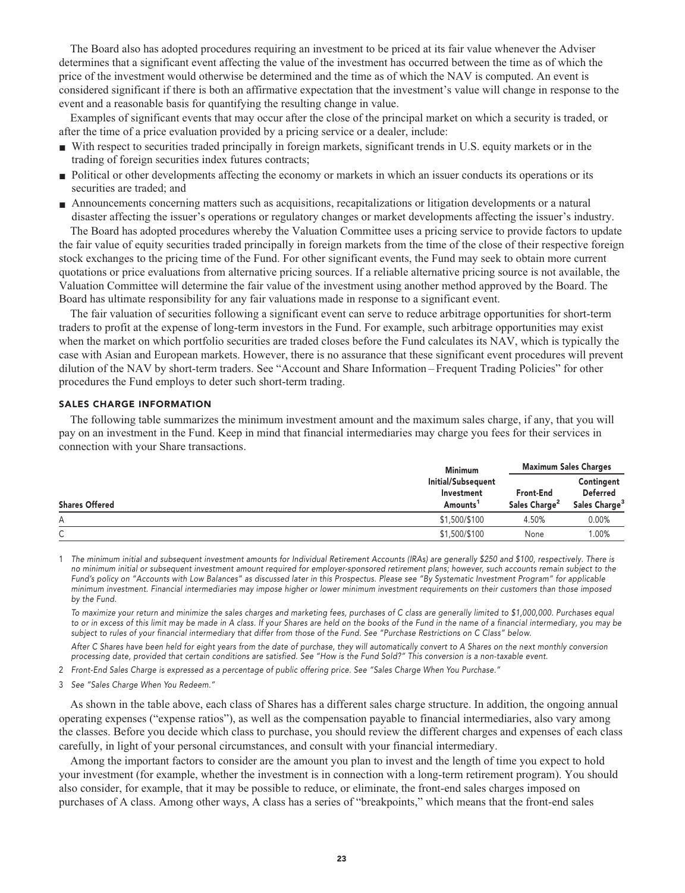**The Board also has adopted procedures requiring an investment to be priced at its fair value whenever the Adviser determines that a significant event affecting the value of the investment has occurred between the time as of which the price of the investment would otherwise be determined and the time as of which the NAV is computed. An event is considered significant if there is both an affirmative expectation that the investment's value will change in response to the event and a reasonable basis for quantifying the resulting change in value.**

**Examples of significant events that may occur after the close of the principal market on which a security is traded, or after the time of a price evaluation provided by a pricing service or a dealer, include:**

- **■ With respect to securities traded principally in foreign markets, significant trends in U.S. equity markets or in the trading of foreign securities index futures contracts;**
- **Political or other developments affecting the economy or markets in which an issuer conducts its operations or its securities are traded; and**
- **■ Announcements concerning matters such as acquisitions, recapitalizations or litigation developments or a natural disaster affecting the issuer's operations or regulatory changes or market developments affecting the issuer's industry.**

**The Board has adopted procedures whereby the Valuation Committee uses a pricing service to provide factors to update the fair value of equity securities traded principally in foreign markets from the time of the close of their respective foreign stock exchanges to the pricing time of the Fund. For other significant events, the Fund may seek to obtain more current quotations or price evaluations from alternative pricing sources. If a reliable alternative pricing source is not available, the Valuation Committee will determine the fair value of the investment using another method approved by the Board. The Board has ultimate responsibility for any fair valuations made in response to a significant event.**

**The fair valuation of securities following a significant event can serve to reduce arbitrage opportunities for short-term traders to profit at the expense of long-term investors in the Fund. For example, such arbitrage opportunities may exist when the market on which portfolio securities are traded closes before the Fund calculates its NAV, which is typically the case with Asian and European markets. However, there is no assurance that these significant event procedures will prevent dilution of the NAV by short-term traders. See "Account and Share Information – Frequent Trading Policies" for other procedures the Fund employs to deter such short-term trading.**

#### **SALES CHARGE INFORMATION**

**The following table summarizes the minimum investment amount and the maximum sales charge, if any, that you will pay on an investment in the Fund. Keep in mind that financial intermediaries may charge you fees for their services in connection with your Share transactions.**

| <b>Shares Offered</b> | <b>Minimum</b>                                           | <b>Maximum Sales Charges</b>                  |                                                            |
|-----------------------|----------------------------------------------------------|-----------------------------------------------|------------------------------------------------------------|
|                       | Initial/Subsequent<br>Investment<br>Amounts <sup>1</sup> | <b>Front-End</b><br>Sales Charge <sup>2</sup> | Contingent<br><b>Deferred</b><br>Sales Charge <sup>3</sup> |
| Α                     | \$1,500/\$100                                            | 4.50%                                         | 0.00%                                                      |
| ⌒<br>◡                | \$1,500/\$100                                            | None                                          | .00%                                                       |

**1 The minimum initial and subsequent investment amounts for Individual Retirement Accounts (IRAs) are generally \$250 and \$100, respectively. There is no minimum initial or subsequent investment amount required for employer-sponsored retirement plans; however, such accounts remain subject to the Fund's policy on "Accounts with Low Balances" as discussed later in this Prospectus. Please see "By Systematic Investment Program" for applicable minimum investment. Financial intermediaries may impose higher or lower minimum investment requirements on their customers than those imposed by the Fund.**

 **To maximize your return and minimize the sales charges and marketing fees, purchases of C class are generally limited to \$1,000,000. Purchases equal to or in excess of this limit may be made in A class. If your Shares are held on the books of the Fund in the name of a financial intermediary, you may be subject to rules of your financial intermediary that differ from those of the Fund. See "Purchase Restrictions on C Class" below.**

 **After C Shares have been held for eight years from the date of purchase, they will automatically convert to A Shares on the next monthly conversion processing date, provided that certain conditions are satisfied. See "How is the Fund Sold?" This conversion is a non-taxable event.**

**2 Front-End Sales Charge is expressed as a percentage of public offering price. See "Sales Charge When You Purchase."**

**3 See "Sales Charge When You Redeem."**

**As shown in the table above, each class of Shares has a different sales charge structure. In addition, the ongoing annual operating expenses ("expense ratios"), as well as the compensation payable to financial intermediaries, also vary among the classes. Before you decide which class to purchase, you should review the different charges and expenses of each class carefully, in light of your personal circumstances, and consult with your financial intermediary.**

**Among the important factors to consider are the amount you plan to invest and the length of time you expect to hold your investment (for example, whether the investment is in connection with a long-term retirement program). You should also consider, for example, that it may be possible to reduce, or eliminate, the front-end sales charges imposed on purchases of A class. Among other ways, A class has a series of "breakpoints," which means that the front-end sales**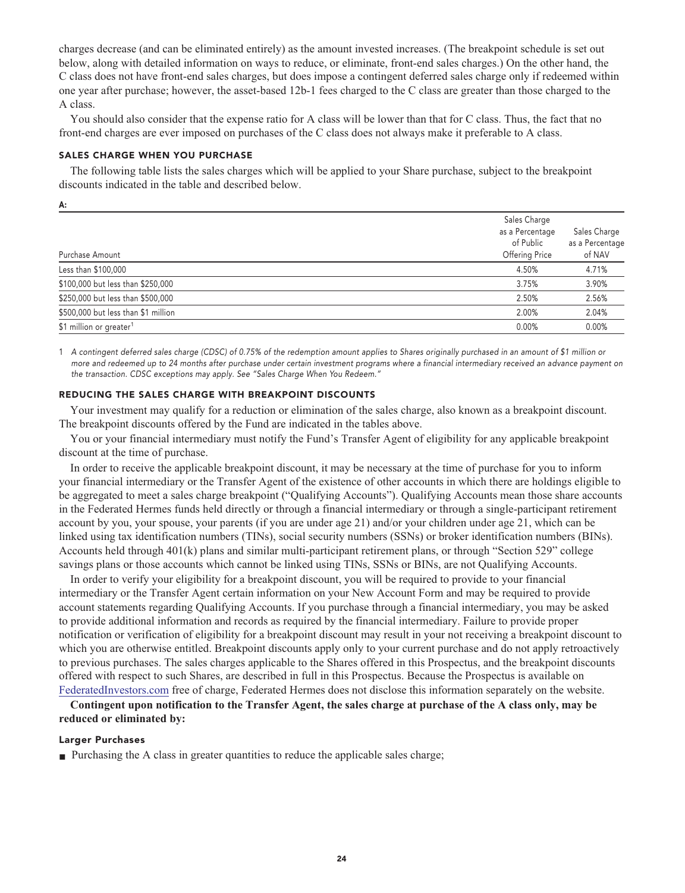**charges decrease (and can be eliminated entirely) as the amount invested increases. (The breakpoint schedule is set out below, along with detailed information on ways to reduce, or eliminate, front-end sales charges.) On the other hand, the C class does not have front-end sales charges, but does impose a contingent deferred sales charge only if redeemed within one year after purchase; however, the asset-based 12b-1 fees charged to the C class are greater than those charged to the A class.**

**You should also consider that the expense ratio for A class will be lower than that for C class. Thus, the fact that no front-end charges are ever imposed on purchases of the C class does not always make it preferable to A class.**

#### **SALES CHARGE WHEN YOU PURCHASE**

**A:**

**The following table lists the sales charges which will be applied to your Share purchase, subject to the breakpoint discounts indicated in the table and described below.**

| Purchase Amount                     | Sales Charge<br>as a Percentage<br>of Public<br>Offering Price | Sales Charge<br>as a Percentage<br>of NAV |
|-------------------------------------|----------------------------------------------------------------|-------------------------------------------|
| Less than \$100,000                 | 4.50%                                                          | 4.71%                                     |
| \$100,000 but less than \$250,000   | 3.75%                                                          | 3.90%                                     |
| \$250,000 but less than \$500,000   | 2.50%                                                          | 2.56%                                     |
| \$500,000 but less than \$1 million | 2.00%                                                          | 2.04%                                     |
| \$1 million or greater <sup>1</sup> | 0.00%                                                          | 0.00%                                     |
|                                     |                                                                |                                           |

**1 A contingent deferred sales charge (CDSC) of 0.75% of the redemption amount applies to Shares originally purchased in an amount of \$1 million or more and redeemed up to 24 months after purchase under certain investment programs where a financial intermediary received an advance payment on the transaction. CDSC exceptions may apply. See "Sales Charge When You Redeem."**

# **REDUCING THE SALES CHARGE WITH BREAKPOINT DISCOUNTS**

**Your investment may qualify for a reduction or elimination of the sales charge, also known as a breakpoint discount. The breakpoint discounts offered by the Fund are indicated in the tables above.**

**You or your financial intermediary must notify the Fund's Transfer Agent of eligibility for any applicable breakpoint discount at the time of purchase.**

**In order to receive the applicable breakpoint discount, it may be necessary at the time of purchase for you to inform your financial intermediary or the Transfer Agent of the existence of other accounts in which there are holdings eligible to be aggregated to meet a sales charge breakpoint ("Qualifying Accounts"). Qualifying Accounts mean those share accounts in the Federated Hermes funds held directly or through a financial intermediary or through a single-participant retirement account by you, your spouse, your parents (if you are under age 21) and/or your children under age 21, which can be linked using tax identification numbers (TINs), social security numbers (SSNs) or broker identification numbers (BINs). Accounts held through 401(k) plans and similar multi-participant retirement plans, or through "Section 529" college savings plans or those accounts which cannot be linked using TINs, SSNs or BINs, are not Qualifying Accounts.**

**In order to verify your eligibility for a breakpoint discount, you will be required to provide to your financial intermediary or the Transfer Agent certain information on your New Account Form and may be required to provide account statements regarding Qualifying Accounts. If you purchase through a financial intermediary, you may be asked to provide additional information and records as required by the financial intermediary. Failure to provide proper notification or verification of eligibility for a breakpoint discount may result in your not receiving a breakpoint discount to which you are otherwise entitled. Breakpoint discounts apply only to your current purchase and do not apply retroactively to previous purchases. The sales charges applicable to the Shares offered in this Prospectus, and the breakpoint discounts offered with respect to such Shares, are described in full in this Prospectus. Because the Prospectus is available on [FederatedInvestors.com](https://www.federatedinvestors.com/home.do) free of charge, Federated Hermes does not disclose this information separately on the website.**

**Contingent upon notification to the Transfer Agent, the sales charge at purchase of the A class only, may be reduced or eliminated by:**

# **Larger Purchases**

■ **Purchasing the A class in greater quantities to reduce the applicable sales charge;**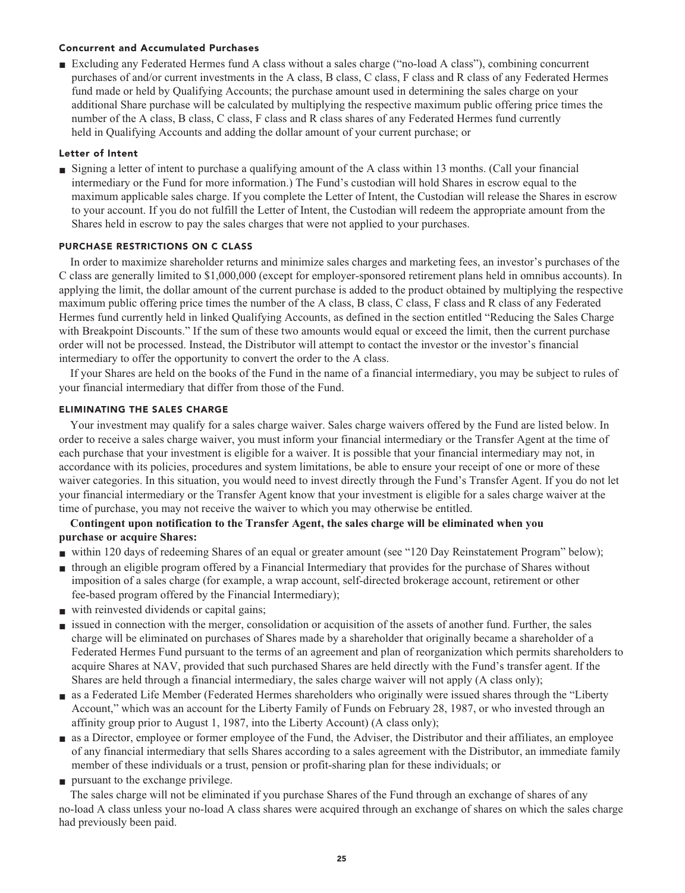# **Concurrent and Accumulated Purchases**

**■ Excluding any Federated Hermes fund A class without a sales charge ("no-load A class"), combining concurrent purchases of and/or current investments in the A class, B class, C class, F class and R class of any Federated Hermes fund made or held by Qualifying Accounts; the purchase amount used in determining the sales charge on your additional Share purchase will be calculated by multiplying the respective maximum public offering price times the number of the A class, B class, C class, F class and R class shares of any Federated Hermes fund currently held in Qualifying Accounts and adding the dollar amount of your current purchase; or**

# **Letter of Intent**

**■ Signing a letter of intent to purchase a qualifying amount of the A class within 13 months. (Call your financial intermediary or the Fund for more information.) The Fund's custodian will hold Shares in escrow equal to the maximum applicable sales charge. If you complete the Letter of Intent, the Custodian will release the Shares in escrow to your account. If you do not fulfill the Letter of Intent, the Custodian will redeem the appropriate amount from the Shares held in escrow to pay the sales charges that were not applied to your purchases.**

# **PURCHASE RESTRICTIONS ON C CLASS**

**In order to maximize shareholder returns and minimize sales charges and marketing fees, an investor's purchases of the C class are generally limited to \$1,000,000 (except for employer-sponsored retirement plans held in omnibus accounts). In applying the limit, the dollar amount of the current purchase is added to the product obtained by multiplying the respective maximum public offering price times the number of the A class, B class, C class, F class and R class of any Federated Hermes fund currently held in linked Qualifying Accounts, as defined in the section entitled "Reducing the Sales Charge with Breakpoint Discounts." If the sum of these two amounts would equal or exceed the limit, then the current purchase order will not be processed. Instead, the Distributor will attempt to contact the investor or the investor's financial intermediary to offer the opportunity to convert the order to the A class.**

**If your Shares are held on the books of the Fund in the name of a financial intermediary, you may be subject to rules of your financial intermediary that differ from those of the Fund.**

# **ELIMINATING THE SALES CHARGE**

**Your investment may qualify for a sales charge waiver. Sales charge waivers offered by the Fund are listed below. In order to receive a sales charge waiver, you must inform your financial intermediary or the Transfer Agent at the time of each purchase that your investment is eligible for a waiver. It is possible that your financial intermediary may not, in accordance with its policies, procedures and system limitations, be able to ensure your receipt of one or more of these waiver categories. In this situation, you would need to invest directly through the Fund's Transfer Agent. If you do not let your financial intermediary or the Transfer Agent know that your investment is eligible for a sales charge waiver at the time of purchase, you may not receive the waiver to which you may otherwise be entitled.**

# **Contingent upon notification to the Transfer Agent, the sales charge will be eliminated when you purchase or acquire Shares:**

- **■ within 120 days of redeeming Shares of an equal or greater amount (see "120 Day Reinstatement Program" below);**
- **■ through an eligible program offered by a Financial Intermediary that provides for the purchase of Shares without imposition of a sales charge (for example, a wrap account, self-directed brokerage account, retirement or other fee-based program offered by the Financial Intermediary);**
- **■ with reinvested dividends or capital gains;**
- **issued in connection with the merger, consolidation or acquisition of the assets of another fund. Further, the sales charge will be eliminated on purchases of Shares made by a shareholder that originally became a shareholder of a Federated Hermes Fund pursuant to the terms of an agreement and plan of reorganization which permits shareholders to acquire Shares at NAV, provided that such purchased Shares are held directly with the Fund's transfer agent. If the Shares are held through a financial intermediary, the sales charge waiver will not apply (A class only);**
- **■ as a Federated Life Member (Federated Hermes shareholders who originally were issued shares through the "Liberty Account," which was an account for the Liberty Family of Funds on February 28, 1987, or who invested through an affinity group prior to August 1, 1987, into the Liberty Account) (A class only);**
- **■ as a Director, employee or former employee of the Fund, the Adviser, the Distributor and their affiliates, an employee of any financial intermediary that sells Shares according to a sales agreement with the Distributor, an immediate family member of these individuals or a trust, pension or profit-sharing plan for these individuals; or**
- **■ pursuant to the exchange privilege.**

**The sales charge will not be eliminated if you purchase Shares of the Fund through an exchange of shares of any no-load A class unless your no-load A class shares were acquired through an exchange of shares on which the sales charge had previously been paid.**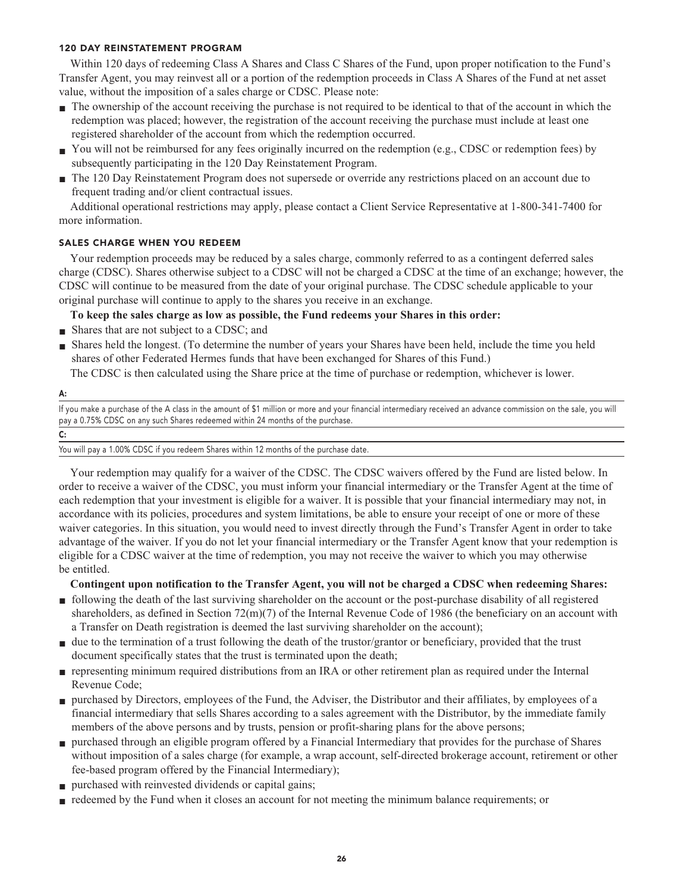# **120 DAY REINSTATEMENT PROGRAM**

**Within 120 days of redeeming Class A Shares and Class C Shares of the Fund, upon proper notification to the Fund's Transfer Agent, you may reinvest all or a portion of the redemption proceeds in Class A Shares of the Fund at net asset value, without the imposition of a sales charge or CDSC. Please note:**

- **■ The ownership of the account receiving the purchase is not required to be identical to that of the account in which the redemption was placed; however, the registration of the account receiving the purchase must include at least one registered shareholder of the account from which the redemption occurred.**
- You will not be reimbursed for any fees originally incurred on the redemption (e.g., CDSC or redemption fees) by **subsequently participating in the 120 Day Reinstatement Program.**
- **■ The 120 Day Reinstatement Program does not supersede or override any restrictions placed on an account due to frequent trading and/or client contractual issues.**

**Additional operational restrictions may apply, please contact a Client Service Representative at 1-800-341-7400 for more information.**

# **SALES CHARGE WHEN YOU REDEEM**

**Your redemption proceeds may be reduced by a sales charge, commonly referred to as a contingent deferred sales charge (CDSC). Shares otherwise subject to a CDSC will not be charged a CDSC at the time of an exchange; however, the CDSC will continue to be measured from the date of your original purchase. The CDSC schedule applicable to your original purchase will continue to apply to the shares you receive in an exchange.**

**To keep the sales charge as low as possible, the Fund redeems your Shares in this order:**

- **Shares that are not subject to a CDSC; and**
- **■ Shares held the longest. (To determine the number of years your Shares have been held, include the time you held shares of other Federated Hermes funds that have been exchanged for Shares of this Fund.)**

**The CDSC is then calculated using the Share price at the time of purchase or redemption, whichever is lower.**

#### **A:**

**If you make a purchase of the A class in the amount of \$1 million or more and your financial intermediary received an advance commission on the sale, you will pay a 0.75% CDSC on any such Shares redeemed within 24 months of the purchase.**

| I<br>v         |  |  |
|----------------|--|--|
|                |  |  |
| ×<br>۰,<br>$-$ |  |  |

**You will pay a 1.00% CDSC if you redeem Shares within 12 months of the purchase date.**

**Your redemption may qualify for a waiver of the CDSC. The CDSC waivers offered by the Fund are listed below. In order to receive a waiver of the CDSC, you must inform your financial intermediary or the Transfer Agent at the time of each redemption that your investment is eligible for a waiver. It is possible that your financial intermediary may not, in accordance with its policies, procedures and system limitations, be able to ensure your receipt of one or more of these waiver categories. In this situation, you would need to invest directly through the Fund's Transfer Agent in order to take advantage of the waiver. If you do not let your financial intermediary or the Transfer Agent know that your redemption is eligible for a CDSC waiver at the time of redemption, you may not receive the waiver to which you may otherwise be entitled.**

**Contingent upon notification to the Transfer Agent, you will not be charged a CDSC when redeeming Shares:**

- **■ following the death of the last surviving shareholder on the account or the post-purchase disability of all registered shareholders, as defined in Section 72(m)(7) of the Internal Revenue Code of 1986 (the beneficiary on an account with a Transfer on Death registration is deemed the last surviving shareholder on the account);**
- due to the termination of a trust following the death of the trustor/grantor or beneficiary, provided that the trust **document specifically states that the trust is terminated upon the death;**
- **■ representing minimum required distributions from an IRA or other retirement plan as required under the Internal Revenue Code;**
- **■ purchased by Directors, employees of the Fund, the Adviser, the Distributor and their affiliates, by employees of a financial intermediary that sells Shares according to a sales agreement with the Distributor, by the immediate family members of the above persons and by trusts, pension or profit-sharing plans for the above persons;**
- **■ purchased through an eligible program offered by a Financial Intermediary that provides for the purchase of Shares without imposition of a sales charge (for example, a wrap account, self-directed brokerage account, retirement or other fee-based program offered by the Financial Intermediary);**
- **■ purchased with reinvested dividends or capital gains;**
- **redeemed by the Fund when it closes an account for not meeting the minimum balance requirements; or**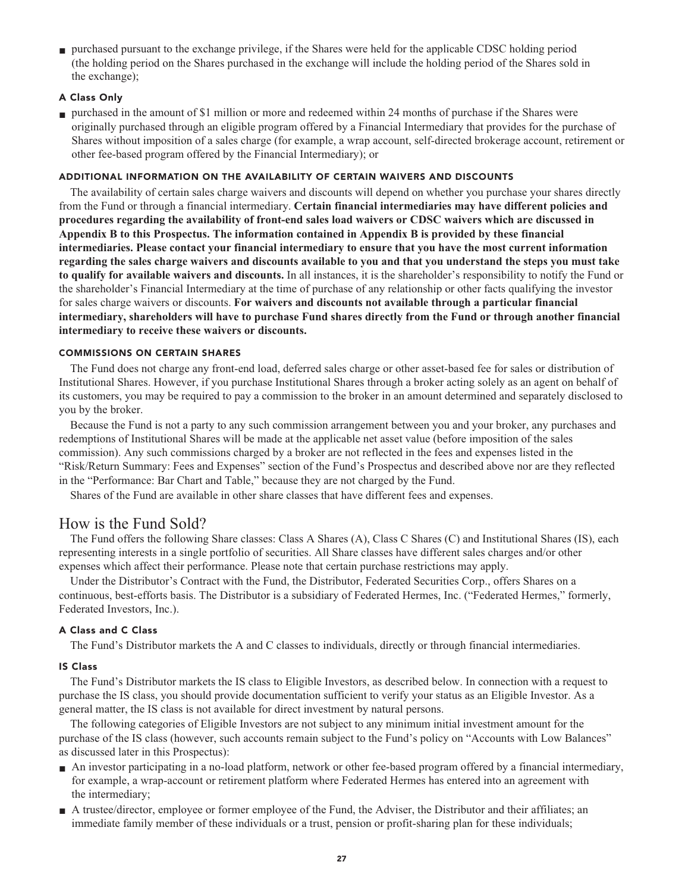**■ purchased pursuant to the exchange privilege, if the Shares were held for the applicable CDSC holding period (the holding period on the Shares purchased in the exchange will include the holding period of the Shares sold in the exchange);**

# **A Class Only**

**■ purchased in the amount of \$1 million or more and redeemed within 24 months of purchase if the Shares were originally purchased through an eligible program offered by a Financial Intermediary that provides for the purchase of Shares without imposition of a sales charge (for example, a wrap account, self-directed brokerage account, retirement or other fee-based program offered by the Financial Intermediary); or**

# **ADDITIONAL INFORMATION ON THE AVAILABILITY OF CERTAIN WAIVERS AND DISCOUNTS**

**The availability of certain sales charge waivers and discounts will depend on whether you purchase your shares directly from the Fund or through a financial intermediary. Certain financial intermediaries may have different policies and procedures regarding the availability of front-end sales load waivers or CDSC waivers which are discussed in Appendix B to this Prospectus. The information contained in Appendix B is provided by these financial intermediaries. Please contact your financial intermediary to ensure that you have the most current information regarding the sales charge waivers and discounts available to you and that you understand the steps you must take to qualify for available waivers and discounts. In all instances, it is the shareholder's responsibility to notify the Fund or the shareholder's Financial Intermediary at the time of purchase of any relationship or other facts qualifying the investor for sales charge waivers or discounts. For waivers and discounts not available through a particular financial intermediary, shareholders will have to purchase Fund shares directly from the Fund or through another financial intermediary to receive these waivers or discounts.**

# **COMMISSIONS ON CERTAIN SHARES**

**The Fund does not charge any front-end load, deferred sales charge or other asset-based fee for sales or distribution of Institutional Shares. However, if you purchase Institutional Shares through a broker acting solely as an agent on behalf of its customers, you may be required to pay a commission to the broker in an amount determined and separately disclosed to you by the broker.**

**Because the Fund is not a party to any such commission arrangement between you and your broker, any purchases and redemptions of Institutional Shares will be made at the applicable net asset value (before imposition of the sales commission). Any such commissions charged by a broker are not reflected in the fees and expenses listed in the "Risk/Return Summary: Fees and Expenses" section of the Fund's Prospectus and described above nor are they reflected in the "Performance: Bar Chart and Table," because they are not charged by the Fund.**

**Shares of the Fund are available in other share classes that have different fees and expenses.**

# **How is the Fund Sold?**

**The Fund offers the following Share classes: Class A Shares (A), Class C Shares (C) and Institutional Shares (IS), each representing interests in a single portfolio of securities. All Share classes have different sales charges and/or other expenses which affect their performance. Please note that certain purchase restrictions may apply.**

**Under the Distributor's Contract with the Fund, the Distributor, Federated Securities Corp., offers Shares on a continuous, best-efforts basis. The Distributor is a subsidiary of Federated Hermes, Inc. ("Federated Hermes," formerly, Federated Investors, Inc.).**

# **A Class and C Class**

**The Fund's Distributor markets the A and C classes to individuals, directly or through financial intermediaries.**

# **IS Class**

**The Fund's Distributor markets the IS class to Eligible Investors, as described below. In connection with a request to purchase the IS class, you should provide documentation sufficient to verify your status as an Eligible Investor. As a general matter, the IS class is not available for direct investment by natural persons.**

**The following categories of Eligible Investors are not subject to any minimum initial investment amount for the purchase of the IS class (however, such accounts remain subject to the Fund's policy on "Accounts with Low Balances" as discussed later in this Prospectus):**

- **■ An investor participating in a no-load platform, network or other fee-based program offered by a financial intermediary, for example, a wrap-account or retirement platform where Federated Hermes has entered into an agreement with the intermediary;**
- **■ A trustee/director, employee or former employee of the Fund, the Adviser, the Distributor and their affiliates; an immediate family member of these individuals or a trust, pension or profit-sharing plan for these individuals;**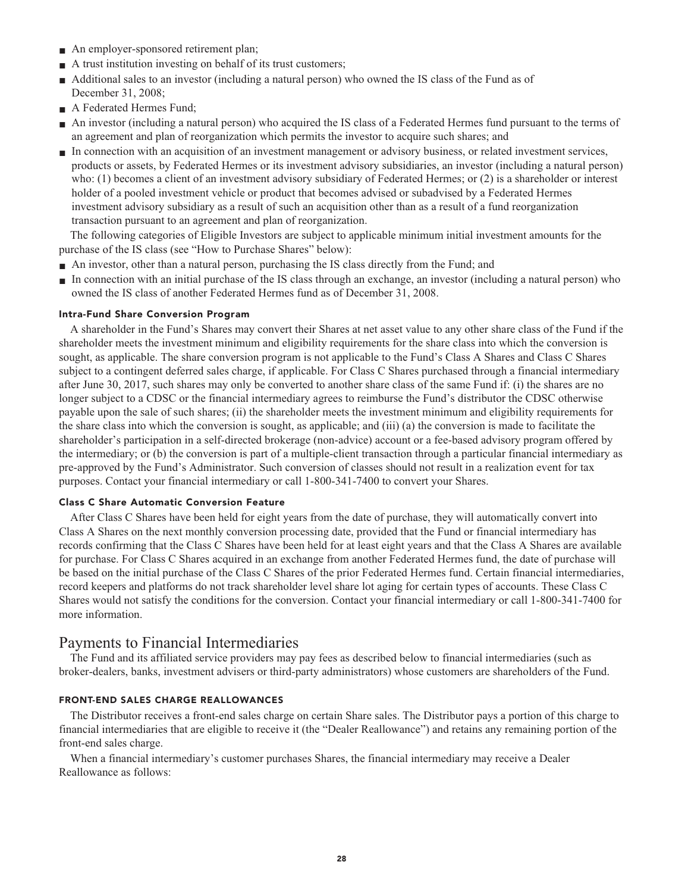- **■ An employer-sponsored retirement plan;**
- **■ A trust institution investing on behalf of its trust customers;**
- **Additional sales to an investor (including a natural person)** who owned the IS class of the Fund as of **December 31, 2008;**
- **■ A Federated Hermes Fund;**
- **■ An investor (including a natural person) who acquired the IS class of a Federated Hermes fund pursuant to the terms of an agreement and plan of reorganization which permits the investor to acquire such shares; and**
- **■ In connection with an acquisition of an investment management or advisory business, or related investment services, products or assets, by Federated Hermes or its investment advisory subsidiaries, an investor (including a natural person) who: (1) becomes a client of an investment advisory subsidiary of Federated Hermes; or (2) is a shareholder or interest holder of a pooled investment vehicle or product that becomes advised or subadvised by a Federated Hermes investment advisory subsidiary as a result of such an acquisition other than as a result of a fund reorganization transaction pursuant to an agreement and plan of reorganization.**

**The following categories of Eligible Investors are subject to applicable minimum initial investment amounts for the purchase of the IS class (see "How to Purchase Shares" below):**

- **■ An investor, other than a natural person, purchasing the IS class directly from the Fund; and**
- **■ In connection with an initial purchase of the IS class through an exchange, an investor (including a natural person) who owned the IS class of another Federated Hermes fund as of December 31, 2008.**

# **Intra-Fund Share Conversion Program**

**A shareholder in the Fund's Shares may convert their Shares at net asset value to any other share class of the Fund if the shareholder meets the investment minimum and eligibility requirements for the share class into which the conversion is sought, as applicable. The share conversion program is not applicable to the Fund's Class A Shares and Class C Shares subject to a contingent deferred sales charge, if applicable. For Class C Shares purchased through a financial intermediary after June 30, 2017, such shares may only be converted to another share class of the same Fund if: (i) the shares are no longer subject to a CDSC or the financial intermediary agrees to reimburse the Fund's distributor the CDSC otherwise payable upon the sale of such shares; (ii) the shareholder meets the investment minimum and eligibility requirements for the share class into which the conversion is sought, as applicable; and (iii) (a) the conversion is made to facilitate the shareholder's participation in a self-directed brokerage (non-advice) account or a fee-based advisory program offered by the intermediary; or (b) the conversion is part of a multiple-client transaction through a particular financial intermediary as pre-approved by the Fund's Administrator. Such conversion of classes should not result in a realization event for tax purposes. Contact your financial intermediary or call 1-800-341-7400 to convert your Shares.**

#### **Class C Share Automatic Conversion Feature**

**After Class C Shares have been held for eight years from the date of purchase, they will automatically convert into Class A Shares on the next monthly conversion processing date, provided that the Fund or financial intermediary has records confirming that the Class C Shares have been held for at least eight years and that the Class A Shares are available for purchase. For Class C Shares acquired in an exchange from another Federated Hermes fund, the date of purchase will be based on the initial purchase of the Class C Shares of the prior Federated Hermes fund. Certain financial intermediaries, record keepers and platforms do not track shareholder level share lot aging for certain types of accounts. These Class C Shares would not satisfy the conditions for the conversion. Contact your financial intermediary or call 1-800-341-7400 for more information.**

# **Payments to Financial Intermediaries**

**The Fund and its affiliated service providers may pay fees as described below to financial intermediaries (such as broker-dealers, banks, investment advisers or third-party administrators) whose customers are shareholders of the Fund.**

# **FRONT-END SALES CHARGE REALLOWANCES**

**The Distributor receives a front-end sales charge on certain Share sales. The Distributor pays a portion of this charge to financial intermediaries that are eligible to receive it (the "Dealer Reallowance") and retains any remaining portion of the front-end sales charge.**

**When a financial intermediary's customer purchases Shares, the financial intermediary may receive a Dealer Reallowance as follows:**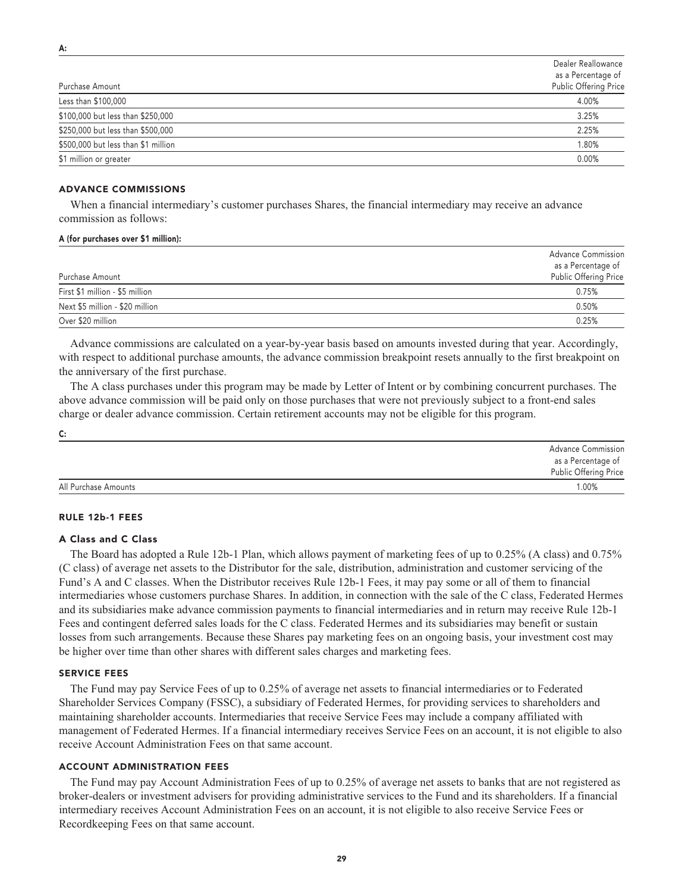| Purchase Amount                     | Dealer Reallowance<br>as a Percentage of<br>Public Offering Price |
|-------------------------------------|-------------------------------------------------------------------|
| Less than \$100,000                 | 4.00%                                                             |
| \$100,000 but less than \$250,000   | 3.25%                                                             |
| \$250,000 but less than \$500,000   | 2.25%                                                             |
| \$500,000 but less than \$1 million | 1.80%                                                             |
| \$1 million or greater              | 0.00%                                                             |

#### **ADVANCE COMMISSIONS**

**When a financial intermediary's customer purchases Shares, the financial intermediary may receive an advance commission as follows:**

#### **A (for purchases over \$1 million):**

| Purchase Amount                 | <b>Advance Commission</b><br>as a Percentage of<br>Public Offering Price |
|---------------------------------|--------------------------------------------------------------------------|
| First \$1 million - \$5 million | 0.75%                                                                    |
| Next \$5 million - \$20 million | 0.50%                                                                    |
| Over \$20 million               | 0.25%                                                                    |

**Advance commissions are calculated on a year-by-year basis based on amounts invested during that year. Accordingly, with respect to additional purchase amounts, the advance commission breakpoint resets annually to the first breakpoint on the anniversary of the first purchase.**

**The A class purchases under this program may be made by Letter of Intent or by combining concurrent purchases. The above advance commission will be paid only on those purchases that were not previously subject to a front-end sales charge or dealer advance commission. Certain retirement accounts may not be eligible for this program.**

|                      | <b>Advance Commission</b><br>as a Percentage of<br>Public Offering Price |
|----------------------|--------------------------------------------------------------------------|
| All Purchase Amounts | 1.00%                                                                    |

#### **RULE 12b-1 FEES**

**C:**

#### **A Class and C Class**

**The Board has adopted a Rule 12b-1 Plan, which allows payment of marketing fees of up to 0.25% (A class) and 0.75% (C class) of average net assets to the Distributor for the sale, distribution, administration and customer servicing of the Fund's A and C classes. When the Distributor receives Rule 12b-1 Fees, it may pay some or all of them to financial intermediaries whose customers purchase Shares. In addition, in connection with the sale of the C class, Federated Hermes and its subsidiaries make advance commission payments to financial intermediaries and in return may receive Rule 12b-1 Fees and contingent deferred sales loads for the C class. Federated Hermes and its subsidiaries may benefit or sustain losses from such arrangements. Because these Shares pay marketing fees on an ongoing basis, your investment cost may be higher over time than other shares with different sales charges and marketing fees.**

#### **SERVICE FEES**

**The Fund may pay Service Fees of up to 0.25% of average net assets to financial intermediaries or to Federated Shareholder Services Company (FSSC), a subsidiary of Federated Hermes, for providing services to shareholders and maintaining shareholder accounts. Intermediaries that receive Service Fees may include a company affiliated with management of Federated Hermes. If a financial intermediary receives Service Fees on an account, it is not eligible to also receive Account Administration Fees on that same account.**

#### **ACCOUNT ADMINISTRATION FEES**

**The Fund may pay Account Administration Fees of up to 0.25% of average net assets to banks that are not registered as broker-dealers or investment advisers for providing administrative services to the Fund and its shareholders. If a financial intermediary receives Account Administration Fees on an account, it is not eligible to also receive Service Fees or Recordkeeping Fees on that same account.**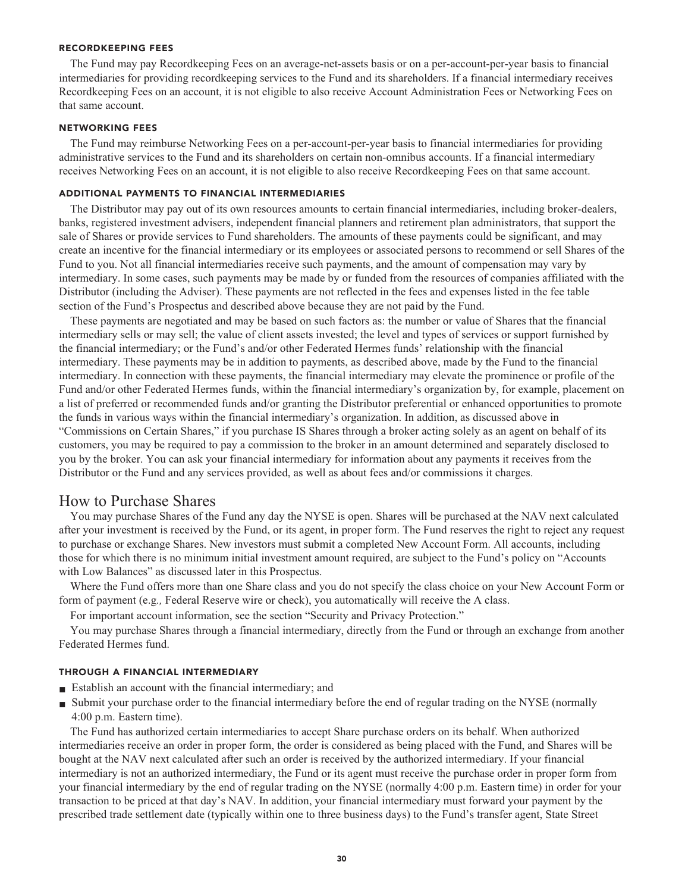#### **RECORDKEEPING FEES**

**The Fund may pay Recordkeeping Fees on an average-net-assets basis or on a per-account-per-year basis to financial intermediaries for providing recordkeeping services to the Fund and its shareholders. If a financial intermediary receives Recordkeeping Fees on an account, it is not eligible to also receive Account Administration Fees or Networking Fees on that same account.**

#### **NETWORKING FEES**

**The Fund may reimburse Networking Fees on a per-account-per-year basis to financial intermediaries for providing administrative services to the Fund and its shareholders on certain non-omnibus accounts. If a financial intermediary receives Networking Fees on an account, it is not eligible to also receive Recordkeeping Fees on that same account.**

#### **ADDITIONAL PAYMENTS TO FINANCIAL INTERMEDIARIES**

**The Distributor may pay out of its own resources amounts to certain financial intermediaries, including broker-dealers, banks, registered investment advisers, independent financial planners and retirement plan administrators, that support the sale of Shares or provide services to Fund shareholders. The amounts of these payments could be significant, and may create an incentive for the financial intermediary or its employees or associated persons to recommend or sell Shares of the Fund to you. Not all financial intermediaries receive such payments, and the amount of compensation may vary by intermediary. In some cases, such payments may be made by or funded from the resources of companies affiliated with the Distributor (including the Adviser). These payments are not reflected in the fees and expenses listed in the fee table section of the Fund's Prospectus and described above because they are not paid by the Fund.**

**These payments are negotiated and may be based on such factors as: the number or value of Shares that the financial intermediary sells or may sell; the value of client assets invested; the level and types of services or support furnished by the financial intermediary; or the Fund's and/or other Federated Hermes funds' relationship with the financial intermediary. These payments may be in addition to payments, as described above, made by the Fund to the financial intermediary. In connection with these payments, the financial intermediary may elevate the prominence or profile of the Fund and/or other Federated Hermes funds, within the financial intermediary's organization by, for example, placement on a list of preferred or recommended funds and/or granting the Distributor preferential or enhanced opportunities to promote the funds in various ways within the financial intermediary's organization. In addition, as discussed above in "Commissions on Certain Shares," if you purchase IS Shares through a broker acting solely as an agent on behalf of its customers, you may be required to pay a commission to the broker in an amount determined and separately disclosed to you by the broker. You can ask your financial intermediary for information about any payments it receives from the Distributor or the Fund and any services provided, as well as about fees and/or commissions it charges.**

# **How to Purchase Shares**

**You may purchase Shares of the Fund any day the NYSE is open. Shares will be purchased at the NAV next calculated after your investment is received by the Fund, or its agent, in proper form. The Fund reserves the right to reject any request to purchase or exchange Shares. New investors must submit a completed New Account Form. All accounts, including those for which there is no minimum initial investment amount required, are subject to the Fund's policy on "Accounts with Low Balances" as discussed later in this Prospectus.**

**Where the Fund offers more than one Share class and you do not specify the class choice on your New Account Form or form of payment (e.g***.,* **Federal Reserve wire or check), you automatically will receive the A class.**

**For important account information, see the section "Security and Privacy Protection."**

**You may purchase Shares through a financial intermediary, directly from the Fund or through an exchange from another Federated Hermes fund.**

# **THROUGH A FINANCIAL INTERMEDIARY**

- **■ Establish an account with the financial intermediary; and**
- **■ Submit your purchase order to the financial intermediary before the end of regular trading on the NYSE (normally 4:00 p.m. Eastern time).**

**The Fund has authorized certain intermediaries to accept Share purchase orders on its behalf. When authorized intermediaries receive an order in proper form, the order is considered as being placed with the Fund, and Shares will be bought at the NAV next calculated after such an order is received by the authorized intermediary. If your financial intermediary is not an authorized intermediary, the Fund or its agent must receive the purchase order in proper form from your financial intermediary by the end of regular trading on the NYSE (normally 4:00 p.m. Eastern time) in order for your transaction to be priced at that day's NAV. In addition, your financial intermediary must forward your payment by the prescribed trade settlement date (typically within one to three business days) to the Fund's transfer agent, State Street**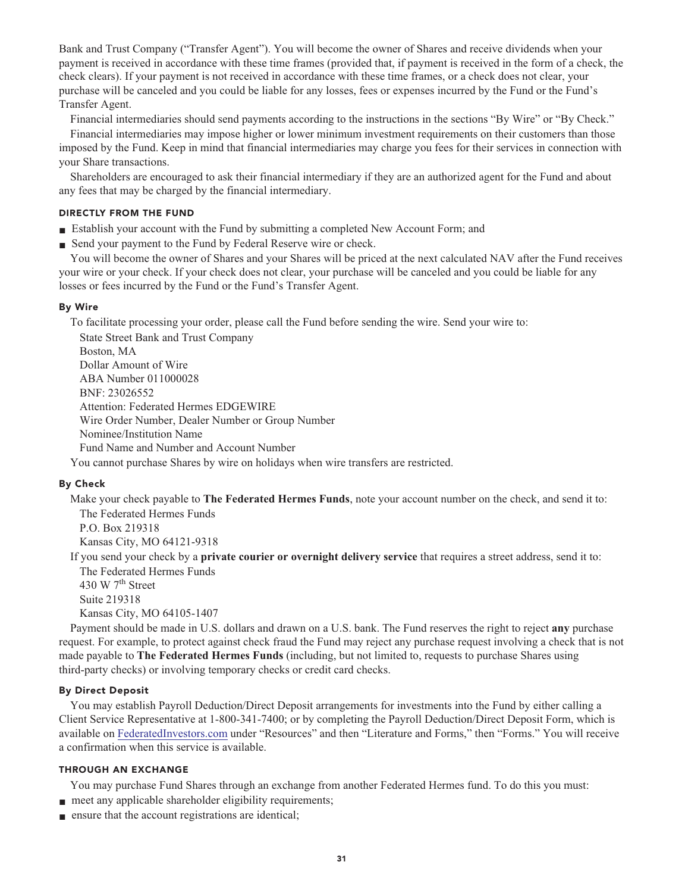**Bank and Trust Company ("Transfer Agent"). You will become the owner of Shares and receive dividends when your payment is received in accordance with these time frames (provided that, if payment is received in the form of a check, the check clears). If your payment is not received in accordance with these time frames, or a check does not clear, your purchase will be canceled and you could be liable for any losses, fees or expenses incurred by the Fund or the Fund's Transfer Agent.**

**Financial intermediaries should send payments according to the instructions in the sections "By Wire" or "By Check."**

**Financial intermediaries may impose higher or lower minimum investment requirements on their customers than those imposed by the Fund. Keep in mind that financial intermediaries may charge you fees for their services in connection with your Share transactions.**

**Shareholders are encouraged to ask their financial intermediary if they are an authorized agent for the Fund and about any fees that may be charged by the financial intermediary.**

# **DIRECTLY FROM THE FUND**

- **■ Establish your account with the Fund by submitting a completed New Account Form; and**
- **Send your payment to the Fund by Federal Reserve wire or check.**

**You will become the owner of Shares and your Shares will be priced at the next calculated NAV after the Fund receives your wire or your check. If your check does not clear, your purchase will be canceled and you could be liable for any losses or fees incurred by the Fund or the Fund's Transfer Agent.**

# **By Wire**

**To facilitate processing your order, please call the Fund before sending the wire. Send your wire to:**

**State Street Bank and Trust Company Boston, MA Dollar Amount of Wire ABA Number 011000028 BNF: 23026552 Attention: Federated Hermes EDGEWIRE Wire Order Number, Dealer Number or Group Number Nominee/Institution Name Fund Name and Number and Account Number**

**You cannot purchase Shares by wire on holidays when wire transfers are restricted.**

# **By Check**

**Make your check payable to The Federated Hermes Funds, note your account number on the check, and send it to: The Federated Hermes Funds**

**P.O. Box 219318 Kansas City, MO 64121-9318**

**If you send your check by a private courier or overnight delivery service that requires a street address, send it to: The Federated Hermes Funds**

**th 430 W 7 Street Suite 219318 Kansas City, MO 64105-1407**

**Payment should be made in U.S. dollars and drawn on a U.S. bank. The Fund reserves the right to reject any purchase request. For example, to protect against check fraud the Fund may reject any purchase request involving a check that is not made payable to The Federated Hermes Funds (including, but not limited to, requests to purchase Shares using third-party checks) or involving temporary checks or credit card checks.**

# **By Direct Deposit**

**You may establish Payroll Deduction/Direct Deposit arrangements for investments into the Fund by either calling a Client Service Representative at 1-800-341-7400; or by completing the Payroll Deduction/Direct Deposit Form, which is available on [FederatedInvestors.com](https://www.federatedinvestors.com/home.do) under "Resources" and then "Literature and Forms," then "Forms." You will receive a confirmation when this service is available.**

# **THROUGH AN EXCHANGE**

**You may purchase Fund Shares through an exchange from another Federated Hermes fund. To do this you must:**

- **meet any applicable shareholder eligibility requirements;**
- **■ ensure that the account registrations are identical;**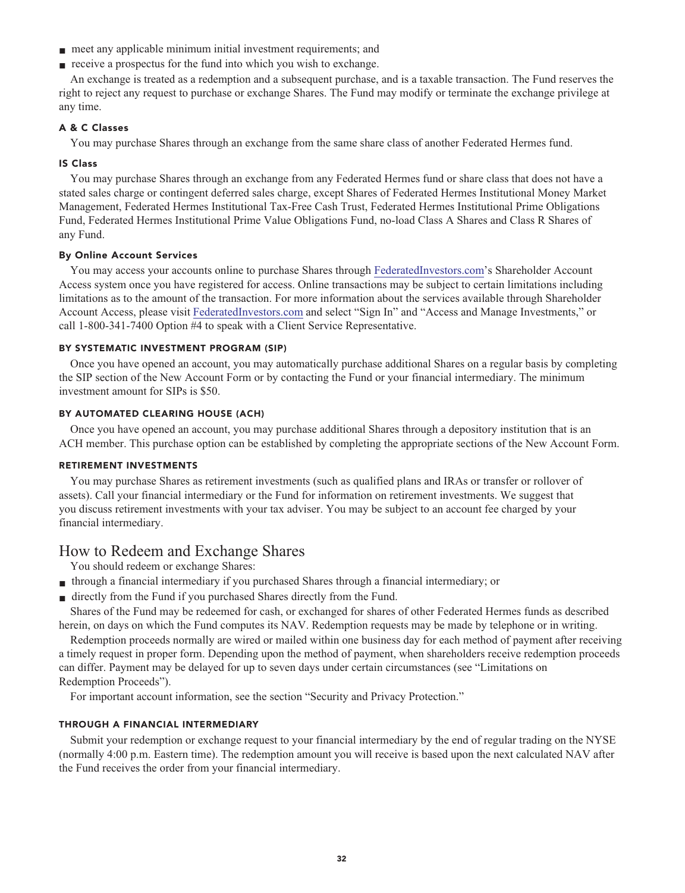- **meet any applicable minimum initial investment requirements; and**
- **receive a prospectus for the fund into which you wish to exchange.**

**An exchange is treated as a redemption and a subsequent purchase, and is a taxable transaction. The Fund reserves the right to reject any request to purchase or exchange Shares. The Fund may modify or terminate the exchange privilege at any time.**

# **A & C Classes**

**You may purchase Shares through an exchange from the same share class of another Federated Hermes fund.**

# **IS Class**

**You may purchase Shares through an exchange from any Federated Hermes fund or share class that does not have a stated sales charge or contingent deferred sales charge, except Shares of Federated Hermes Institutional Money Market Management, Federated Hermes Institutional Tax-Free Cash Trust, Federated Hermes Institutional Prime Obligations Fund, Federated Hermes Institutional Prime Value Obligations Fund, no-load Class A Shares and Class R Shares of any Fund.**

#### **By Online Account Services**

**You may access your accounts online to purchase Shares through [FederatedInvestors.com'](https://www.federatedinvestors.com/home.do)s Shareholder Account Access system once you have registered for access. Online transactions may be subject to certain limitations including limitations as to the amount of the transaction. For more information about the services available through Shareholder Account Access, please visit [FederatedInvestors.com](https://www.federatedinvestors.com/home.do) and select "Sign In" and "Access and Manage Investments," or call 1-800-341-7400 Option #4 to speak with a Client Service Representative.**

#### **BY SYSTEMATIC INVESTMENT PROGRAM (SIP)**

**Once you have opened an account, you may automatically purchase additional Shares on a regular basis by completing the SIP section of the New Account Form or by contacting the Fund or your financial intermediary. The minimum investment amount for SIPs is \$50.**

#### **BY AUTOMATED CLEARING HOUSE (ACH)**

**Once you have opened an account, you may purchase additional Shares through a depository institution that is an ACH member. This purchase option can be established by completing the appropriate sections of the New Account Form.**

# **RETIREMENT INVESTMENTS**

**You may purchase Shares as retirement investments (such as qualified plans and IRAs or transfer or rollover of assets). Call your financial intermediary or the Fund for information on retirement investments. We suggest that you discuss retirement investments with your tax adviser. You may be subject to an account fee charged by your financial intermediary.**

# **How to Redeem and Exchange Shares**

**You should redeem or exchange Shares:**

- **■ through a financial intermediary if you purchased Shares through a financial intermediary; or**
- **■ directly from the Fund if you purchased Shares directly from the Fund.**

**Shares of the Fund may be redeemed for cash, or exchanged for shares of other Federated Hermes funds as described herein, on days on which the Fund computes its NAV. Redemption requests may be made by telephone or in writing.**

**Redemption proceeds normally are wired or mailed within one business day for each method of payment after receiving a timely request in proper form. Depending upon the method of payment, when shareholders receive redemption proceeds can differ. Payment may be delayed for up to seven days under certain circumstances (see "Limitations on Redemption Proceeds").**

**For important account information, see the section "Security and Privacy Protection."**

# **THROUGH A FINANCIAL INTERMEDIARY**

**Submit your redemption or exchange request to your financial intermediary by the end of regular trading on the NYSE (normally 4:00 p.m. Eastern time). The redemption amount you will receive is based upon the next calculated NAV after the Fund receives the order from your financial intermediary.**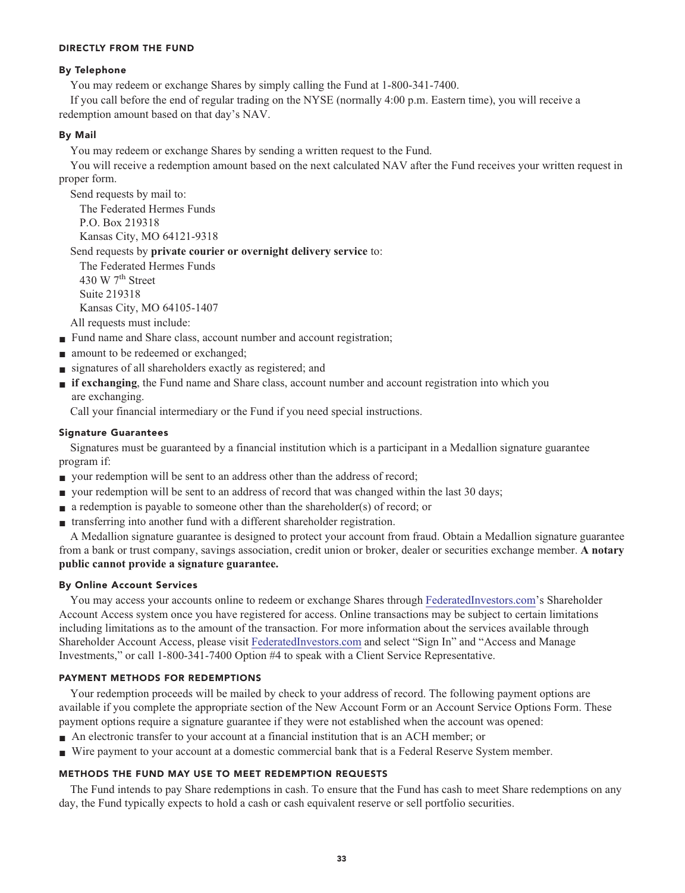# **DIRECTLY FROM THE FUND**

# **By Telephone**

**You may redeem or exchange Shares by simply calling the Fund at 1-800-341-7400.**

**If you call before the end of regular trading on the NYSE (normally 4:00 p.m. Eastern time), you will receive a redemption amount based on that day's NAV.**

# **By Mail**

**You may redeem or exchange Shares by sending a written request to the Fund.**

**You will receive a redemption amount based on the next calculated NAV after the Fund receives your written request in proper form.**

**Send requests by mail to:**

**The Federated Hermes Funds P.O. Box 219318 Kansas City, MO 64121-9318**

**Send requests by private courier or overnight delivery service to:**

**The Federated Hermes Funds th 430 W 7 Street Suite 219318 Kansas City, MO 64105-1407**

**All requests must include:**

- **Fund name and Share class, account number and account registration;**
- amount to be redeemed or exchanged;
- **■ signatures of all shareholders exactly as registered; and**
- **■ if exchanging**, the Fund name and Share class, account number and account registration into which you **are exchanging.**

**Call your financial intermediary or the Fund if you need special instructions.**

# **Signature Guarantees**

**Signatures must be guaranteed by a financial institution which is a participant in a Medallion signature guarantee program if:**

- **your redemption will be sent to an address other than the address of record;**
- **■ your redemption will be sent to an address of record that was changed within the last 30 days;**
- **■ a redemption is payable to someone other than the shareholder(s) of record; or**
- **■ transferring into another fund with a different shareholder registration.**

**A Medallion signature guarantee is designed to protect your account from fraud. Obtain a Medallion signature guarantee from a bank or trust company, savings association, credit union or broker, dealer or securities exchange member. A notary public cannot provide a signature guarantee.**

# **By Online Account Services**

**You may access your accounts online to redeem or exchange Shares through [FederatedInvestors.com'](https://www.federatedinvestors.com/home.do)s Shareholder Account Access system once you have registered for access. Online transactions may be subject to certain limitations including limitations as to the amount of the transaction. For more information about the services available through Shareholder Account Access, please visit [FederatedInvestors.com](https://www.federatedinvestors.com/home.do) and select "Sign In" and "Access and Manage Investments," or call 1-800-341-7400 Option #4 to speak with a Client Service Representative.**

# **PAYMENT METHODS FOR REDEMPTIONS**

**Your redemption proceeds will be mailed by check to your address of record. The following payment options are available if you complete the appropriate section of the New Account Form or an Account Service Options Form. These payment options require a signature guarantee if they were not established when the account was opened:**

- **■ An electronic transfer to your account at a financial institution that is an ACH member; or**
- **■ Wire payment to your account at a domestic commercial bank that is a Federal Reserve System member.**

# **METHODS THE FUND MAY USE TO MEET REDEMPTION REQUESTS**

**The Fund intends to pay Share redemptions in cash. To ensure that the Fund has cash to meet Share redemptions on any day, the Fund typically expects to hold a cash or cash equivalent reserve or sell portfolio securities.**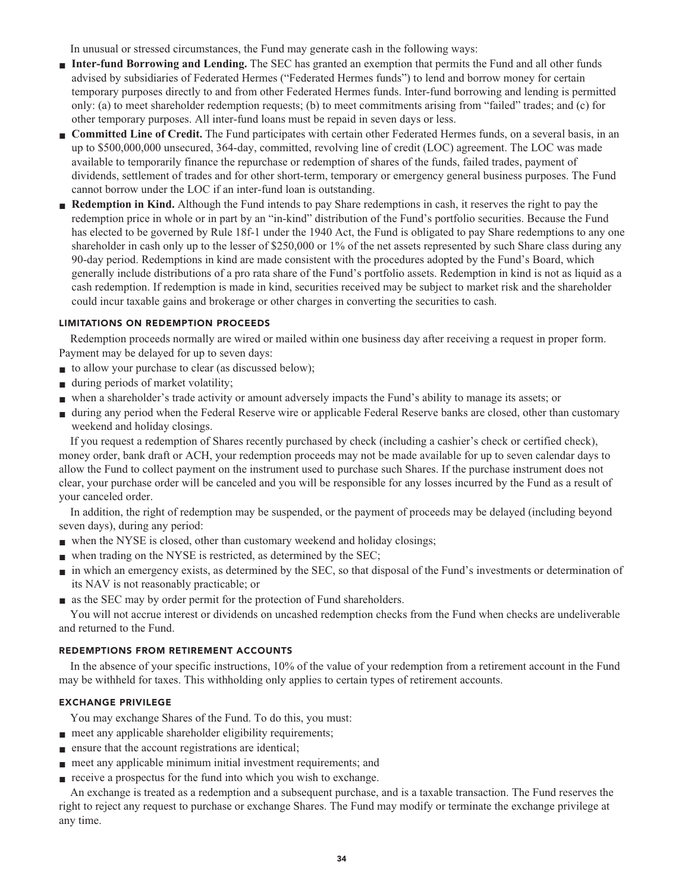**In unusual or stressed circumstances, the Fund may generate cash in the following ways:**

- **■ Inter-fund Borrowing and Lending.** The SEC has granted an exemption that permits the Fund and all other funds **advised by subsidiaries of Federated Hermes ("Federated Hermes funds") to lend and borrow money for certain temporary purposes directly to and from other Federated Hermes funds. Inter-fund borrowing and lending is permitted only: (a) to meet shareholder redemption requests; (b) to meet commitments arising from "failed" trades; and (c) for other temporary purposes. All inter-fund loans must be repaid in seven days or less.**
- **■ Committed Line of Credit. The Fund participates with certain other Federated Hermes funds, on a several basis, in an up to \$500,000,000 unsecured, 364-day, committed, revolving line of credit (LOC) agreement. The LOC was made available to temporarily finance the repurchase or redemption of shares of the funds, failed trades, payment of dividends, settlement of trades and for other short-term, temporary or emergency general business purposes. The Fund cannot borrow under the LOC if an inter-fund loan is outstanding.**
- **Redemption in Kind.** Although the Fund intends to pay Share redemptions in cash, it reserves the right to pay the **redemption price in whole or in part by an "in-kind" distribution of the Fund's portfolio securities. Because the Fund has elected to be governed by Rule 18f-1 under the 1940 Act, the Fund is obligated to pay Share redemptions to any one shareholder in cash only up to the lesser of \$250,000 or 1% of the net assets represented by such Share class during any 90-day period. Redemptions in kind are made consistent with the procedures adopted by the Fund's Board, which generally include distributions of a pro rata share of the Fund's portfolio assets. Redemption in kind is not as liquid as a cash redemption. If redemption is made in kind, securities received may be subject to market risk and the shareholder could incur taxable gains and brokerage or other charges in converting the securities to cash.**

# **LIMITATIONS ON REDEMPTION PROCEEDS**

**Redemption proceeds normally are wired or mailed within one business day after receiving a request in proper form. Payment may be delayed for up to seven days:**

- **to allow your purchase to clear (as discussed below);**
- **■ during periods of market volatility;**
- **■ when a shareholder's trade activity or amount adversely impacts the Fund's ability to manage its assets; or**
- **■ during any period when the Federal Reserve wire or applicable Federal Reserve banks are closed, other than customary weekend and holiday closings.**

**If you request a redemption of Shares recently purchased by check (including a cashier's check or certified check), money order, bank draft or ACH, your redemption proceeds may not be made available for up to seven calendar days to allow the Fund to collect payment on the instrument used to purchase such Shares. If the purchase instrument does not clear, your purchase order will be canceled and you will be responsible for any losses incurred by the Fund as a result of your canceled order.**

**In addition, the right of redemption may be suspended, or the payment of proceeds may be delayed (including beyond seven days), during any period:**

- when the NYSE is closed, other than customary weekend and holiday closings;
- when trading on the NYSE is restricted, as determined by the SEC;
- **■ in which an emergency exists, as determined by the SEC, so that disposal of the Fund's investments or determination of its NAV is not reasonably practicable; or**
- **■ as the SEC may by order permit for the protection of Fund shareholders.**

**You will not accrue interest or dividends on uncashed redemption checks from the Fund when checks are undeliverable and returned to the Fund.**

# **REDEMPTIONS FROM RETIREMENT ACCOUNTS**

**In the absence of your specific instructions, 10% of the value of your redemption from a retirement account in the Fund may be withheld for taxes. This withholding only applies to certain types of retirement accounts.**

# **EXCHANGE PRIVILEGE**

**You may exchange Shares of the Fund. To do this, you must:**

- **meet any applicable shareholder eligibility requirements;**
- **■ ensure that the account registrations are identical;**
- **meet any applicable minimum initial investment requirements; and**
- **receive a prospectus for the fund into which you wish to exchange.**

**An exchange is treated as a redemption and a subsequent purchase, and is a taxable transaction. The Fund reserves the right to reject any request to purchase or exchange Shares. The Fund may modify or terminate the exchange privilege at any time.**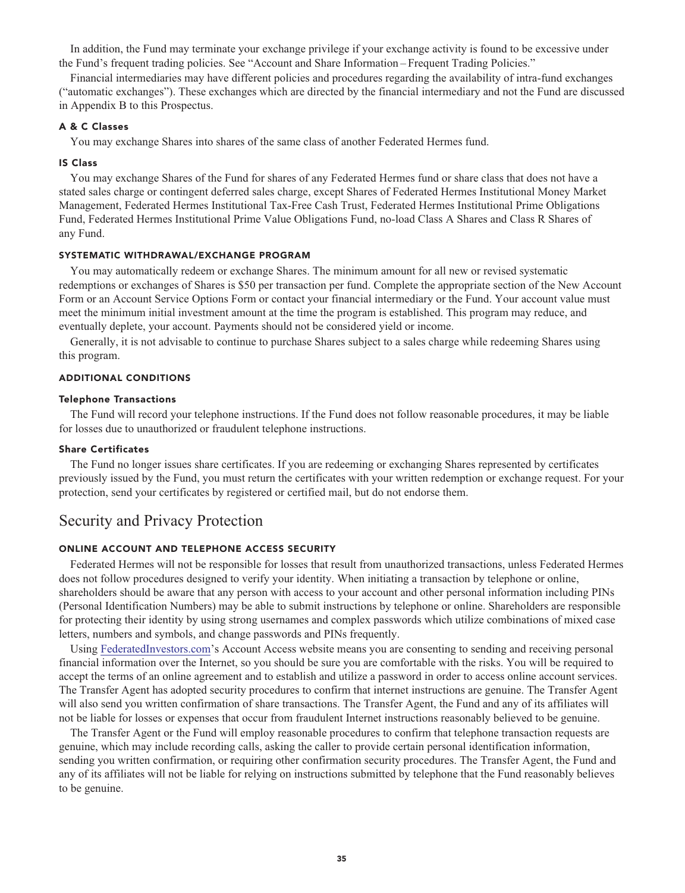**In addition, the Fund may terminate your exchange privilege if your exchange activity is found to be excessive under the Fund's frequent trading policies. See "Account and Share Information – Frequent Trading Policies."**

**Financial intermediaries may have different policies and procedures regarding the availability of intra-fund exchanges ("automatic exchanges"). These exchanges which are directed by the financial intermediary and not the Fund are discussed in Appendix B to this Prospectus.**

#### **A & C Classes**

**You may exchange Shares into shares of the same class of another Federated Hermes fund.**

#### **IS Class**

**You may exchange Shares of the Fund for shares of any Federated Hermes fund or share class that does not have a stated sales charge or contingent deferred sales charge, except Shares of Federated Hermes Institutional Money Market Management, Federated Hermes Institutional Tax-Free Cash Trust, Federated Hermes Institutional Prime Obligations Fund, Federated Hermes Institutional Prime Value Obligations Fund, no-load Class A Shares and Class R Shares of any Fund.**

# **SYSTEMATIC WITHDRAWAL/EXCHANGE PROGRAM**

**You may automatically redeem or exchange Shares. The minimum amount for all new or revised systematic redemptions or exchanges of Shares is \$50 per transaction per fund. Complete the appropriate section of the New Account Form or an Account Service Options Form or contact your financial intermediary or the Fund. Your account value must meet the minimum initial investment amount at the time the program is established. This program may reduce, and eventually deplete, your account. Payments should not be considered yield or income.**

**Generally, it is not advisable to continue to purchase Shares subject to a sales charge while redeeming Shares using this program.**

#### **ADDITIONAL CONDITIONS**

#### **Telephone Transactions**

**The Fund will record your telephone instructions. If the Fund does not follow reasonable procedures, it may be liable for losses due to unauthorized or fraudulent telephone instructions.**

#### **Share Certificates**

**The Fund no longer issues share certificates. If you are redeeming or exchanging Shares represented by certificates previously issued by the Fund, you must return the certificates with your written redemption or exchange request. For your protection, send your certificates by registered or certified mail, but do not endorse them.**

# **Security and Privacy Protection**

# **ONLINE ACCOUNT AND TELEPHONE ACCESS SECURITY**

**Federated Hermes will not be responsible for losses that result from unauthorized transactions, unless Federated Hermes does not follow procedures designed to verify your identity. When initiating a transaction by telephone or online, shareholders should be aware that any person with access to your account and other personal information including PINs (Personal Identification Numbers) may be able to submit instructions by telephone or online. Shareholders are responsible for protecting their identity by using strong usernames and complex passwords which utilize combinations of mixed case letters, numbers and symbols, and change passwords and PINs frequently.**

**Using [FederatedInvestors.com'](https://www.federatedinvestors.com/home.do)s Account Access website means you are consenting to sending and receiving personal financial information over the Internet, so you should be sure you are comfortable with the risks. You will be required to accept the terms of an online agreement and to establish and utilize a password in order to access online account services. The Transfer Agent has adopted security procedures to confirm that internet instructions are genuine. The Transfer Agent will also send you written confirmation of share transactions. The Transfer Agent, the Fund and any of its affiliates will not be liable for losses or expenses that occur from fraudulent Internet instructions reasonably believed to be genuine.**

**The Transfer Agent or the Fund will employ reasonable procedures to confirm that telephone transaction requests are genuine, which may include recording calls, asking the caller to provide certain personal identification information, sending you written confirmation, or requiring other confirmation security procedures. The Transfer Agent, the Fund and any of its affiliates will not be liable for relying on instructions submitted by telephone that the Fund reasonably believes to be genuine.**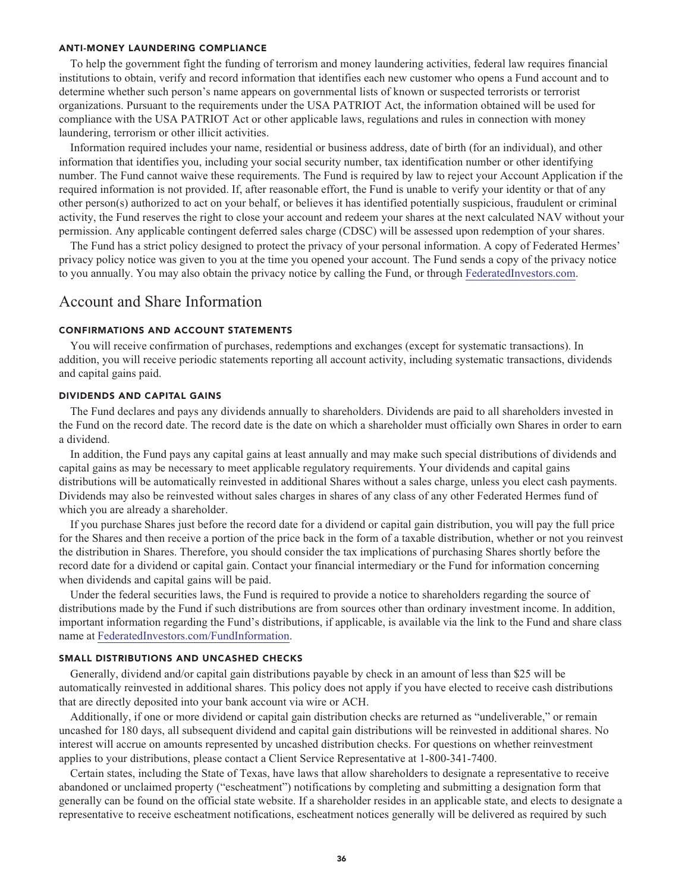#### **ANTI-MONEY LAUNDERING COMPLIANCE**

**To help the government fight the funding of terrorism and money laundering activities, federal law requires financial institutions to obtain, verify and record information that identifies each new customer who opens a Fund account and to determine whether such person's name appears on governmental lists of known or suspected terrorists or terrorist organizations. Pursuant to the requirements under the USA PATRIOT Act, the information obtained will be used for compliance with the USA PATRIOT Act or other applicable laws, regulations and rules in connection with money laundering, terrorism or other illicit activities.**

**Information required includes your name, residential or business address, date of birth (for an individual), and other information that identifies you, including your social security number, tax identification number or other identifying number. The Fund cannot waive these requirements. The Fund is required by law to reject your Account Application if the required information is not provided. If, after reasonable effort, the Fund is unable to verify your identity or that of any other person(s) authorized to act on your behalf, or believes it has identified potentially suspicious, fraudulent or criminal activity, the Fund reserves the right to close your account and redeem your shares at the next calculated NAV without your permission. Any applicable contingent deferred sales charge (CDSC) will be assessed upon redemption of your shares.**

**The Fund has a strict policy designed to protect the privacy of your personal information. A copy of Federated Hermes' privacy policy notice was given to you at the time you opened your account. The Fund sends a copy of the privacy notice to you annually. You may also obtain the privacy notice by calling the Fund, or through [FederatedInvestors.com.](https://www.federatedinvestors.com/home.do)**

# **Account and Share Information**

#### **CONFIRMATIONS AND ACCOUNT STATEMENTS**

**You will receive confirmation of purchases, redemptions and exchanges (except for systematic transactions). In addition, you will receive periodic statements reporting all account activity, including systematic transactions, dividends and capital gains paid.**

#### **DIVIDENDS AND CAPITAL GAINS**

**The Fund declares and pays any dividends annually to shareholders. Dividends are paid to all shareholders invested in the Fund on the record date. The record date is the date on which a shareholder must officially own Shares in order to earn a dividend.**

**In addition, the Fund pays any capital gains at least annually and may make such special distributions of dividends and capital gains as may be necessary to meet applicable regulatory requirements. Your dividends and capital gains distributions will be automatically reinvested in additional Shares without a sales charge, unless you elect cash payments. Dividends may also be reinvested without sales charges in shares of any class of any other Federated Hermes fund of which you are already a shareholder.**

**If you purchase Shares just before the record date for a dividend or capital gain distribution, you will pay the full price for the Shares and then receive a portion of the price back in the form of a taxable distribution, whether or not you reinvest the distribution in Shares. Therefore, you should consider the tax implications of purchasing Shares shortly before the record date for a dividend or capital gain. Contact your financial intermediary or the Fund for information concerning when dividends and capital gains will be paid.**

**Under the federal securities laws, the Fund is required to provide a notice to shareholders regarding the source of distributions made by the Fund if such distributions are from sources other than ordinary investment income. In addition, important information regarding the Fund's distributions, if applicable, is available via the link to the Fund and share class name at [FederatedInvestors.com/FundInformation.](https://www.federatedinvestors.com/product-info/prospectuses-and-regulatory-reports.do)**

### **SMALL DISTRIBUTIONS AND UNCASHED CHECKS**

**Generally, dividend and/or capital gain distributions payable by check in an amount of less than \$25 will be automatically reinvested in additional shares. This policy does not apply if you have elected to receive cash distributions that are directly deposited into your bank account via wire or ACH.**

**Additionally, if one or more dividend or capital gain distribution checks are returned as "undeliverable," or remain uncashed for 180 days, all subsequent dividend and capital gain distributions will be reinvested in additional shares. No interest will accrue on amounts represented by uncashed distribution checks. For questions on whether reinvestment applies to your distributions, please contact a Client Service Representative at 1-800-341-7400.**

**Certain states, including the State of Texas, have laws that allow shareholders to designate a representative to receive abandoned or unclaimed property ("escheatment") notifications by completing and submitting a designation form that generally can be found on the official state website. If a shareholder resides in an applicable state, and elects to designate a representative to receive escheatment notifications, escheatment notices generally will be delivered as required by such**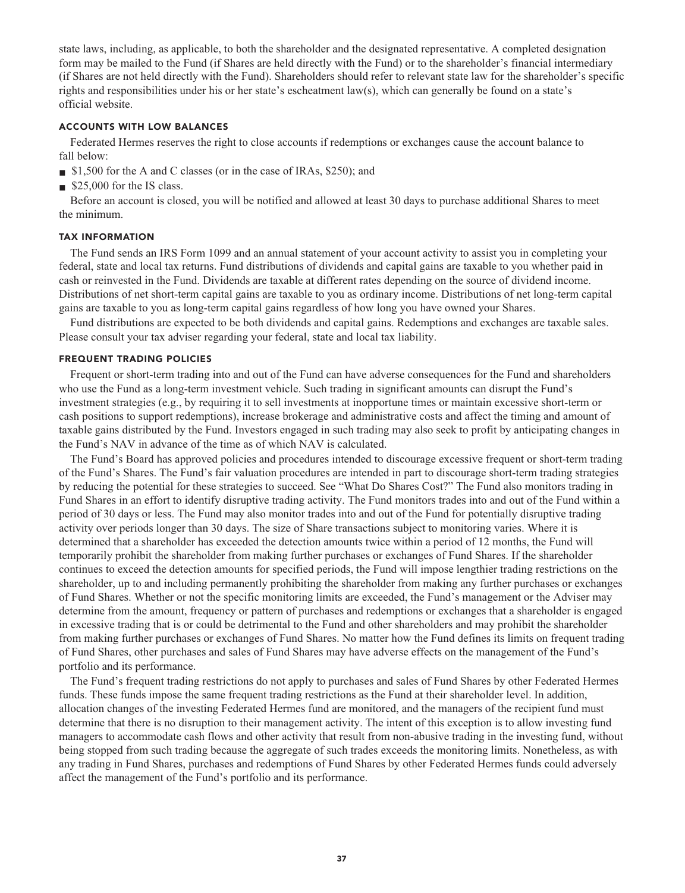**state laws, including, as applicable, to both the shareholder and the designated representative. A completed designation form may be mailed to the Fund (if Shares are held directly with the Fund) or to the shareholder's financial intermediary (if Shares are not held directly with the Fund). Shareholders should refer to relevant state law for the shareholder's specific rights and responsibilities under his or her state's escheatment law(s), which can generally be found on a state's official website.**

# **ACCOUNTS WITH LOW BALANCES**

**Federated Hermes reserves the right to close accounts if redemptions or exchanges cause the account balance to fall below:**

- **■ \$1,500 for the A and C classes (or in the case of IRAs, \$250); and**
- **■ \$25,000 for the IS class.**

**Before an account is closed, you will be notified and allowed at least 30 days to purchase additional Shares to meet the minimum.**

#### **TAX INFORMATION**

**The Fund sends an IRS Form 1099 and an annual statement of your account activity to assist you in completing your federal, state and local tax returns. Fund distributions of dividends and capital gains are taxable to you whether paid in cash or reinvested in the Fund. Dividends are taxable at different rates depending on the source of dividend income. Distributions of net short-term capital gains are taxable to you as ordinary income. Distributions of net long-term capital gains are taxable to you as long-term capital gains regardless of how long you have owned your Shares.**

**Fund distributions are expected to be both dividends and capital gains. Redemptions and exchanges are taxable sales. Please consult your tax adviser regarding your federal, state and local tax liability.**

# **FREQUENT TRADING POLICIES**

**Frequent or short-term trading into and out of the Fund can have adverse consequences for the Fund and shareholders who use the Fund as a long-term investment vehicle. Such trading in significant amounts can disrupt the Fund's investment strategies (e.g., by requiring it to sell investments at inopportune times or maintain excessive short-term or cash positions to support redemptions), increase brokerage and administrative costs and affect the timing and amount of taxable gains distributed by the Fund. Investors engaged in such trading may also seek to profit by anticipating changes in the Fund's NAV in advance of the time as of which NAV is calculated.**

**The Fund's Board has approved policies and procedures intended to discourage excessive frequent or short-term trading of the Fund's Shares. The Fund's fair valuation procedures are intended in part to discourage short-term trading strategies by reducing the potential for these strategies to succeed. See "What Do Shares Cost?" The Fund also monitors trading in Fund Shares in an effort to identify disruptive trading activity. The Fund monitors trades into and out of the Fund within a period of 30 days or less. The Fund may also monitor trades into and out of the Fund for potentially disruptive trading activity over periods longer than 30 days. The size of Share transactions subject to monitoring varies. Where it is determined that a shareholder has exceeded the detection amounts twice within a period of 12 months, the Fund will temporarily prohibit the shareholder from making further purchases or exchanges of Fund Shares. If the shareholder continues to exceed the detection amounts for specified periods, the Fund will impose lengthier trading restrictions on the shareholder, up to and including permanently prohibiting the shareholder from making any further purchases or exchanges of Fund Shares. Whether or not the specific monitoring limits are exceeded, the Fund's management or the Adviser may determine from the amount, frequency or pattern of purchases and redemptions or exchanges that a shareholder is engaged in excessive trading that is or could be detrimental to the Fund and other shareholders and may prohibit the shareholder from making further purchases or exchanges of Fund Shares. No matter how the Fund defines its limits on frequent trading of Fund Shares, other purchases and sales of Fund Shares may have adverse effects on the management of the Fund's portfolio and its performance.**

**The Fund's frequent trading restrictions do not apply to purchases and sales of Fund Shares by other Federated Hermes funds. These funds impose the same frequent trading restrictions as the Fund at their shareholder level. In addition, allocation changes of the investing Federated Hermes fund are monitored, and the managers of the recipient fund must determine that there is no disruption to their management activity. The intent of this exception is to allow investing fund managers to accommodate cash flows and other activity that result from non-abusive trading in the investing fund, without being stopped from such trading because the aggregate of such trades exceeds the monitoring limits. Nonetheless, as with any trading in Fund Shares, purchases and redemptions of Fund Shares by other Federated Hermes funds could adversely affect the management of the Fund's portfolio and its performance.**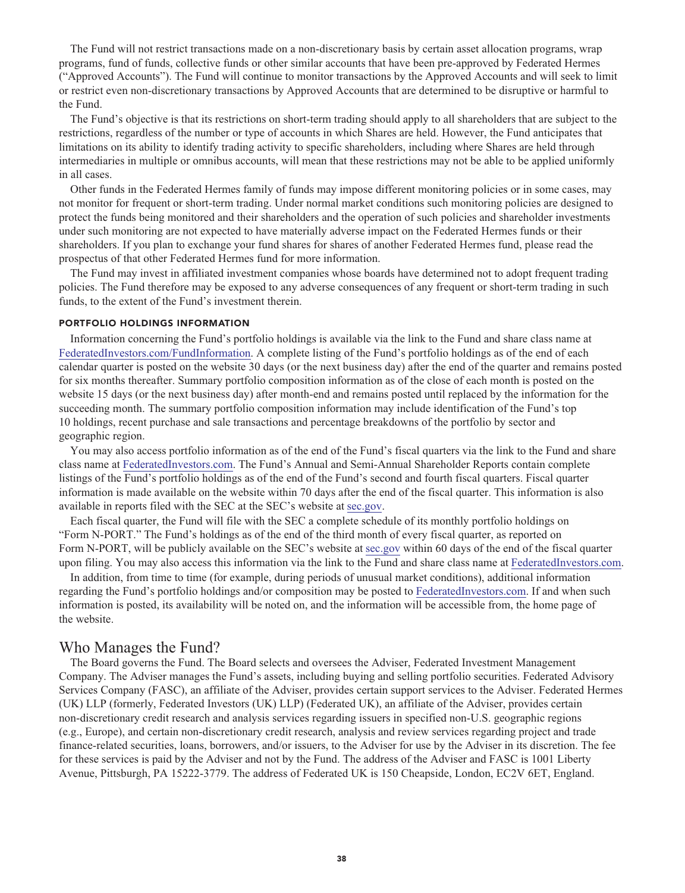**The Fund will not restrict transactions made on a non-discretionary basis by certain asset allocation programs, wrap programs, fund of funds, collective funds or other similar accounts that have been pre-approved by Federated Hermes ("Approved Accounts"). The Fund will continue to monitor transactions by the Approved Accounts and will seek to limit or restrict even non-discretionary transactions by Approved Accounts that are determined to be disruptive or harmful to the Fund.**

**The Fund's objective is that its restrictions on short-term trading should apply to all shareholders that are subject to the restrictions, regardless of the number or type of accounts in which Shares are held. However, the Fund anticipates that limitations on its ability to identify trading activity to specific shareholders, including where Shares are held through intermediaries in multiple or omnibus accounts, will mean that these restrictions may not be able to be applied uniformly in all cases.**

**Other funds in the Federated Hermes family of funds may impose different monitoring policies or in some cases, may not monitor for frequent or short-term trading. Under normal market conditions such monitoring policies are designed to protect the funds being monitored and their shareholders and the operation of such policies and shareholder investments under such monitoring are not expected to have materially adverse impact on the Federated Hermes funds or their shareholders. If you plan to exchange your fund shares for shares of another Federated Hermes fund, please read the prospectus of that other Federated Hermes fund for more information.**

**The Fund may invest in affiliated investment companies whose boards have determined not to adopt frequent trading policies. The Fund therefore may be exposed to any adverse consequences of any frequent or short-term trading in such funds, to the extent of the Fund's investment therein.**

### **PORTFOLIO HOLDINGS INFORMATION**

**Information concerning the Fund's portfolio holdings is available via the link to the Fund and share class name at [FederatedInvestors.com/FundInformation.](https://www.federatedinvestors.com/product-info/prospectuses-and-regulatory-reports.do) A complete listing of the Fund's portfolio holdings as of the end of each calendar quarter is posted on the website 30 days (or the next business day) after the end of the quarter and remains posted for six months thereafter. Summary portfolio composition information as of the close of each month is posted on the website 15 days (or the next business day) after month-end and remains posted until replaced by the information for the succeeding month. The summary portfolio composition information may include identification of the Fund's top 10 holdings, recent purchase and sale transactions and percentage breakdowns of the portfolio by sector and geographic region.**

**You may also access portfolio information as of the end of the Fund's fiscal quarters via the link to the Fund and share class name at [FederatedInvestors.com.](https://www.federatedinvestors.com/home.do) The Fund's Annual and Semi-Annual Shareholder Reports contain complete listings of the Fund's portfolio holdings as of the end of the Fund's second and fourth fiscal quarters. Fiscal quarter information is made available on the website within 70 days after the end of the fiscal quarter. This information is also available in reports filed with the SEC at the SEC's website at [sec.gov.](https://www.sec.gov/)**

**Each fiscal quarter, the Fund will file with the SEC a complete schedule of its monthly portfolio holdings on "Form N-PORT." The Fund's holdings as of the end of the third month of every fiscal quarter, as reported on Form N-PORT, will be publicly available on the SEC's website at [sec.gov](https://www.sec.gov/) within 60 days of the end of the fiscal quarter upon filing. You may also access this information via the link to the Fund and share class name at [FederatedInvestors.com.](https://www.federatedinvestors.com/home.do)**

**In addition, from time to time (for example, during periods of unusual market conditions), additional information regarding the Fund's portfolio holdings and/or composition may be posted to [FederatedInvestors.com.](https://www.federatedinvestors.com/home.do) If and when such information is posted, its availability will be noted on, and the information will be accessible from, the home page of the website.**

# **Who Manages the Fund?**

**The Board governs the Fund. The Board selects and oversees the Adviser, Federated Investment Management Company. The Adviser manages the Fund's assets, including buying and selling portfolio securities. Federated Advisory Services Company (FASC), an affiliate of the Adviser, provides certain support services to the Adviser. Federated Hermes (UK) LLP (formerly, Federated Investors (UK) LLP) (Federated UK), an affiliate of the Adviser, provides certain non-discretionary credit research and analysis services regarding issuers in specified non-U.S. geographic regions (e.g., Europe), and certain non-discretionary credit research, analysis and review services regarding project and trade finance-related securities, loans, borrowers, and/or issuers, to the Adviser for use by the Adviser in its discretion. The fee for these services is paid by the Adviser and not by the Fund. The address of the Adviser and FASC is 1001 Liberty Avenue, Pittsburgh, PA 15222-3779. The address of Federated UK is 150 Cheapside, London, EC2V 6ET, England.**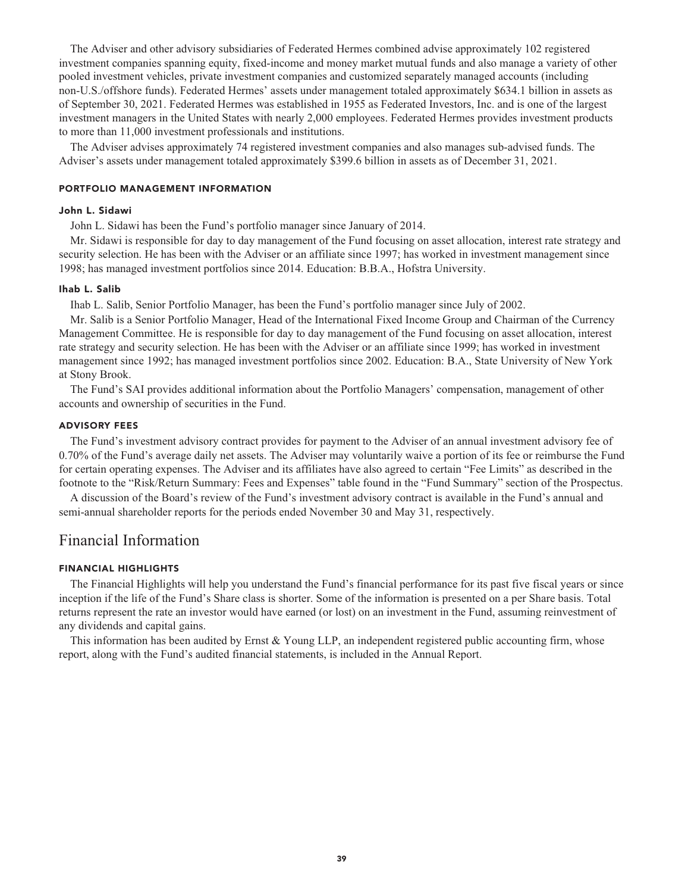**The Adviser and other advisory subsidiaries of Federated Hermes combined advise approximately 102 registered investment companies spanning equity, fixed-income and money market mutual funds and also manage a variety of other pooled investment vehicles, private investment companies and customized separately managed accounts (including non-U.S./offshore funds). Federated Hermes' assets under management totaled approximately \$634.1 billion in assets as of September 30, 2021. Federated Hermes was established in 1955 as Federated Investors, Inc. and is one of the largest investment managers in the United States with nearly 2,000 employees. Federated Hermes provides investment products to more than 11,000 investment professionals and institutions.**

**The Adviser advises approximately 74 registered investment companies and also manages sub-advised funds. The Adviser's assets under management totaled approximately \$399.6 billion in assets as of December 31, 2021.**

#### **PORTFOLIO MANAGEMENT INFORMATION**

#### **John L. Sidawi**

**John L. Sidawi has been the Fund's portfolio manager since January of 2014.**

**Mr. Sidawi is responsible for day to day management of the Fund focusing on asset allocation, interest rate strategy and security selection. He has been with the Adviser or an affiliate since 1997; has worked in investment management since 1998; has managed investment portfolios since 2014. Education: B.B.A., Hofstra University.**

#### **Ihab L. Salib**

**Ihab L. Salib, Senior Portfolio Manager, has been the Fund's portfolio manager since July of 2002.**

**Mr. Salib is a Senior Portfolio Manager, Head of the International Fixed Income Group and Chairman of the Currency Management Committee. He is responsible for day to day management of the Fund focusing on asset allocation, interest rate strategy and security selection. He has been with the Adviser or an affiliate since 1999; has worked in investment management since 1992; has managed investment portfolios since 2002. Education: B.A., State University of New York at Stony Brook.**

**The Fund's SAI provides additional information about the Portfolio Managers' compensation, management of other accounts and ownership of securities in the Fund.**

#### **ADVISORY FEES**

**The Fund's investment advisory contract provides for payment to the Adviser of an annual investment advisory fee of 0.70% of the Fund's average daily net assets. The Adviser may voluntarily waive a portion of its fee or reimburse the Fund for certain operating expenses. The Adviser and its affiliates have also agreed to certain "Fee Limits" as described in the footnote to the "Risk/Return Summary: Fees and Expenses" table found in the "Fund Summary" section of the Prospectus.**

**A discussion of the Board's review of the Fund's investment advisory contract is available in the Fund's annual and semi-annual shareholder reports for the periods ended November 30 and May 31, respectively.**

# **Financial Information**

# **FINANCIAL HIGHLIGHTS**

**The Financial Highlights will help you understand the Fund's financial performance for its past five fiscal years or since inception if the life of the Fund's Share class is shorter. Some of the information is presented on a per Share basis. Total returns represent the rate an investor would have earned (or lost) on an investment in the Fund, assuming reinvestment of any dividends and capital gains.**

**This information has been audited by Ernst & Young LLP, an independent registered public accounting firm, whose report, along with the Fund's audited financial statements, is included in the Annual Report.**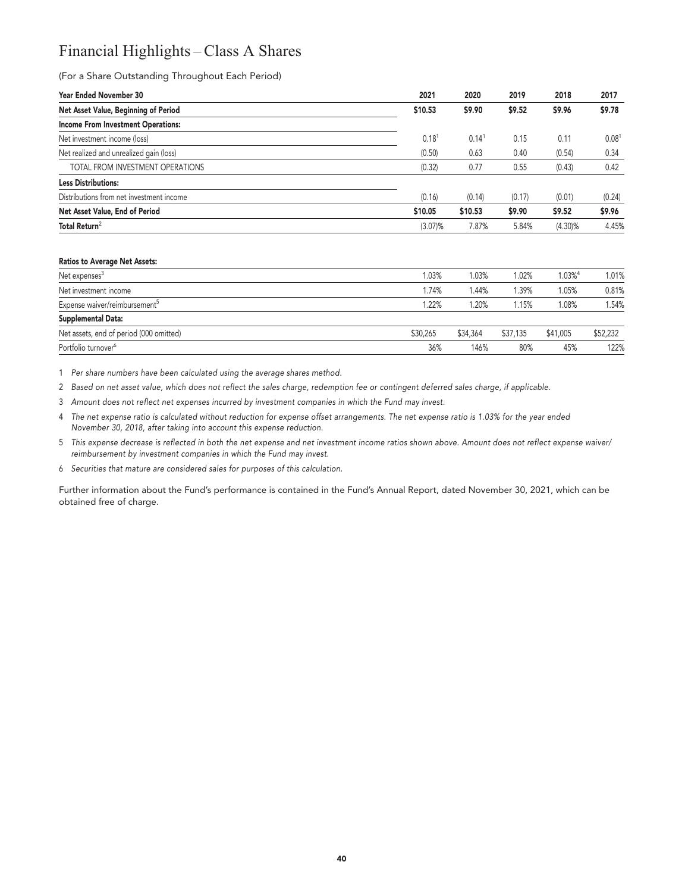# **Financial Highlights – Class A Shares**

**(For a Share Outstanding Throughout Each Period)**

| <b>Year Ended November 30</b>             | 2021              | 2020    | 2019   | 2018       | 2017              |
|-------------------------------------------|-------------------|---------|--------|------------|-------------------|
| Net Asset Value, Beginning of Period      | \$10.53           | \$9.90  | \$9.52 | \$9.96     | \$9.78            |
| <b>Income From Investment Operations:</b> |                   |         |        |            |                   |
| Net investment income (loss)              | 0.18 <sup>1</sup> | 0.14    | 0.15   | 0.11       | 0.08 <sup>1</sup> |
| Net realized and unrealized gain (loss)   | (0.50)            | 0.63    | 0.40   | (0.54)     | 0.34              |
| TOTAL FROM INVESTMENT OPERATIONS          | (0.32)            | 0.77    | 0.55   | (0.43)     | 0.42              |
| <b>Less Distributions:</b>                |                   |         |        |            |                   |
| Distributions from net investment income  | (0.16)            | (0.14)  | (0.17) | (0.01)     | (0.24)            |
| Net Asset Value, End of Period            | \$10.05           | \$10.53 | \$9.90 | \$9.52     | \$9.96            |
| Total Return <sup>2</sup>                 | $(3.07)\%$        | 7.87%   | 5.84%  | $(4.30)\%$ | 4.45%             |
|                                           |                   |         |        |            |                   |

#### **Ratios to Average Net Assets:**

| Net expenses <sup>3</sup>                 | 1.03%    | .03%     | 1.02%    | $1.03\%$ <sup>4</sup> | 1.01%    |
|-------------------------------------------|----------|----------|----------|-----------------------|----------|
|                                           |          |          |          |                       |          |
| Net investment income                     | .74%     | .44%     | 1.39%    | 1.05%                 | 0.81%    |
| Expense waiver/reimbursement <sup>5</sup> | .22%     | .20%     | 1.15%    | 1.08%                 | 1.54%    |
| Supplemental Data:                        |          |          |          |                       |          |
| Net assets, end of period (000 omitted)   | \$30.265 | \$34,364 | \$37,135 | \$41,005              | \$52,232 |
| Portfolio turnover <sup>6</sup>           | 36%      | 146%     | 80%      | 45%                   | 122%     |

**1 Per share numbers have been calculated using the average shares method.**

**2 Based on net asset value, which does not reflect the sales charge, redemption fee or contingent deferred sales charge, if applicable.**

**3 Amount does not reflect net expenses incurred by investment companies in which the Fund may invest.**

**4 The net expense ratio is calculated without reduction for expense offset arrangements. The net expense ratio is 1.03% for the year ended November 30, 2018, after taking into account this expense reduction.**

**5 This expense decrease is reflected in both the net expense and net investment income ratios shown above. Amount does not reflect expense waiver/ reimbursement by investment companies in which the Fund may invest.**

**6 Securities that mature are considered sales for purposes of this calculation.**

**Further information about the Fund's performance is contained in the Fund's Annual Report, dated November 30, 2021, which can be obtained free of charge.**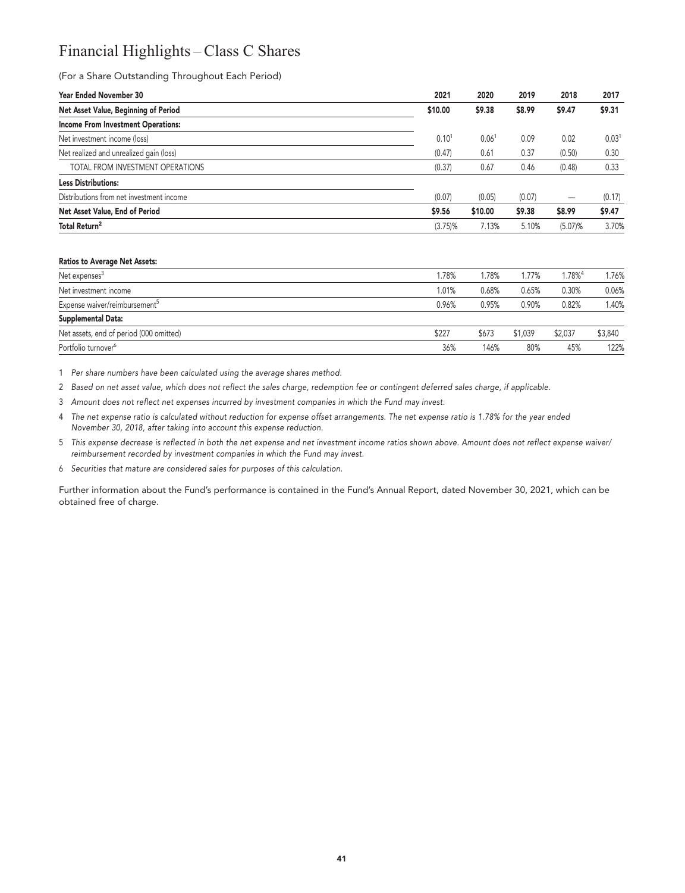# **Financial Highlights – Class C Shares**

# **(For a Share Outstanding Throughout Each Period)**

| <b>Year Ended November 30</b>             | 2021              | 2020              | 2019   | 2018       | 2017              |
|-------------------------------------------|-------------------|-------------------|--------|------------|-------------------|
| Net Asset Value, Beginning of Period      | \$10.00           | \$9.38            | \$8.99 | \$9.47     | \$9.31            |
| <b>Income From Investment Operations:</b> |                   |                   |        |            |                   |
| Net investment income (loss)              | 0.10 <sup>1</sup> | 0.06 <sup>1</sup> | 0.09   | 0.02       | 0.03 <sup>1</sup> |
| Net realized and unrealized gain (loss)   | (0.47)            | 0.61              | 0.37   | (0.50)     | 0.30              |
| TOTAL FROM INVESTMENT OPERATIONS          | (0.37)            | 0.67              | 0.46   | (0.48)     | 0.33              |
| <b>Less Distributions:</b>                |                   |                   |        |            |                   |
| Distributions from net investment income  | (0.07)            | (0.05)            | (0.07) | -          | (0.17)            |
| Net Asset Value, End of Period            | \$9.56            | \$10.00           | \$9.38 | \$8.99     | \$9.47            |
| Total Return <sup>2</sup>                 | $(3.75)\%$        | 7.13%             | 5.10%  | $(5.07)\%$ | 3.70%             |
|                                           |                   |                   |        |            |                   |

#### **Ratios to Average Net Assets:**

| Net expenses <sup>3</sup>                 | 1.78% | 1.78% | 1.77%   | $1.78\%$ <sup>4</sup> | 1.76%   |
|-------------------------------------------|-------|-------|---------|-----------------------|---------|
| Net investment income                     | 1.01% | 0.68% | 0.65%   | 0.30%                 | 0.06%   |
| Expense waiver/reimbursement <sup>5</sup> | 0.96% | 0.95% | 0.90%   | 0.82%                 | 1.40%   |
| Supplemental Data:                        |       |       |         |                       |         |
| Net assets, end of period (000 omitted)   | \$227 | \$673 | \$1,039 | \$2,037               | \$3,840 |
| Portfolio turnover <sup>6</sup>           | 36%   | 146%  | 80%     | 45%                   | 122%    |

**1 Per share numbers have been calculated using the average shares method.**

**2 Based on net asset value, which does not reflect the sales charge, redemption fee or contingent deferred sales charge, if applicable.**

**3 Amount does not reflect net expenses incurred by investment companies in which the Fund may invest.**

**4 The net expense ratio is calculated without reduction for expense offset arrangements. The net expense ratio is 1.78% for the year ended November 30, 2018, after taking into account this expense reduction.**

**5 This expense decrease is reflected in both the net expense and net investment income ratios shown above. Amount does not reflect expense waiver/ reimbursement recorded by investment companies in which the Fund may invest.**

**6 Securities that mature are considered sales for purposes of this calculation.**

**Further information about the Fund's performance is contained in the Fund's Annual Report, dated November 30, 2021, which can be obtained free of charge.**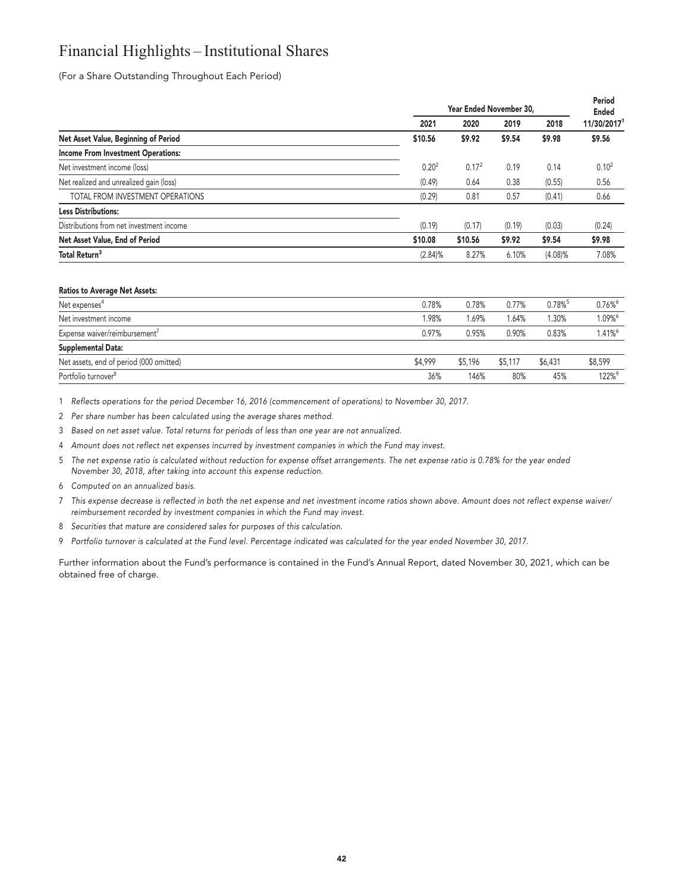# **Financial Highlights – Institutional Shares**

**(For a Share Outstanding Throughout Each Period)**

|                                           | Year Ended November 30, |                   |        |            |                   |
|-------------------------------------------|-------------------------|-------------------|--------|------------|-------------------|
|                                           | 2021                    | 2020              | 2019   | 2018       | 11/30/20171       |
| Net Asset Value, Beginning of Period      | \$10.56                 | \$9.92            | \$9.54 | \$9.98     | \$9.56            |
| <b>Income From Investment Operations:</b> |                         |                   |        |            |                   |
| Net investment income (loss)              | 0.20 <sup>2</sup>       | 0.17 <sup>2</sup> | 0.19   | 0.14       | 0.10 <sup>2</sup> |
| Net realized and unrealized gain (loss)   | (0.49)                  | 0.64              | 0.38   | (0.55)     | 0.56              |
| TOTAL FROM INVESTMENT OPERATIONS          | (0.29)                  | 0.81              | 0.57   | (0.41)     | 0.66              |
| <b>Less Distributions:</b>                |                         |                   |        |            |                   |
| Distributions from net investment income  | (0.19)                  | (0.17)            | (0.19) | (0.03)     | (0.24)            |
| Net Asset Value, End of Period            | \$10.08                 | \$10.56           | \$9.92 | \$9.54     | \$9.98            |
| Total Return <sup>3</sup>                 | (2.84)%                 | 8.27%             | 6.10%  | $(4.08)\%$ | 7.08%             |

#### **Ratios to Average Net Assets:**

| Net expenses <sup>4</sup>                 | 0.78%   | 0.78%   | 0.77%   | $0.78\%$ <sup>5</sup> | 0.76%   |
|-------------------------------------------|---------|---------|---------|-----------------------|---------|
| Net investment income                     | 1.98%   | 1.69%   | 1.64%   | 1.30%                 | 1.09%   |
| Expense waiver/reimbursement <sup>7</sup> | 0.97%   | 0.95%   | 0.90%   | 0.83%                 | 1.41%   |
| Supplemental Data:                        |         |         |         |                       |         |
| Net assets, end of period (000 omitted)   | \$4.999 | \$5,196 | \$5,117 | \$6,431               | \$8,599 |
| Portfolio turnover <sup>8</sup>           | 36%     | 146%    | 80%     | 45%                   | 122%9   |

**1 Reflects operations for the period December 16, 2016 (commencement of operations) to November 30, 2017.**

**2 Per share number has been calculated using the average shares method.**

**3 Based on net asset value. Total returns for periods of less than one year are not annualized.**

- **4 Amount does not reflect net expenses incurred by investment companies in which the Fund may invest.**
- **5 The net expense ratio is calculated without reduction for expense offset arrangements. The net expense ratio is 0.78% for the year ended November 30, 2018, after taking into account this expense reduction.**
- **6 Computed on an annualized basis.**
- **7 This expense decrease is reflected in both the net expense and net investment income ratios shown above. Amount does not reflect expense waiver/ reimbursement recorded by investment companies in which the Fund may invest.**
- **8 Securities that mature are considered sales for purposes of this calculation.**
- **9 Portfolio turnover is calculated at the Fund level. Percentage indicated was calculated for the year ended November 30, 2017.**

**Further information about the Fund's performance is contained in the Fund's Annual Report, dated November 30, 2021, which can be obtained free of charge.**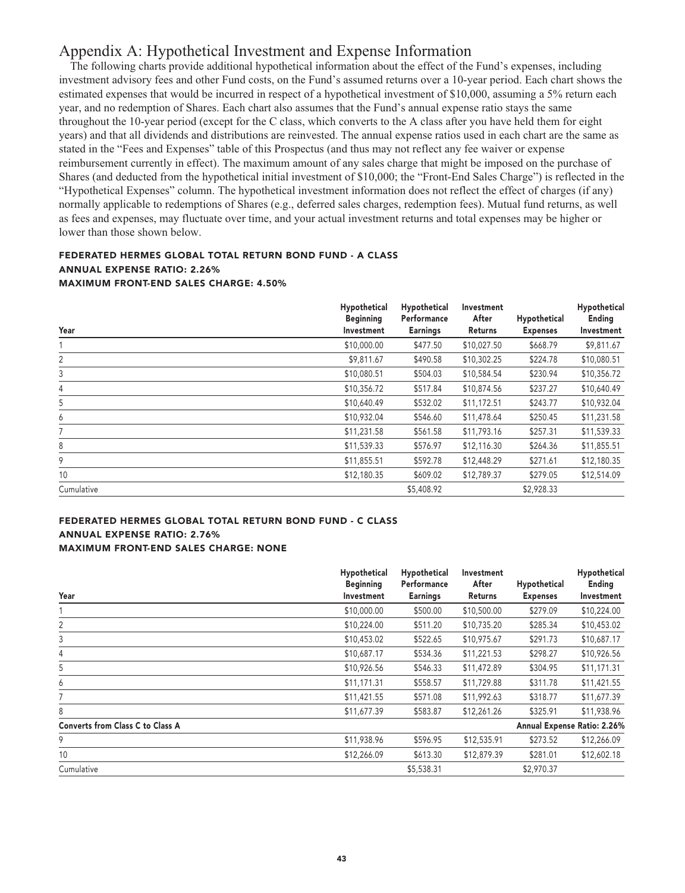# **Appendix A: Hypothetical Investment and Expense Information**

**The following charts provide additional hypothetical information about the effect of the Fund's expenses, including investment advisory fees and other Fund costs, on the Fund's assumed returns over a 10-year period. Each chart shows the estimated expenses that would be incurred in respect of a hypothetical investment of \$10,000, assuming a 5% return each year, and no redemption of Shares. Each chart also assumes that the Fund's annual expense ratio stays the same throughout the 10-year period (except for the C class, which converts to the A class after you have held them for eight years) and that all dividends and distributions are reinvested. The annual expense ratios used in each chart are the same as stated in the "Fees and Expenses" table of this Prospectus (and thus may not reflect any fee waiver or expense reimbursement currently in effect). The maximum amount of any sales charge that might be imposed on the purchase of Shares (and deducted from the hypothetical initial investment of \$10,000; the "Front-End Sales Charge") is reflected in the "Hypothetical Expenses" column. The hypothetical investment information does not reflect the effect of charges (if any) normally applicable to redemptions of Shares (e.g., deferred sales charges, redemption fees). Mutual fund returns, as well as fees and expenses, may fluctuate over time, and your actual investment returns and total expenses may be higher or lower than those shown below.**

# **FEDERATED HERMES GLOBAL TOTAL RETURN BOND FUND - A CLASS ANNUAL EXPENSE RATIO: 2.26% MAXIMUM FRONT-END SALES CHARGE: 4.50%**

| Year       | Hypothetical<br><b>Beginning</b><br>Investment | Hypothetical<br>Performance<br><b>Earnings</b> | Investment<br>After<br>Returns | Hypothetical<br><b>Expenses</b> | Hypothetical<br>Ending<br>Investment |
|------------|------------------------------------------------|------------------------------------------------|--------------------------------|---------------------------------|--------------------------------------|
|            | \$10,000.00                                    | \$477.50                                       | \$10,027.50                    | \$668.79                        | \$9,811.67                           |
| 2          | \$9,811.67                                     | \$490.58                                       | \$10,302.25                    | \$224.78                        | \$10,080.51                          |
| 3          | \$10,080.51                                    | \$504.03                                       | \$10,584.54                    | \$230.94                        | \$10,356.72                          |
| 4          | \$10,356.72                                    | \$517.84                                       | \$10,874.56                    | \$237.27                        | \$10,640.49                          |
| 5          | \$10,640.49                                    | \$532.02                                       | \$11,172.51                    | \$243.77                        | \$10,932.04                          |
| 6          | \$10,932.04                                    | \$546.60                                       | \$11,478.64                    | \$250.45                        | \$11,231.58                          |
| 7          | \$11,231.58                                    | \$561.58                                       | \$11,793.16                    | \$257.31                        | \$11,539.33                          |
| 8          | \$11,539.33                                    | \$576.97                                       | \$12,116.30                    | \$264.36                        | \$11,855.51                          |
| 9          | \$11,855.51                                    | \$592.78                                       | \$12,448.29                    | \$271.61                        | \$12,180.35                          |
| 10         | \$12,180.35                                    | \$609.02                                       | \$12,789.37                    | \$279.05                        | \$12,514.09                          |
| Cumulative |                                                | \$5,408.92                                     |                                | \$2,928.33                      |                                      |

# **FEDERATED HERMES GLOBAL TOTAL RETURN BOND FUND - C CLASS ANNUAL EXPENSE RATIO: 2.76% MAXIMUM FRONT-END SALES CHARGE: NONE**

|                                         | Hypothetical                   | Hypothetical                   | Investment       |                                 | Hypothetical                |
|-----------------------------------------|--------------------------------|--------------------------------|------------------|---------------------------------|-----------------------------|
| Year                                    | <b>Beginning</b><br>Investment | Performance<br><b>Earnings</b> | After<br>Returns | Hypothetical<br><b>Expenses</b> | Ending<br>Investment        |
|                                         |                                |                                |                  |                                 |                             |
|                                         | \$10,000.00                    | \$500.00                       | \$10,500.00      | \$279.09                        | \$10,224.00                 |
| 2                                       | \$10,224.00                    | \$511.20                       | \$10,735.20      | \$285.34                        | \$10,453.02                 |
| 3                                       | \$10,453.02                    | \$522.65                       | \$10,975.67      | \$291.73                        | \$10,687.17                 |
| 4                                       | \$10,687.17                    | \$534.36                       | \$11,221.53      | \$298.27                        | \$10,926.56                 |
| 5                                       | \$10,926.56                    | \$546.33                       | \$11,472.89      | \$304.95                        | \$11,171.31                 |
| 6                                       | \$11,171.31                    | \$558.57                       | \$11,729.88      | \$311.78                        | \$11,421.55                 |
|                                         | \$11,421.55                    | \$571.08                       | \$11,992.63      | \$318.77                        | \$11,677.39                 |
| 8                                       | \$11,677.39                    | \$583.87                       | \$12,261.26      | \$325.91                        | \$11,938.96                 |
| <b>Converts from Class C to Class A</b> |                                |                                |                  |                                 | Annual Expense Ratio: 2.26% |
| 9                                       | \$11,938.96                    | \$596.95                       | \$12,535.91      | \$273.52                        | \$12,266.09                 |
| 10                                      | \$12,266.09                    | \$613.30                       | \$12,879.39      | \$281.01                        | \$12,602.18                 |
| Cumulative                              |                                | \$5,538.31                     |                  | \$2,970.37                      |                             |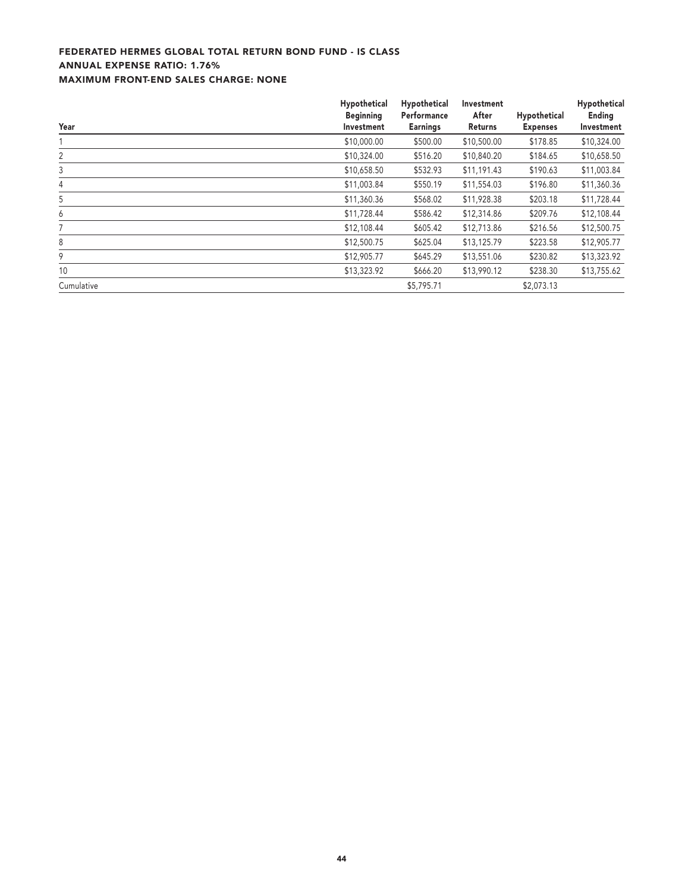# **FEDERATED HERMES GLOBAL TOTAL RETURN BOND FUND - IS CLASS ANNUAL EXPENSE RATIO: 1.76% MAXIMUM FRONT-END SALES CHARGE: NONE**

| Year       | Hypothetical<br><b>Beginning</b><br>Investment | Hypothetical<br>Performance<br><b>Earnings</b> | Investment<br>After<br>Returns | Hypothetical<br><b>Expenses</b> | Hypothetical<br>Ending<br>Investment |
|------------|------------------------------------------------|------------------------------------------------|--------------------------------|---------------------------------|--------------------------------------|
|            | \$10,000.00                                    | \$500.00                                       | \$10,500.00                    | \$178.85                        | \$10,324.00                          |
| 2          | \$10,324.00                                    | \$516.20                                       | \$10,840.20                    | \$184.65                        | \$10,658.50                          |
| 3          | \$10,658.50                                    | \$532.93                                       | \$11,191.43                    | \$190.63                        | \$11,003.84                          |
| 4          | \$11,003.84                                    | \$550.19                                       | \$11,554.03                    | \$196.80                        | \$11,360.36                          |
| 5          | \$11,360.36                                    | \$568.02                                       | \$11,928.38                    | \$203.18                        | \$11,728.44                          |
| 6          | \$11,728.44                                    | \$586.42                                       | \$12,314.86                    | \$209.76                        | \$12,108.44                          |
| 7          | \$12,108.44                                    | \$605.42                                       | \$12,713.86                    | \$216.56                        | \$12,500.75                          |
| 8          | \$12,500.75                                    | \$625.04                                       | \$13,125.79                    | \$223.58                        | \$12,905.77                          |
| 9          | \$12,905.77                                    | \$645.29                                       | \$13,551.06                    | \$230.82                        | \$13,323.92                          |
| 10         | \$13,323.92                                    | \$666.20                                       | \$13,990.12                    | \$238.30                        | \$13,755.62                          |
| Cumulative |                                                | \$5,795.71                                     |                                | \$2,073.13                      |                                      |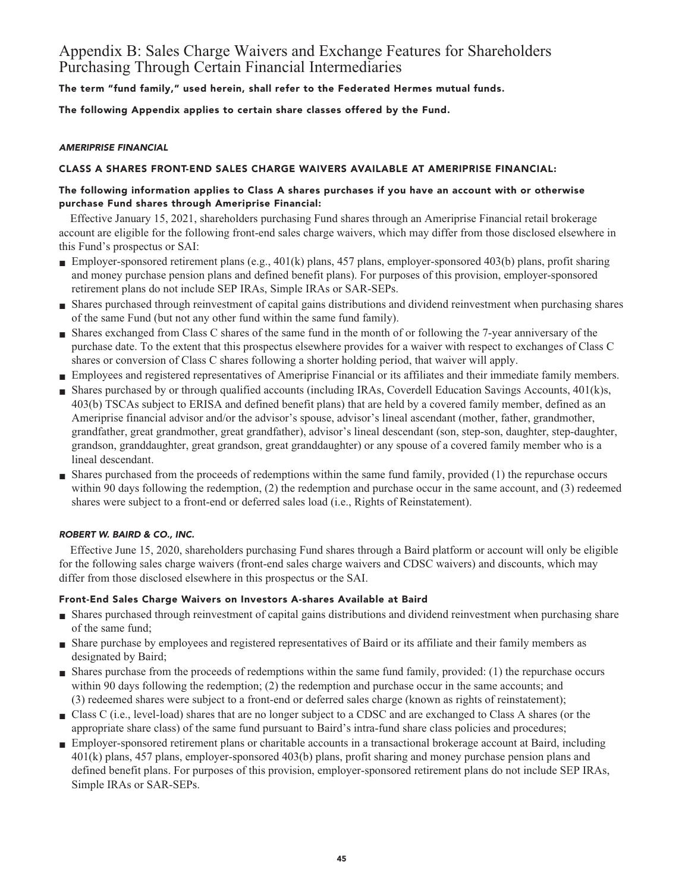# **Appendix B: Sales Charge Waivers and Exchange Features for Shareholders Purchasing Through Certain Financial Intermediaries**

**The term "fund family," used herein, shall refer to the Federated Hermes mutual funds.**

**The following Appendix applies to certain share classes offered by the Fund.**

# **AMERIPRISE FINANCIAL**

# **CLASS A SHARES FRONT-END SALES CHARGE WAIVERS AVAILABLE AT AMERIPRISE FINANCIAL:**

# **The following information applies to Class A shares purchases if you have an account with or otherwise purchase Fund shares through Ameriprise Financial:**

**Effective January 15, 2021, shareholders purchasing Fund shares through an Ameriprise Financial retail brokerage account are eligible for the following front-end sales charge waivers, which may differ from those disclosed elsewhere in this Fund's prospectus or SAI:**

- **Employer-sponsored retirement plans (e.g., 401(k) plans, 457 plans, employer-sponsored 403(b) plans, profit sharing and money purchase pension plans and defined benefit plans). For purposes of this provision, employer-sponsored retirement plans do not include SEP IRAs, Simple IRAs or SAR-SEPs.**
- **■ Shares purchased through reinvestment of capital gains distributions and dividend reinvestment when purchasing shares of the same Fund (but not any other fund within the same fund family).**
- **■ Shares exchanged from Class C shares of the same fund in the month of or following the 7-year anniversary of the purchase date. To the extent that this prospectus elsewhere provides for a waiver with respect to exchanges of Class C shares or conversion of Class C shares following a shorter holding period, that waiver will apply.**
- **■ Employees and registered representatives of Ameriprise Financial or its affiliates and their immediate family members.**
- **■ Shares purchased by or through qualified accounts (including IRAs, Coverdell Education Savings Accounts, 401(k)s, 403(b) TSCAs subject to ERISA and defined benefit plans) that are held by a covered family member, defined as an Ameriprise financial advisor and/or the advisor's spouse, advisor's lineal ascendant (mother, father, grandmother, grandfather, great grandmother, great grandfather), advisor's lineal descendant (son, step-son, daughter, step-daughter, grandson, granddaughter, great grandson, great granddaughter) or any spouse of a covered family member who is a lineal descendant.**
- **■ Shares purchased from the proceeds of redemptions within the same fund family, provided (1) the repurchase occurs within 90 days following the redemption, (2) the redemption and purchase occur in the same account, and (3) redeemed shares were subject to a front-end or deferred sales load (i.e., Rights of Reinstatement).**

# **ROBERT W. BAIRD & CO., INC.**

**Effective June 15, 2020, shareholders purchasing Fund shares through a Baird platform or account will only be eligible for the following sales charge waivers (front-end sales charge waivers and CDSC waivers) and discounts, which may differ from those disclosed elsewhere in this prospectus or the SAI.**

# **Front-End Sales Charge Waivers on Investors A-shares Available at Baird**

- **■ Shares purchased through reinvestment of capital gains distributions and dividend reinvestment when purchasing share of the same fund;**
- **■ Share purchase by employees and registered representatives of Baird or its affiliate and their family members as designated by Baird;**
- **■ Shares purchase from the proceeds of redemptions within the same fund family, provided: (1) the repurchase occurs within 90 days following the redemption; (2) the redemption and purchase occur in the same accounts; and (3) redeemed shares were subject to a front-end or deferred sales charge (known as rights of reinstatement);**
- **■ Class C (i.e., level-load) shares that are no longer subject to a CDSC and are exchanged to Class A shares (or the appropriate share class) of the same fund pursuant to Baird's intra-fund share class policies and procedures;**
- **Employer-sponsored retirement plans or charitable accounts in a transactional brokerage account at Baird, including 401(k) plans, 457 plans, employer-sponsored 403(b) plans, profit sharing and money purchase pension plans and defined benefit plans. For purposes of this provision, employer-sponsored retirement plans do not include SEP IRAs, Simple IRAs or SAR-SEPs.**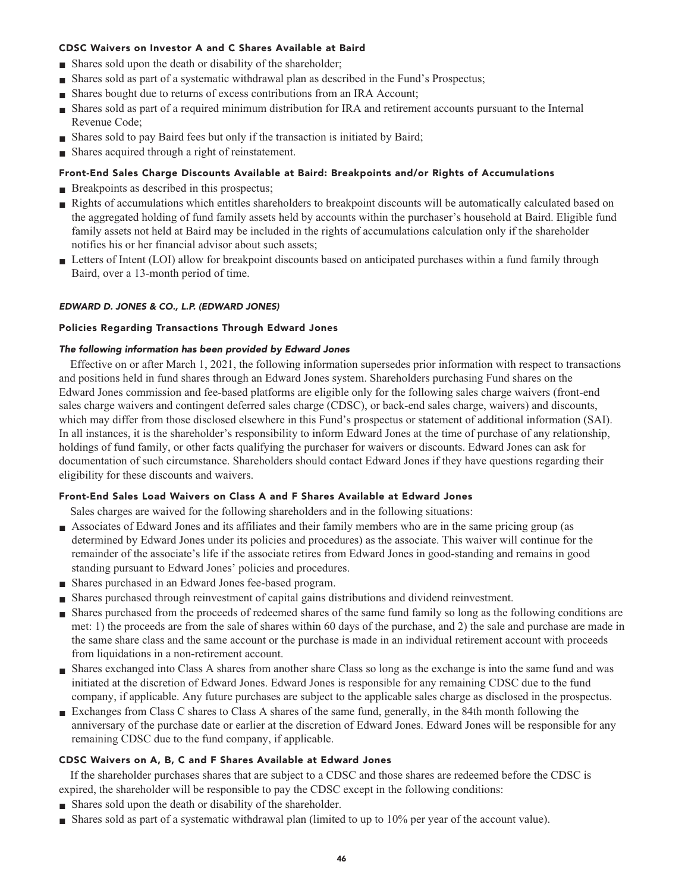# **CDSC Waivers on Investor A and C Shares Available at Baird**

- **■ Shares sold upon the death or disability of the shareholder;**
- **■ Shares sold as part of a systematic withdrawal plan as described in the Fund's Prospectus;**
- **Shares bought due to returns of excess contributions from an IRA Account;**
- **■ Shares sold as part of a required minimum distribution for IRA and retirement accounts pursuant to the Internal Revenue Code;**
- **Shares sold to pay Baird fees but only if the transaction is initiated by Baird;**
- **■ Shares acquired through a right of reinstatement.**

# **Front-End Sales Charge Discounts Available at Baird: Breakpoints and/or Rights of Accumulations**

- **Breakpoints as described in this prospectus;**
- **Rights of accumulations which entitles shareholders to breakpoint discounts will be automatically calculated based on the aggregated holding of fund family assets held by accounts within the purchaser's household at Baird. Eligible fund family assets not held at Baird may be included in the rights of accumulations calculation only if the shareholder notifies his or her financial advisor about such assets;**
- Letters of Intent (LOI) allow for breakpoint discounts based on anticipated purchases within a fund family through **Baird, over a 13-month period of time.**

# **EDWARD D. JONES & CO., L.P. (EDWARD JONES)**

# **Policies Regarding Transactions Through Edward Jones**

# **The following information has been provided by Edward Jones**

**Effective on or after March 1, 2021, the following information supersedes prior information with respect to transactions and positions held in fund shares through an Edward Jones system. Shareholders purchasing Fund shares on the Edward Jones commission and fee-based platforms are eligible only for the following sales charge waivers (front-end sales charge waivers and contingent deferred sales charge (CDSC), or back-end sales charge, waivers) and discounts, which may differ from those disclosed elsewhere in this Fund's prospectus or statement of additional information (SAI). In all instances, it is the shareholder's responsibility to inform Edward Jones at the time of purchase of any relationship, holdings of fund family, or other facts qualifying the purchaser for waivers or discounts. Edward Jones can ask for documentation of such circumstance. Shareholders should contact Edward Jones if they have questions regarding their eligibility for these discounts and waivers.**

# **Front-End Sales Load Waivers on Class A and F Shares Available at Edward Jones**

**Sales charges are waived for the following shareholders and in the following situations:**

- **■ Associates of Edward Jones and its affiliates and their family members who are in the same pricing group (as determined by Edward Jones under its policies and procedures) as the associate. This waiver will continue for the remainder of the associate's life if the associate retires from Edward Jones in good-standing and remains in good standing pursuant to Edward Jones' policies and procedures.**
- **■ Shares purchased in an Edward Jones fee-based program.**
- **■ Shares purchased through reinvestment of capital gains distributions and dividend reinvestment.**
- **■ Shares purchased from the proceeds of redeemed shares of the same fund family so long as the following conditions are met: 1) the proceeds are from the sale of shares within 60 days of the purchase, and 2) the sale and purchase are made in the same share class and the same account or the purchase is made in an individual retirement account with proceeds from liquidations in a non-retirement account.**
- **■ Shares exchanged into Class A shares from another share Class so long as the exchange is into the same fund and was initiated at the discretion of Edward Jones. Edward Jones is responsible for any remaining CDSC due to the fund company, if applicable. Any future purchases are subject to the applicable sales charge as disclosed in the prospectus.**
- **Exchanges from Class C shares to Class A shares of the same fund, generally, in the 84th month following the anniversary of the purchase date or earlier at the discretion of Edward Jones. Edward Jones will be responsible for any remaining CDSC due to the fund company, if applicable.**

# **CDSC Waivers on A, B, C and F Shares Available at Edward Jones**

**If the shareholder purchases shares that are subject to a CDSC and those shares are redeemed before the CDSC is expired, the shareholder will be responsible to pay the CDSC except in the following conditions:**

- **■ Shares sold upon the death or disability of the shareholder.**
- **■ Shares sold as part of a systematic withdrawal plan (limited to up to 10% per year of the account value).**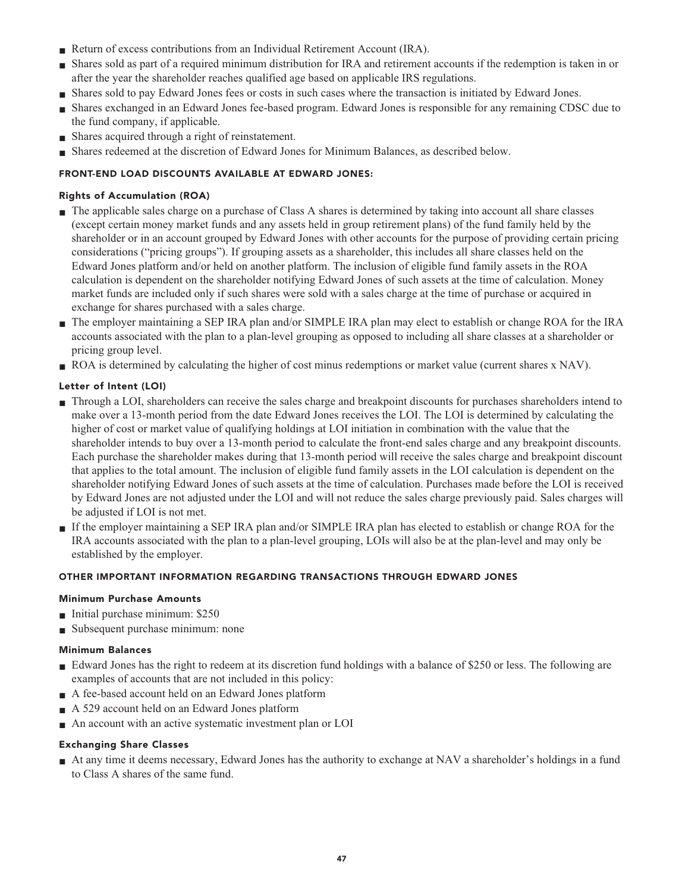- **Return of excess contributions from an Individual Retirement Account (IRA).**
- **■ Shares sold as part of a required minimum distribution for IRA and retirement accounts if the redemption is taken in or after the year the shareholder reaches qualified age based on applicable IRS regulations.**
- **■ Shares sold to pay Edward Jones fees or costs in such cases where the transaction is initiated by Edward Jones.**
- **■ Shares exchanged in an Edward Jones fee-based program. Edward Jones is responsible for any remaining CDSC due to the fund company, if applicable.**
- **Shares acquired through a right of reinstatement.**
- **■ Shares redeemed at the discretion of Edward Jones for Minimum Balances, as described below.**

# **FRONT-END LOAD DISCOUNTS AVAILABLE AT EDWARD JONES:**

# **Rights of Accumulation (ROA)**

- **■ The applicable sales charge on a purchase of Class A shares is determined by taking into account all share classes (except certain money market funds and any assets held in group retirement plans) of the fund family held by the shareholder or in an account grouped by Edward Jones with other accounts for the purpose of providing certain pricing considerations ("pricing groups"). If grouping assets as a shareholder, this includes all share classes held on the Edward Jones platform and/or held on another platform. The inclusion of eligible fund family assets in the ROA calculation is dependent on the shareholder notifying Edward Jones of such assets at the time of calculation. Money market funds are included only if such shares were sold with a sales charge at the time of purchase or acquired in exchange for shares purchased with a sales charge.**
- **■ The employer maintaining a SEP IRA plan and/or SIMPLE IRA plan may elect to establish or change ROA for the IRA accounts associated with the plan to a plan-level grouping as opposed to including all share classes at a shareholder or pricing group level.**
- **ROA** is determined by calculating the higher of cost minus redemptions or market value (current shares x NAV).

# **Letter of Intent (LOI)**

- **■ Through a LOI, shareholders can receive the sales charge and breakpoint discounts for purchases shareholders intend to make over a 13-month period from the date Edward Jones receives the LOI. The LOI is determined by calculating the higher of cost or market value of qualifying holdings at LOI initiation in combination with the value that the shareholder intends to buy over a 13-month period to calculate the front-end sales charge and any breakpoint discounts. Each purchase the shareholder makes during that 13-month period will receive the sales charge and breakpoint discount that applies to the total amount. The inclusion of eligible fund family assets in the LOI calculation is dependent on the shareholder notifying Edward Jones of such assets at the time of calculation. Purchases made before the LOI is received by Edward Jones are not adjusted under the LOI and will not reduce the sales charge previously paid. Sales charges will be adjusted if LOI is not met.**
- **■ If the employer maintaining a SEP IRA plan and/or SIMPLE IRA plan has elected to establish or change ROA for the IRA accounts associated with the plan to a plan-level grouping, LOIs will also be at the plan-level and may only be established by the employer.**

# **OTHER IMPORTANT INFORMATION REGARDING TRANSACTIONS THROUGH EDWARD JONES**

# **Minimum Purchase Amounts**

- **■ Initial purchase minimum: \$250**
- **■ Subsequent purchase minimum: none**

# **Minimum Balances**

- **Edward Jones has the right to redeem at its discretion fund holdings with a balance of \$250 or less. The following are examples of accounts that are not included in this policy:**
- **■ A fee-based account held on an Edward Jones platform**
- **■ A 529 account held on an Edward Jones platform**
- **■ An account with an active systematic investment plan or LOI**

# **Exchanging Share Classes**

**■ At any time it deems necessary, Edward Jones has the authority to exchange at NAV a shareholder's holdings in a fund to Class A shares of the same fund.**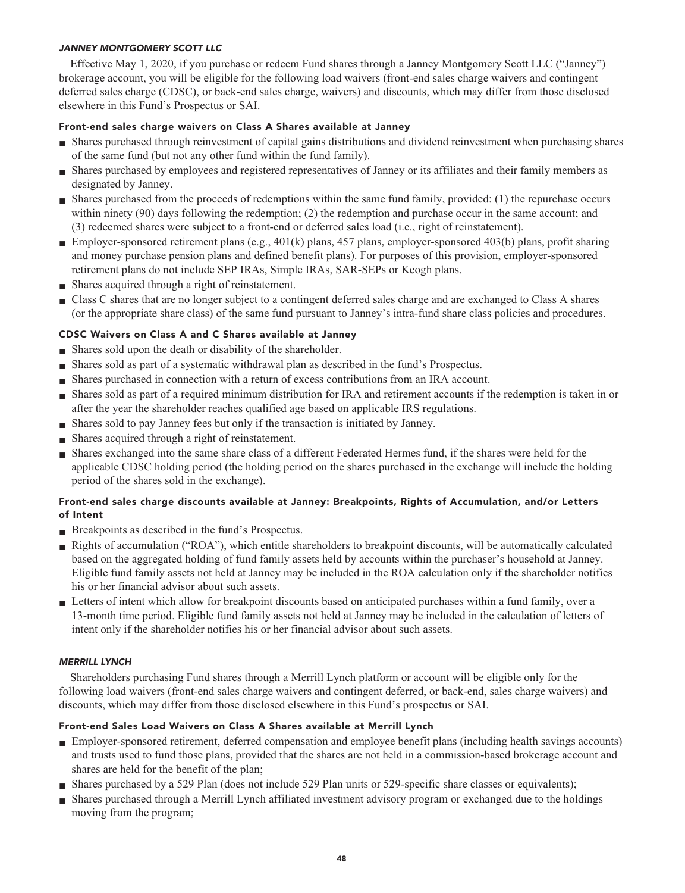# **JANNEY MONTGOMERY SCOTT LLC**

**Effective May 1, 2020, if you purchase or redeem Fund shares through a Janney Montgomery Scott LLC ("Janney") brokerage account, you will be eligible for the following load waivers (front-end sales charge waivers and contingent deferred sales charge (CDSC), or back-end sales charge, waivers) and discounts, which may differ from those disclosed elsewhere in this Fund's Prospectus or SAI.**

# **Front-end sales charge waivers on Class A Shares available at Janney**

- **■ Shares purchased through reinvestment of capital gains distributions and dividend reinvestment when purchasing shares of the same fund (but not any other fund within the fund family).**
- **■ Shares purchased by employees and registered representatives of Janney or its affiliates and their family members as designated by Janney.**
- **■ Shares purchased from the proceeds of redemptions within the same fund family, provided: (1) the repurchase occurs within ninety (90) days following the redemption; (2) the redemption and purchase occur in the same account; and (3) redeemed shares were subject to a front-end or deferred sales load (i.e., right of reinstatement).**
- **Employer-sponsored retirement plans (e.g., 401(k) plans, 457 plans, employer-sponsored 403(b) plans, profit sharing and money purchase pension plans and defined benefit plans). For purposes of this provision, employer-sponsored retirement plans do not include SEP IRAs, Simple IRAs, SAR-SEPs or Keogh plans.**
- **■ Shares acquired through a right of reinstatement.**
- **■ Class C shares that are no longer subject to a contingent deferred sales charge and are exchanged to Class A shares (or the appropriate share class) of the same fund pursuant to Janney's intra-fund share class policies and procedures.**

# **CDSC Waivers on Class A and C Shares available at Janney**

- **■ Shares sold upon the death or disability of the shareholder.**
- **■ Shares sold as part of a systematic withdrawal plan as described in the fund's Prospectus.**
- **■ Shares purchased in connection with a return of excess contributions from an IRA account.**
- **■ Shares sold as part of a required minimum distribution for IRA and retirement accounts if the redemption is taken in or after the year the shareholder reaches qualified age based on applicable IRS regulations.**
- **■ Shares sold to pay Janney fees but only if the transaction is initiated by Janney.**
- **■ Shares acquired through a right of reinstatement.**
- **■ Shares exchanged into the same share class of a different Federated Hermes fund, if the shares were held for the applicable CDSC holding period (the holding period on the shares purchased in the exchange will include the holding period of the shares sold in the exchange).**

# **Front-end sales charge discounts available at Janney: Breakpoints, Rights of Accumulation, and/or Letters of Intent**

- **■ Breakpoints as described in the fund's Prospectus.**
- **■ Rights of accumulation ("ROA"), which entitle shareholders to breakpoint discounts, will be automatically calculated based on the aggregated holding of fund family assets held by accounts within the purchaser's household at Janney. Eligible fund family assets not held at Janney may be included in the ROA calculation only if the shareholder notifies his or her financial advisor about such assets.**
- **■ Letters of intent which allow for breakpoint discounts based on anticipated purchases within a fund family, over a 13-month time period. Eligible fund family assets not held at Janney may be included in the calculation of letters of intent only if the shareholder notifies his or her financial advisor about such assets.**

# **MERRILL LYNCH**

**Shareholders purchasing Fund shares through a Merrill Lynch platform or account will be eligible only for the following load waivers (front-end sales charge waivers and contingent deferred, or back-end, sales charge waivers) and discounts, which may differ from those disclosed elsewhere in this Fund's prospectus or SAI.**

# **Front-end Sales Load Waivers on Class A Shares available at Merrill Lynch**

- **■ Employer-sponsored retirement, deferred compensation and employee benefit plans (including health savings accounts) and trusts used to fund those plans, provided that the shares are not held in a commission-based brokerage account and shares are held for the benefit of the plan;**
- **Shares purchased by a 529 Plan (does not include 529 Plan units or 529-specific share classes or equivalents);**
- **■ Shares purchased through a Merrill Lynch affiliated investment advisory program or exchanged due to the holdings moving from the program;**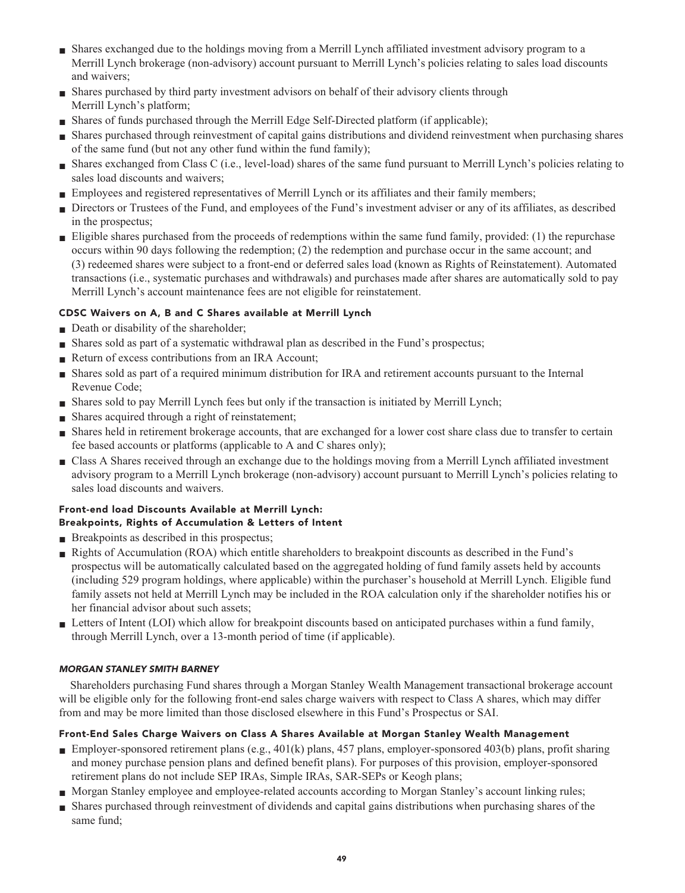- **■ Shares exchanged due to the holdings moving from a Merrill Lynch affiliated investment advisory program to a Merrill Lynch brokerage (non-advisory) account pursuant to Merrill Lynch's policies relating to sales load discounts and waivers;**
- **■ Shares purchased by third party investment advisors on behalf of their advisory clients through Merrill Lynch's platform;**
- **Shares of funds purchased through the Merrill Edge Self-Directed platform (if applicable);**
- **■ Shares purchased through reinvestment of capital gains distributions and dividend reinvestment when purchasing shares of the same fund (but not any other fund within the fund family);**
- **■ Shares exchanged from Class C (i.e., level-load) shares of the same fund pursuant to Merrill Lynch's policies relating to sales load discounts and waivers;**
- **■ Employees and registered representatives of Merrill Lynch or its affiliates and their family members;**
- **■ Directors or Trustees of the Fund, and employees of the Fund's investment adviser or any of its affiliates, as described in the prospectus;**
- **■ Eligible shares purchased from the proceeds of redemptions within the same fund family, provided: (1) the repurchase occurs within 90 days following the redemption; (2) the redemption and purchase occur in the same account; and (3) redeemed shares were subject to a front-end or deferred sales load (known as Rights of Reinstatement). Automated transactions (i.e., systematic purchases and withdrawals) and purchases made after shares are automatically sold to pay Merrill Lynch's account maintenance fees are not eligible for reinstatement.**

# **CDSC Waivers on A, B and C Shares available at Merrill Lynch**

- **Death or disability of the shareholder;**
- **■ Shares sold as part of a systematic withdrawal plan as described in the Fund's prospectus;**
- **Return of excess contributions from an IRA Account;**
- **■ Shares sold as part of a required minimum distribution for IRA and retirement accounts pursuant to the Internal Revenue Code;**
- **■ Shares sold to pay Merrill Lynch fees but only if the transaction is initiated by Merrill Lynch;**
- **■ Shares acquired through a right of reinstatement;**
- **Shares held in retirement brokerage accounts, that are exchanged for a lower cost share class due to transfer to certain fee based accounts or platforms (applicable to A and C shares only);**
- **■ Class A Shares received through an exchange due to the holdings moving from a Merrill Lynch affiliated investment advisory program to a Merrill Lynch brokerage (non-advisory) account pursuant to Merrill Lynch's policies relating to sales load discounts and waivers.**

# **Front-end load Discounts Available at Merrill Lynch: Breakpoints, Rights of Accumulation & Letters of Intent**

- **■ Breakpoints as described in this prospectus;**
- **■ Rights of Accumulation (ROA) which entitle shareholders to breakpoint discounts as described in the Fund's prospectus will be automatically calculated based on the aggregated holding of fund family assets held by accounts (including 529 program holdings, where applicable) within the purchaser's household at Merrill Lynch. Eligible fund family assets not held at Merrill Lynch may be included in the ROA calculation only if the shareholder notifies his or her financial advisor about such assets;**
- Letters of Intent (LOI) which allow for breakpoint discounts based on anticipated purchases within a fund family, **through Merrill Lynch, over a 13-month period of time (if applicable).**

# **MORGAN STANLEY SMITH BARNEY**

**Shareholders purchasing Fund shares through a Morgan Stanley Wealth Management transactional brokerage account will be eligible only for the following front-end sales charge waivers with respect to Class A shares, which may differ from and may be more limited than those disclosed elsewhere in this Fund's Prospectus or SAI.**

# **Front-End Sales Charge Waivers on Class A Shares Available at Morgan Stanley Wealth Management**

- **Employer-sponsored retirement plans (e.g., 401(k) plans, 457 plans, employer-sponsored 403(b) plans, profit sharing and money purchase pension plans and defined benefit plans). For purposes of this provision, employer-sponsored retirement plans do not include SEP IRAs, Simple IRAs, SAR-SEPs or Keogh plans;**
- **■ Morgan Stanley employee and employee-related accounts according to Morgan Stanley's account linking rules;**
- **■ Shares purchased through reinvestment of dividends and capital gains distributions when purchasing shares of the same fund;**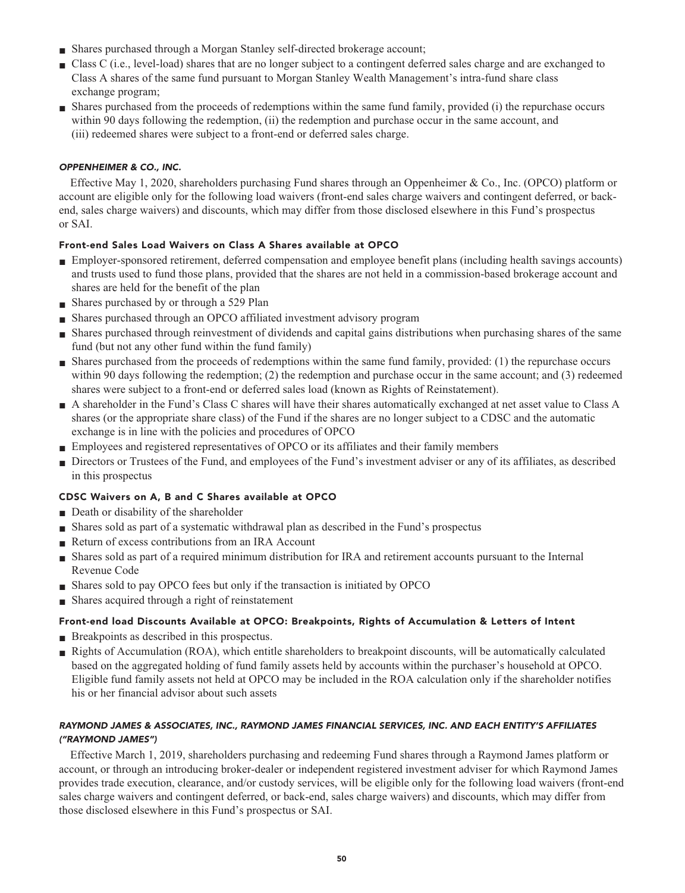- **■ Shares purchased through a Morgan Stanley self-directed brokerage account;**
- **■ Class C (i.e., level-load) shares that are no longer subject to a contingent deferred sales charge and are exchanged to Class A shares of the same fund pursuant to Morgan Stanley Wealth Management's intra-fund share class exchange program;**
- **■ Shares purchased from the proceeds of redemptions within the same fund family, provided (i) the repurchase occurs within 90 days following the redemption, (ii) the redemption and purchase occur in the same account, and (iii) redeemed shares were subject to a front-end or deferred sales charge.**

# **OPPENHEIMER & CO., INC.**

**Effective May 1, 2020, shareholders purchasing Fund shares through an Oppenheimer & Co., Inc. (OPCO) platform or account are eligible only for the following load waivers (front-end sales charge waivers and contingent deferred, or backend, sales charge waivers) and discounts, which may differ from those disclosed elsewhere in this Fund's prospectus or SAI.**

# **Front-end Sales Load Waivers on Class A Shares available at OPCO**

- **■ Employer-sponsored retirement, deferred compensation and employee benefit plans (including health savings accounts) and trusts used to fund those plans, provided that the shares are not held in a commission-based brokerage account and shares are held for the benefit of the plan**
- **■ Shares purchased by or through a 529 Plan**
- **■ Shares purchased through an OPCO affiliated investment advisory program**
- **■ Shares purchased through reinvestment of dividends and capital gains distributions when purchasing shares of the same fund (but not any other fund within the fund family)**
- **■ Shares purchased from the proceeds of redemptions within the same fund family, provided: (1) the repurchase occurs within 90 days following the redemption; (2) the redemption and purchase occur in the same account; and (3) redeemed shares were subject to a front-end or deferred sales load (known as Rights of Reinstatement).**
- **■ A shareholder in the Fund's Class C shares will have their shares automatically exchanged at net asset value to Class A shares (or the appropriate share class) of the Fund if the shares are no longer subject to a CDSC and the automatic exchange is in line with the policies and procedures of OPCO**
- **■ Employees and registered representatives of OPCO or its affiliates and their family members**
- **■ Directors or Trustees of the Fund, and employees of the Fund's investment adviser or any of its affiliates, as described in this prospectus**

# **CDSC Waivers on A, B and C Shares available at OPCO**

- **Death or disability of the shareholder**
- **■ Shares sold as part of a systematic withdrawal plan as described in the Fund's prospectus**
- **Return of excess contributions from an IRA Account**
- **■ Shares sold as part of a required minimum distribution for IRA and retirement accounts pursuant to the Internal Revenue Code**
- **■ Shares sold to pay OPCO fees but only if the transaction is initiated by OPCO**
- **Shares acquired through a right of reinstatement**

# **Front-end load Discounts Available at OPCO: Breakpoints, Rights of Accumulation & Letters of Intent**

- **Breakpoints as described in this prospectus.**
- **Rights of Accumulation (ROA), which entitle shareholders to breakpoint discounts, will be automatically calculated based on the aggregated holding of fund family assets held by accounts within the purchaser's household at OPCO. Eligible fund family assets not held at OPCO may be included in the ROA calculation only if the shareholder notifies his or her financial advisor about such assets**

# **RAYMOND JAMES & ASSOCIATES, INC., RAYMOND JAMES FINANCIAL SERVICES, INC. AND EACH ENTITY'S AFFILIATES ("RAYMOND JAMES")**

**Effective March 1, 2019, shareholders purchasing and redeeming Fund shares through a Raymond James platform or account, or through an introducing broker-dealer or independent registered investment adviser for which Raymond James provides trade execution, clearance, and/or custody services, will be eligible only for the following load waivers (front-end sales charge waivers and contingent deferred, or back-end, sales charge waivers) and discounts, which may differ from those disclosed elsewhere in this Fund's prospectus or SAI.**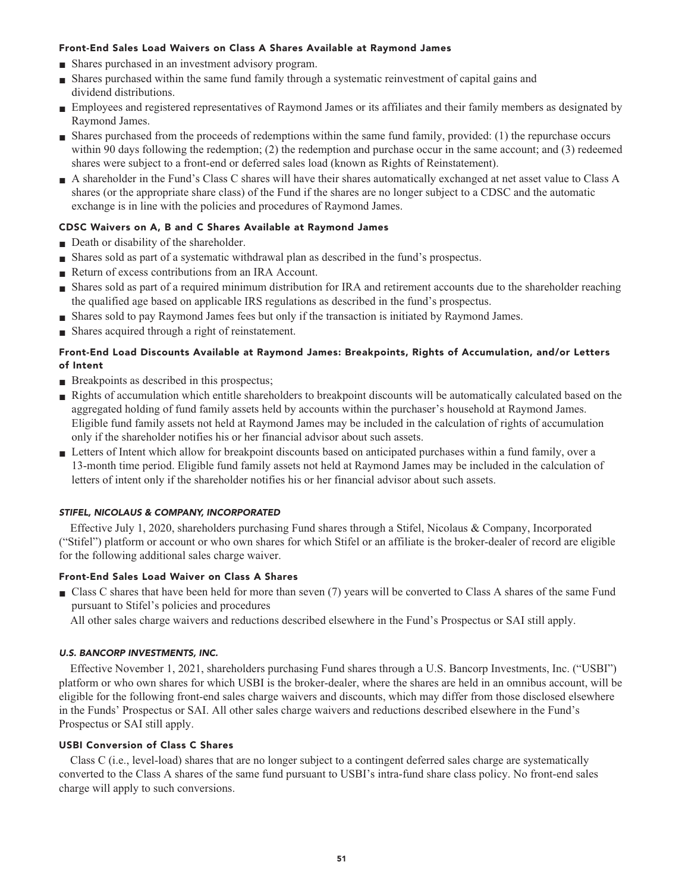# **Front-End Sales Load Waivers on Class A Shares Available at Raymond James**

- **■ Shares purchased in an investment advisory program.**
- **■ Shares purchased within the same fund family through a systematic reinvestment of capital gains and dividend distributions.**
- **■ Employees and registered representatives of Raymond James or its affiliates and their family members as designated by Raymond James.**
- **■ Shares purchased from the proceeds of redemptions within the same fund family, provided: (1) the repurchase occurs within 90 days following the redemption; (2) the redemption and purchase occur in the same account; and (3) redeemed shares were subject to a front-end or deferred sales load (known as Rights of Reinstatement).**
- **■ A shareholder in the Fund's Class C shares will have their shares automatically exchanged at net asset value to Class A shares (or the appropriate share class) of the Fund if the shares are no longer subject to a CDSC and the automatic exchange is in line with the policies and procedures of Raymond James.**

# **CDSC Waivers on A, B and C Shares Available at Raymond James**

- **Death or disability of the shareholder.**
- **■ Shares sold as part of a systematic withdrawal plan as described in the fund's prospectus.**
- **■ Return of excess contributions from an IRA Account.**
- **■ Shares sold as part of a required minimum distribution for IRA and retirement accounts due to the shareholder reaching the qualified age based on applicable IRS regulations as described in the fund's prospectus.**
- **■ Shares sold to pay Raymond James fees but only if the transaction is initiated by Raymond James.**
- **■ Shares acquired through a right of reinstatement.**

# **Front-End Load Discounts Available at Raymond James: Breakpoints, Rights of Accumulation, and/or Letters of Intent**

- **Breakpoints as described in this prospectus;**
- **■ Rights of accumulation which entitle shareholders to breakpoint discounts will be automatically calculated based on the aggregated holding of fund family assets held by accounts within the purchaser's household at Raymond James. Eligible fund family assets not held at Raymond James may be included in the calculation of rights of accumulation only if the shareholder notifies his or her financial advisor about such assets.**
- **■ Letters of Intent which allow for breakpoint discounts based on anticipated purchases within a fund family, over a 13-month time period. Eligible fund family assets not held at Raymond James may be included in the calculation of letters of intent only if the shareholder notifies his or her financial advisor about such assets.**

# **STIFEL, NICOLAUS & COMPANY, INCORPORATED**

**Effective July 1, 2020, shareholders purchasing Fund shares through a Stifel, Nicolaus & Company, Incorporated ("Stifel") platform or account or who own shares for which Stifel or an affiliate is the broker-dealer of record are eligible for the following additional sales charge waiver.**

# **Front-End Sales Load Waiver on Class A Shares**

- **■ Class C shares that have been held for more than seven (7) years will be converted to Class A shares of the same Fund pursuant to Stifel's policies and procedures**
	- **All other sales charge waivers and reductions described elsewhere in the Fund's Prospectus or SAI still apply.**

# **U.S. BANCORP INVESTMENTS, INC.**

**Effective November 1, 2021, shareholders purchasing Fund shares through a U.S. Bancorp Investments, Inc. ("USBI") platform or who own shares for which USBI is the broker-dealer, where the shares are held in an omnibus account, will be eligible for the following front-end sales charge waivers and discounts, which may differ from those disclosed elsewhere in the Funds' Prospectus or SAI. All other sales charge waivers and reductions described elsewhere in the Fund's Prospectus or SAI still apply.**

# **USBI Conversion of Class C Shares**

**Class C (i.e., level-load) shares that are no longer subject to a contingent deferred sales charge are systematically converted to the Class A shares of the same fund pursuant to USBI's intra-fund share class policy. No front-end sales charge will apply to such conversions.**